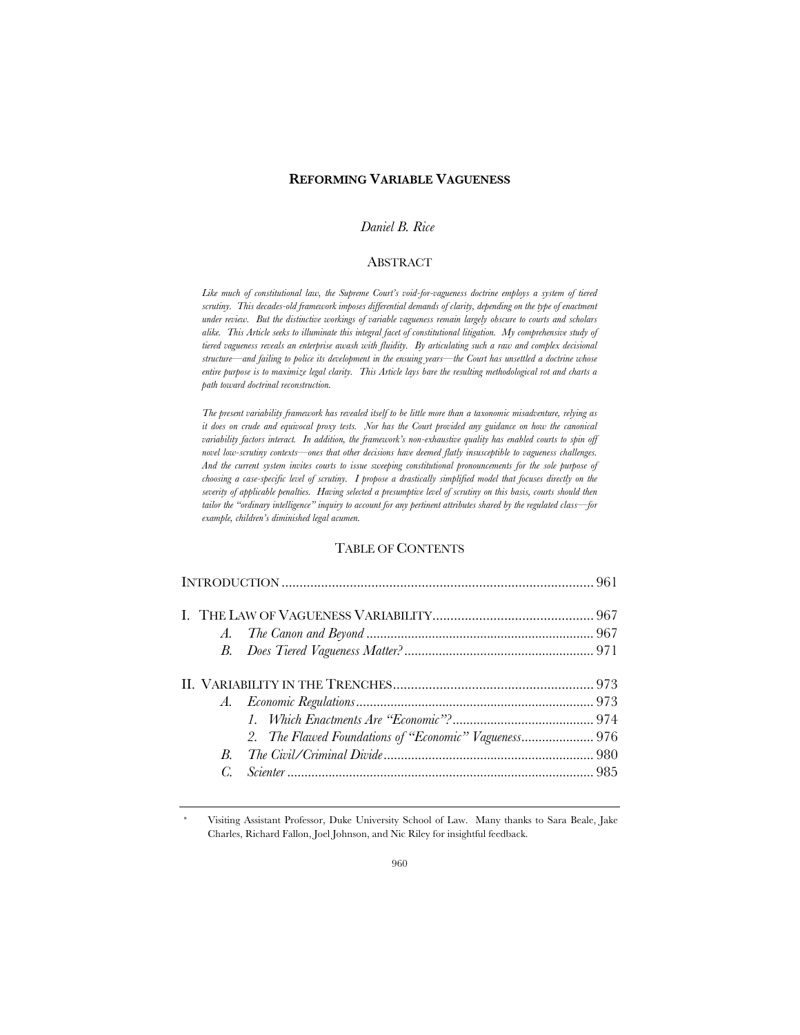## **REFORMING VARIABLE VAGUENESS**

## *Daniel B. Rice\**

#### ABSTRACT

*Like much of constitutional law, the Supreme Court's void-for-vagueness doctrine employs a system of tiered scrutiny. This decades-old framework imposes differential demands of clarity, depending on the type of enactment under review. But the distinctive workings of variable vagueness remain largely obscure to courts and scholars alike. This Article seeks to illuminate this integral facet of constitutional litigation. My comprehensive study of tiered vagueness reveals an enterprise awash with fluidity. By articulating such a raw and complex decisional structure—and failing to police its development in the ensuing years—the Court has unsettled a doctrine whose entire purpose is to maximize legal clarity. This Article lays bare the resulting methodological rot and charts a path toward doctrinal reconstruction.*

*The present variability framework has revealed itself to be little more than a taxonomic misadventure, relying as it does on crude and equivocal proxy tests. Nor has the Court provided any guidance on how the canonical variability factors interact. In addition, the framework's non-exhaustive quality has enabled courts to spin off novel low-scrutiny contexts—ones that other decisions have deemed flatly insusceptible to vagueness challenges. And the current system invites courts to issue sweeping constitutional pronouncements for the sole purpose of choosing a case-specific level of scrutiny. I propose a drastically simplified model that focuses directly on the severity of applicable penalties. Having selected a presumptive level of scrutiny on this basis, courts should then tailor the "ordinary intelligence" inquiry to account for any pertinent attributes shared by the regulated class—for example, children's diminished legal acumen.*

### TABLE OF CONTENTS

|    | 2. The Flawed Foundations of "Economic" Vagueness 976 |  |
|----|-------------------------------------------------------|--|
|    |                                                       |  |
| C. |                                                       |  |
|    |                                                       |  |

Visiting Assistant Professor, Duke University School of Law. Many thanks to Sara Beale, Jake Charles, Richard Fallon, Joel Johnson, and Nic Riley for insightful feedback.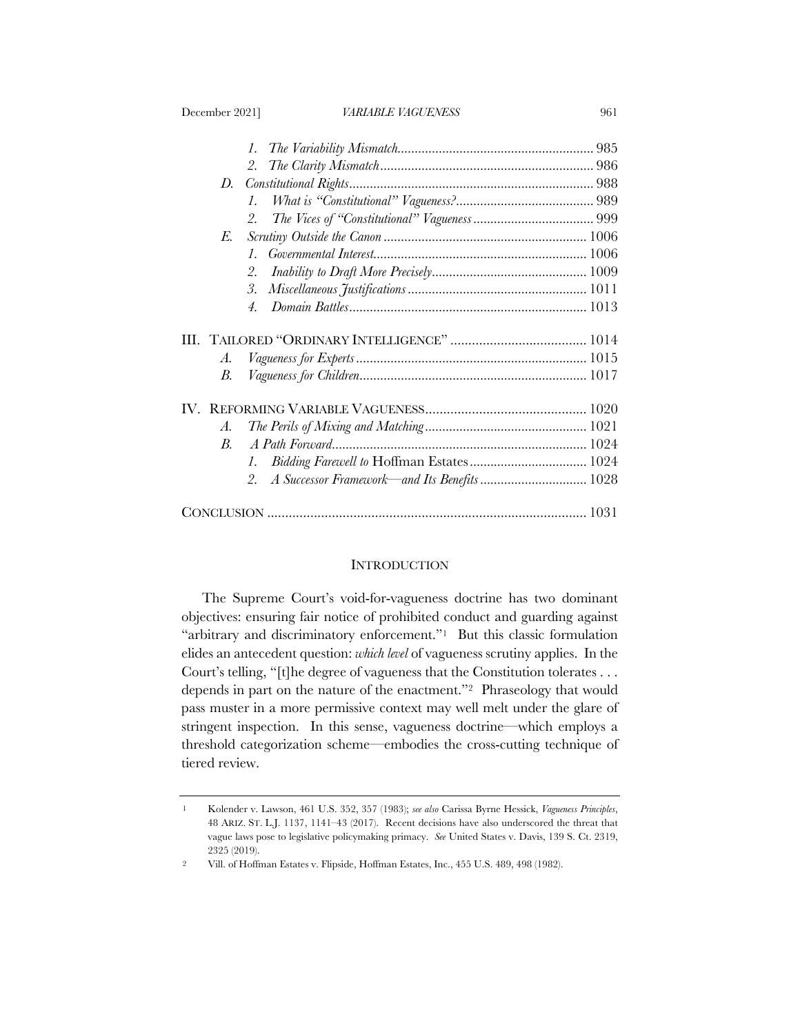|             | $l_{\cdot}$                                        |  |
|-------------|----------------------------------------------------|--|
|             | 2.                                                 |  |
| D.          |                                                    |  |
|             | $\mathcal{I}$ .                                    |  |
|             | 2.                                                 |  |
| E.          |                                                    |  |
|             | $\mathcal{I}$ .                                    |  |
|             | 2.                                                 |  |
|             | 3.                                                 |  |
|             | 4.                                                 |  |
|             |                                                    |  |
|             |                                                    |  |
| А.          |                                                    |  |
| В.          |                                                    |  |
|             |                                                    |  |
| А.          |                                                    |  |
| $B_{\cdot}$ |                                                    |  |
|             | $\mathcal{I}$ .                                    |  |
|             | A Successor Framework—and Its Benefits  1028<br>2. |  |
|             |                                                    |  |

#### **INTRODUCTION**

The Supreme Court's void-for-vagueness doctrine has two dominant objectives: ensuring fair notice of prohibited conduct and guarding against "arbitrary and discriminatory enforcement."<sup>1</sup> But this classic formulation elides an antecedent question: *which level* of vagueness scrutiny applies. In the Court's telling, "[t]he degree of vagueness that the Constitution tolerates . . . depends in part on the nature of the enactment."2 Phraseology that would pass muster in a more permissive context may well melt under the glare of stringent inspection. In this sense, vagueness doctrine—which employs a threshold categorization scheme—embodies the cross-cutting technique of tiered review.

<sup>1</sup> Kolender v. Lawson, 461 U.S. 352, 357 (1983); *see also* Carissa Byrne Hessick, *Vagueness Principles*, 48 ARIZ. ST. L.J. 1137, 1141–43 (2017). Recent decisions have also underscored the threat that vague laws pose to legislative policymaking primacy. *See* United States v. Davis, 139 S. Ct. 2319, 2325 (2019).

<sup>2</sup> Vill. of Hoffman Estates v. Flipside, Hoffman Estates, Inc., 455 U.S. 489, 498 (1982).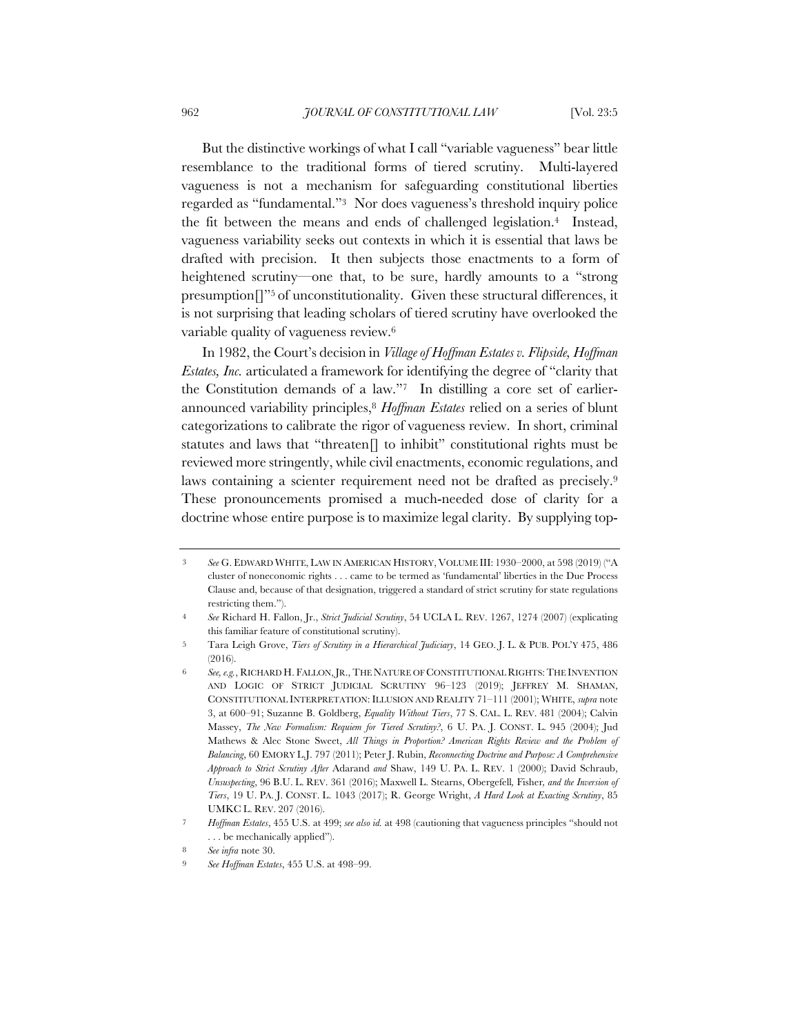But the distinctive workings of what I call "variable vagueness" bear little resemblance to the traditional forms of tiered scrutiny. Multi-layered vagueness is not a mechanism for safeguarding constitutional liberties regarded as "fundamental."3 Nor does vagueness's threshold inquiry police the fit between the means and ends of challenged legislation.4 Instead, vagueness variability seeks out contexts in which it is essential that laws be drafted with precision. It then subjects those enactments to a form of heightened scrutiny—one that, to be sure, hardly amounts to a "strong presumption[]"5 of unconstitutionality. Given these structural differences, it is not surprising that leading scholars of tiered scrutiny have overlooked the variable quality of vagueness review.6

In 1982, the Court's decision in *Village of Hoffman Estates v. Flipside, Hoffman Estates, Inc.* articulated a framework for identifying the degree of "clarity that the Constitution demands of a law."7 In distilling a core set of earlierannounced variability principles,8 *Hoffman Estates* relied on a series of blunt categorizations to calibrate the rigor of vagueness review. In short, criminal statutes and laws that "threaten[] to inhibit" constitutional rights must be reviewed more stringently, while civil enactments, economic regulations, and laws containing a scienter requirement need not be drafted as precisely.9 These pronouncements promised a much-needed dose of clarity for a doctrine whose entire purpose is to maximize legal clarity. By supplying top-

<sup>3</sup> *See* G. EDWARD WHITE, LAW IN AMERICAN HISTORY, VOLUME III: 1930–2000, at 598 (2019) ("A cluster of noneconomic rights . . . came to be termed as 'fundamental' liberties in the Due Process Clause and, because of that designation, triggered a standard of strict scrutiny for state regulations restricting them.").

<sup>4</sup> *See* Richard H. Fallon, Jr., *Strict Judicial Scrutiny*, 54 UCLA L. REV. 1267, 1274 (2007) (explicating this familiar feature of constitutional scrutiny).

<sup>5</sup> Tara Leigh Grove, *Tiers of Scrutiny in a Hierarchical Judiciary*, 14 GEO. J. L. & PUB. POL'Y 475, 486 (2016).

<sup>6</sup> *See, e.g.*, RICHARD H. FALLON,JR., THE NATURE OF CONSTITUTIONAL RIGHTS:THE INVENTION AND LOGIC OF STRICT JUDICIAL SCRUTINY 96–123 (2019); JEFFREY M. SHAMAN, CONSTITUTIONAL INTERPRETATION: ILLUSION AND REALITY 71–111 (2001); WHITE, *supra* note 3, at 600–91; Suzanne B. Goldberg, *Equality Without Tiers*, 77 S. CAL. L. REV. 481 (2004); Calvin Massey, *The New Formalism: Requiem for Tiered Scrutiny?*, 6 U. PA. J. CONST. L. 945 (2004); Jud Mathews & Alec Stone Sweet, *All Things in Proportion? American Rights Review and the Problem of Balancing*, 60 EMORY L.J. 797 (2011); Peter J. Rubin, *Reconnecting Doctrine and Purpose: A Comprehensive Approach to Strict Scrutiny After* Adarand *and* Shaw, 149 U. PA. L. REV. 1 (2000); David Schraub, *Unsuspecting*, 96 B.U. L. REV. 361 (2016); Maxwell L. Stearns, Obergefell*,* Fisher*, and the Inversion of Tiers*, 19 U. PA. J. CONST. L. 1043 (2017); R. George Wright, *A Hard Look at Exacting Scrutiny*, 85 UMKC L. REV. 207 (2016).

<sup>7</sup> *Hoffman Estates*, 455 U.S. at 499; *see also id.* at 498 (cautioning that vagueness principles "should not . . . be mechanically applied").

<sup>8</sup> *See infra* note 30.

<sup>9</sup> *See Hoffman Estates*, 455 U.S. at 498–99.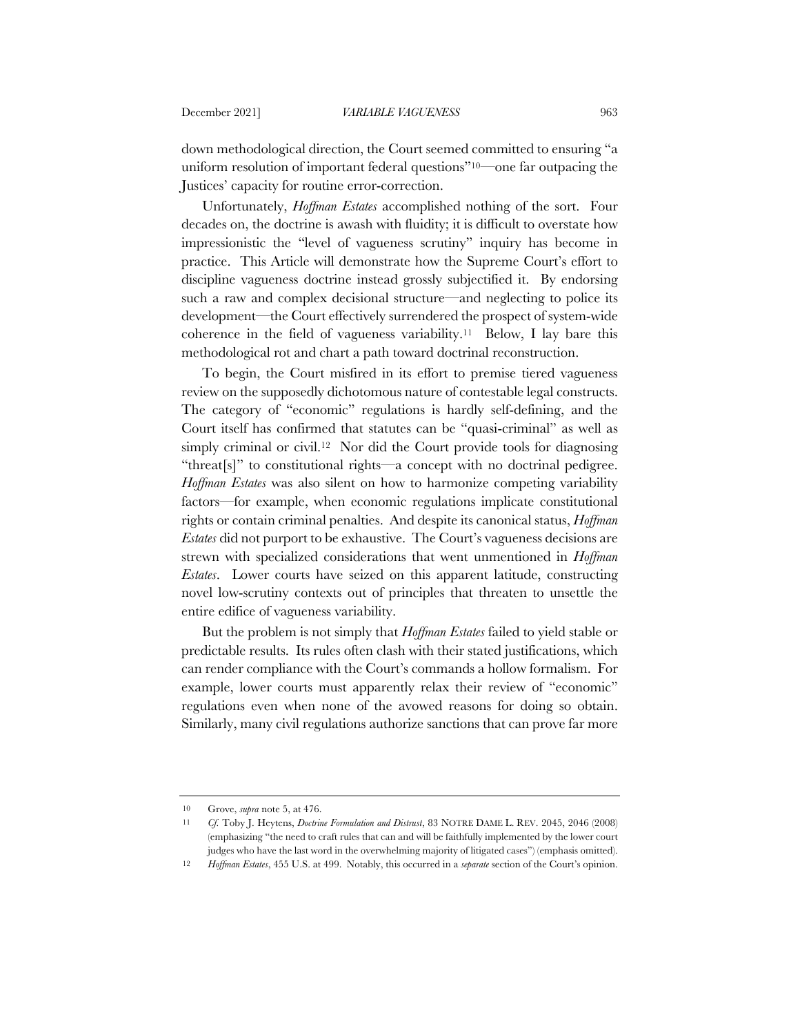down methodological direction, the Court seemed committed to ensuring "a uniform resolution of important federal questions"10—one far outpacing the Justices' capacity for routine error-correction.

Unfortunately, *Hoffman Estates* accomplished nothing of the sort. Four decades on, the doctrine is awash with fluidity; it is difficult to overstate how impressionistic the "level of vagueness scrutiny" inquiry has become in practice. This Article will demonstrate how the Supreme Court's effort to discipline vagueness doctrine instead grossly subjectified it. By endorsing such a raw and complex decisional structure—and neglecting to police its development—the Court effectively surrendered the prospect of system-wide coherence in the field of vagueness variability.11 Below, I lay bare this methodological rot and chart a path toward doctrinal reconstruction.

To begin, the Court misfired in its effort to premise tiered vagueness review on the supposedly dichotomous nature of contestable legal constructs. The category of "economic" regulations is hardly self-defining, and the Court itself has confirmed that statutes can be "quasi-criminal" as well as simply criminal or civil.<sup>12</sup> Nor did the Court provide tools for diagnosing "threat[s]" to constitutional rights—a concept with no doctrinal pedigree. *Hoffman Estates* was also silent on how to harmonize competing variability factors—for example, when economic regulations implicate constitutional rights or contain criminal penalties. And despite its canonical status, *Hoffman Estates* did not purport to be exhaustive. The Court's vagueness decisions are strewn with specialized considerations that went unmentioned in *Hoffman Estates*. Lower courts have seized on this apparent latitude, constructing novel low-scrutiny contexts out of principles that threaten to unsettle the entire edifice of vagueness variability.

But the problem is not simply that *Hoffman Estates* failed to yield stable or predictable results. Its rules often clash with their stated justifications, which can render compliance with the Court's commands a hollow formalism. For example, lower courts must apparently relax their review of "economic" regulations even when none of the avowed reasons for doing so obtain. Similarly, many civil regulations authorize sanctions that can prove far more

<sup>10</sup> Grove, *supra* note 5, at 476.

<sup>11</sup> *Cf.* Toby J. Heytens, *Doctrine Formulation and Distrust*, 83 NOTRE DAME L. REV. 2045, 2046 (2008) (emphasizing "the need to craft rules that can and will be faithfully implemented by the lower court judges who have the last word in the overwhelming majority of litigated cases") (emphasis omitted).

<sup>12</sup> *Hoffman Estates*, 455 U.S. at 499. Notably, this occurred in a *separate* section of the Court's opinion.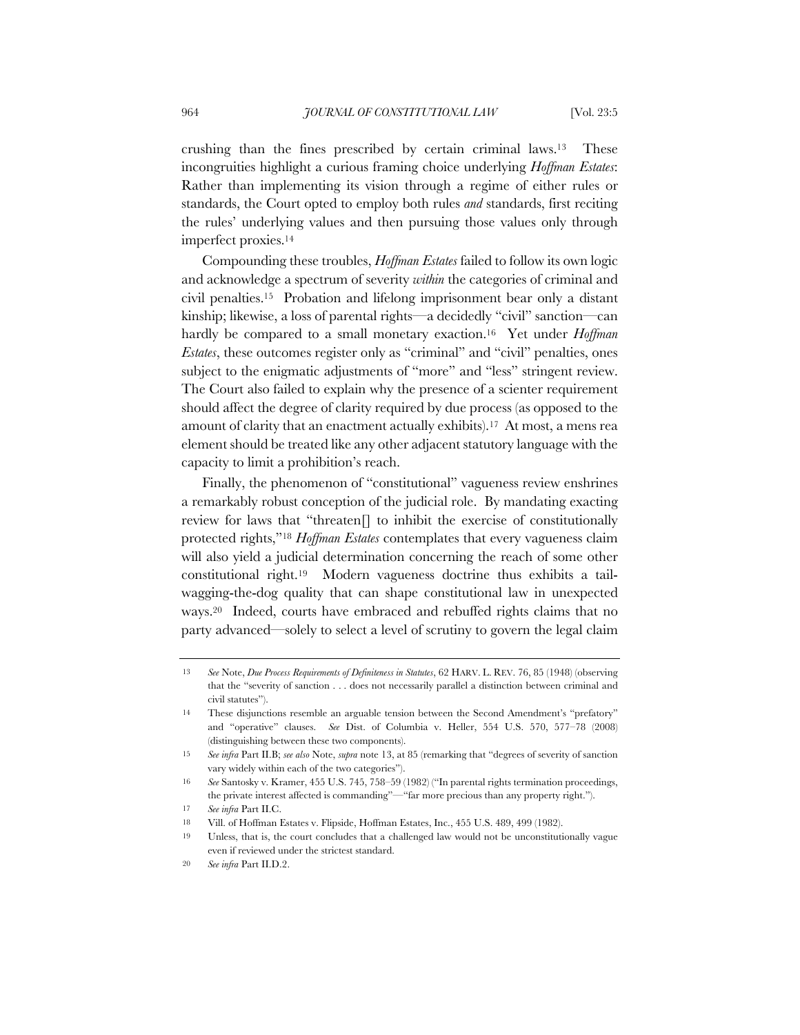crushing than the fines prescribed by certain criminal laws.13 These incongruities highlight a curious framing choice underlying *Hoffman Estates*: Rather than implementing its vision through a regime of either rules or standards, the Court opted to employ both rules *and* standards, first reciting the rules' underlying values and then pursuing those values only through imperfect proxies.14

Compounding these troubles, *Hoffman Estates* failed to follow its own logic and acknowledge a spectrum of severity *within* the categories of criminal and civil penalties.15 Probation and lifelong imprisonment bear only a distant kinship; likewise, a loss of parental rights—a decidedly "civil" sanction—can hardly be compared to a small monetary exaction.16 Yet under *Hoffman Estates*, these outcomes register only as "criminal" and "civil" penalties, ones subject to the enigmatic adjustments of "more" and "less" stringent review. The Court also failed to explain why the presence of a scienter requirement should affect the degree of clarity required by due process (as opposed to the amount of clarity that an enactment actually exhibits).17 At most, a mens rea element should be treated like any other adjacent statutory language with the capacity to limit a prohibition's reach.

Finally, the phenomenon of "constitutional" vagueness review enshrines a remarkably robust conception of the judicial role. By mandating exacting review for laws that "threaten[] to inhibit the exercise of constitutionally protected rights,"18 *Hoffman Estates* contemplates that every vagueness claim will also yield a judicial determination concerning the reach of some other constitutional right.19 Modern vagueness doctrine thus exhibits a tailwagging-the-dog quality that can shape constitutional law in unexpected ways.20 Indeed, courts have embraced and rebuffed rights claims that no party advanced—solely to select a level of scrutiny to govern the legal claim

<sup>13</sup> *See* Note, *Due Process Requirements of Definiteness in Statutes*, 62 HARV. L. REV. 76, 85 (1948) (observing that the "severity of sanction . . . does not necessarily parallel a distinction between criminal and civil statutes").

<sup>14</sup> These disjunctions resemble an arguable tension between the Second Amendment's "prefatory" and "operative" clauses. *See* Dist. of Columbia v. Heller, 554 U.S. 570, 577–78 (2008) (distinguishing between these two components).

<sup>15</sup> *See infra* Part II.B; *see also* Note, *supra* note 13, at 85 (remarking that "degrees of severity of sanction vary widely within each of the two categories").

<sup>16</sup> *See* Santosky v. Kramer, 455 U.S. 745, 758–59 (1982) ("In parental rights termination proceedings, the private interest affected is commanding"—"far more precious than any property right.").

<sup>17</sup> *See infra* Part II.C.

<sup>18</sup> Vill. of Hoffman Estates v. Flipside, Hoffman Estates, Inc., 455 U.S. 489, 499 (1982).

<sup>19</sup> Unless, that is, the court concludes that a challenged law would not be unconstitutionally vague even if reviewed under the strictest standard.

<sup>20</sup> *See infra* Part II.D.2.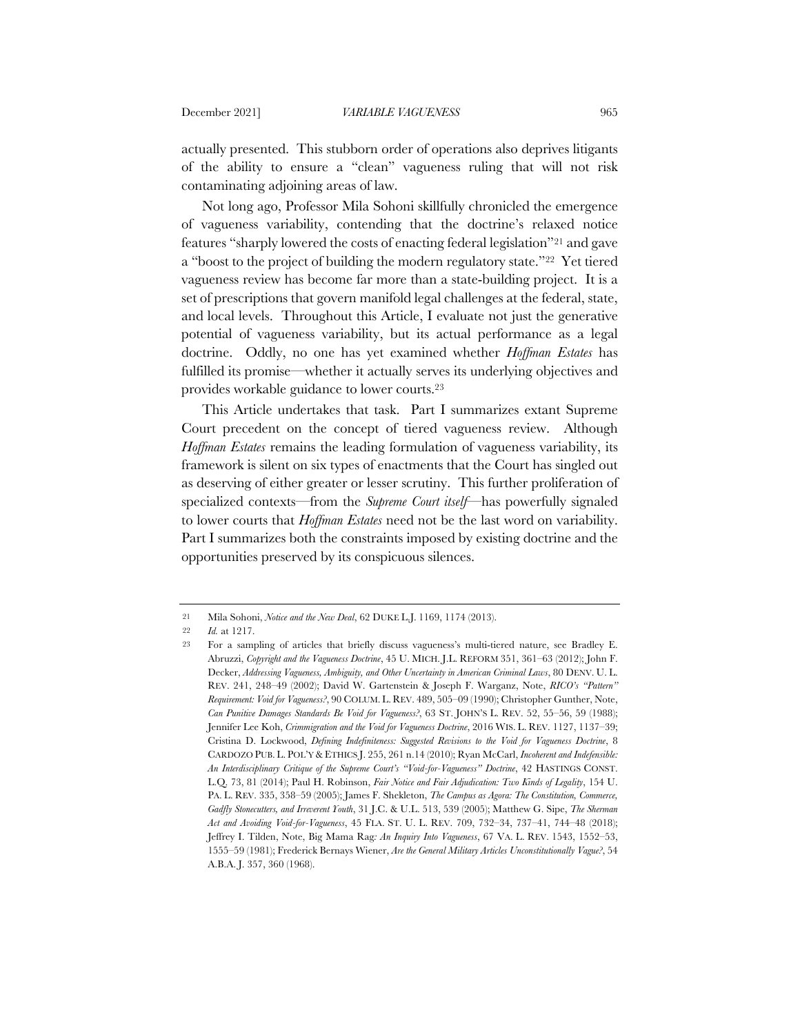actually presented. This stubborn order of operations also deprives litigants of the ability to ensure a "clean" vagueness ruling that will not risk contaminating adjoining areas of law.

Not long ago, Professor Mila Sohoni skillfully chronicled the emergence of vagueness variability, contending that the doctrine's relaxed notice features "sharply lowered the costs of enacting federal legislation"21 and gave a "boost to the project of building the modern regulatory state."22 Yet tiered vagueness review has become far more than a state-building project. It is a set of prescriptions that govern manifold legal challenges at the federal, state, and local levels. Throughout this Article, I evaluate not just the generative potential of vagueness variability, but its actual performance as a legal doctrine. Oddly, no one has yet examined whether *Hoffman Estates* has fulfilled its promise—whether it actually serves its underlying objectives and provides workable guidance to lower courts.23

This Article undertakes that task. Part I summarizes extant Supreme Court precedent on the concept of tiered vagueness review. Although *Hoffman Estates* remains the leading formulation of vagueness variability, its framework is silent on six types of enactments that the Court has singled out as deserving of either greater or lesser scrutiny. This further proliferation of specialized contexts—from the *Supreme Court itself*—has powerfully signaled to lower courts that *Hoffman Estates* need not be the last word on variability. Part I summarizes both the constraints imposed by existing doctrine and the opportunities preserved by its conspicuous silences.

<sup>21</sup> Mila Sohoni, *Notice and the New Deal*, 62 DUKE L.J. 1169, 1174 (2013).

<sup>22</sup> *Id.* at 1217.

<sup>23</sup> For a sampling of articles that briefly discuss vagueness's multi-tiered nature, see Bradley E. Abruzzi, *Copyright and the Vagueness Doctrine*, 45 U. MICH. J.L. REFORM 351, 361–63 (2012); John F. Decker, *Addressing Vagueness, Ambiguity, and Other Uncertainty in American Criminal Laws*, 80 DENV. U. L. REV. 241, 248–49 (2002); David W. Gartenstein & Joseph F. Warganz, Note, *RICO's "Pattern" Requirement: Void for Vagueness?*, 90 COLUM. L. REV. 489, 505–09 (1990); Christopher Gunther, Note, *Can Punitive Damages Standards Be Void for Vagueness?*, 63 ST. JOHN'S L. REV. 52, 55–56, 59 (1988); Jennifer Lee Koh, *Crimmigration and the Void for Vagueness Doctrine*, 2016 WIS. L. REV. 1127, 1137–39; Cristina D. Lockwood, *Defining Indefiniteness: Suggested Revisions to the Void for Vagueness Doctrine*, 8 CARDOZO PUB. L. POL'Y & ETHICS J. 255, 261 n.14 (2010); Ryan McCarl, *Incoherent and Indefensible: An Interdisciplinary Critique of the Supreme Court's "Void-for-Vagueness" Doctrine*, 42 HASTINGS CONST. L.Q. 73, 81 (2014); Paul H. Robinson, *Fair Notice and Fair Adjudication: Two Kinds of Legality*, 154 U. PA. L. REV. 335, 358–59 (2005); James F. Shekleton, *The Campus as Agora: The Constitution, Commerce, Gadfly Stonecutters, and Irreverent Youth*, 31 J.C. & U.L. 513, 539 (2005); Matthew G. Sipe, *The Sherman Act and Avoiding Void-for-Vagueness*, 45 FLA. ST. U. L. REV. 709, 732–34, 737–41, 744–48 (2018); Jeffrey I. Tilden, Note, Big Mama Rag*: An Inquiry Into Vagueness*, 67 VA. L. REV. 1543, 1552–53, 1555–59 (1981); Frederick Bernays Wiener, *Are the General Military Articles Unconstitutionally Vague?*, 54 A.B.A. J. 357, 360 (1968).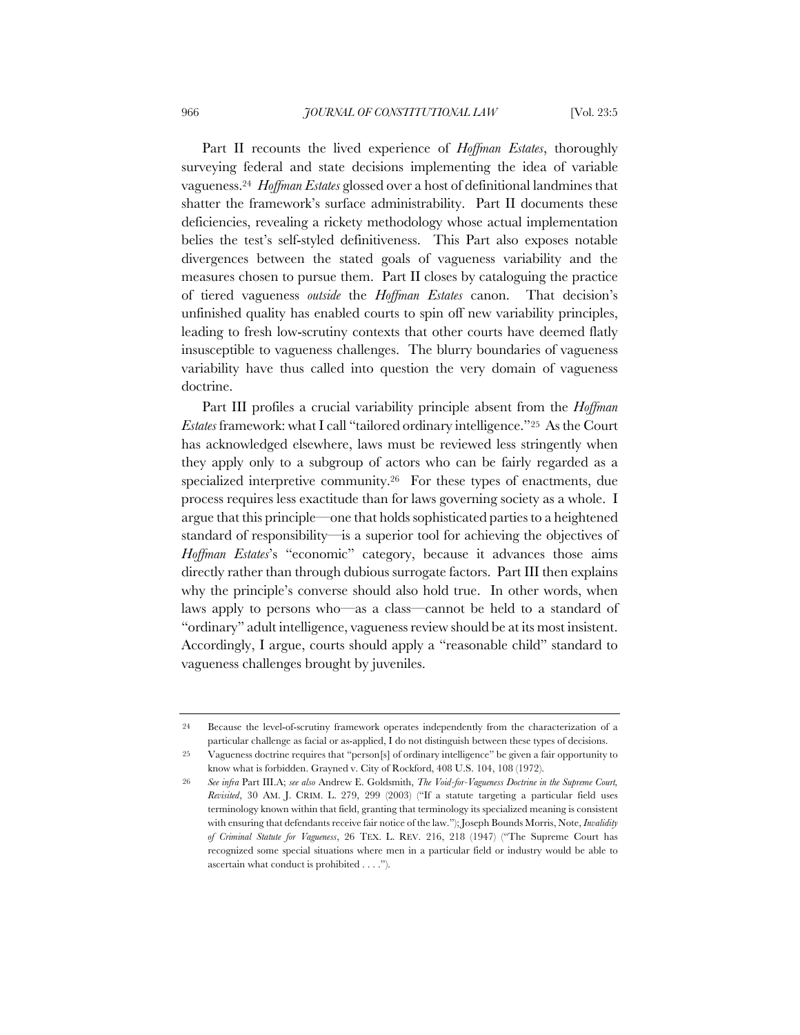Part II recounts the lived experience of *Hoffman Estates*, thoroughly surveying federal and state decisions implementing the idea of variable vagueness.24 *Hoffman Estates* glossed over a host of definitional landmines that shatter the framework's surface administrability. Part II documents these deficiencies, revealing a rickety methodology whose actual implementation belies the test's self-styled definitiveness. This Part also exposes notable divergences between the stated goals of vagueness variability and the measures chosen to pursue them. Part II closes by cataloguing the practice of tiered vagueness *outside* the *Hoffman Estates* canon. That decision's unfinished quality has enabled courts to spin off new variability principles, leading to fresh low-scrutiny contexts that other courts have deemed flatly insusceptible to vagueness challenges. The blurry boundaries of vagueness variability have thus called into question the very domain of vagueness doctrine.

Part III profiles a crucial variability principle absent from the *Hoffman Estates* framework: what I call "tailored ordinary intelligence."25 As the Court has acknowledged elsewhere, laws must be reviewed less stringently when they apply only to a subgroup of actors who can be fairly regarded as a specialized interpretive community.<sup>26</sup> For these types of enactments, due process requires less exactitude than for laws governing society as a whole. I argue that this principle—one that holds sophisticated parties to a heightened standard of responsibility—is a superior tool for achieving the objectives of *Hoffman Estates*'s "economic" category, because it advances those aims directly rather than through dubious surrogate factors. Part III then explains why the principle's converse should also hold true. In other words, when laws apply to persons who—as a class—cannot be held to a standard of "ordinary" adult intelligence, vagueness review should be at its most insistent. Accordingly, I argue, courts should apply a "reasonable child" standard to vagueness challenges brought by juveniles.

<sup>24</sup> Because the level-of-scrutiny framework operates independently from the characterization of a particular challenge as facial or as-applied, I do not distinguish between these types of decisions.

<sup>25</sup> Vagueness doctrine requires that "person[s] of ordinary intelligence" be given a fair opportunity to know what is forbidden. Grayned v. City of Rockford, 408 U.S. 104, 108 (1972).

<sup>26</sup> *See infra* Part III.A; *see also* Andrew E. Goldsmith, *The Void-for-Vagueness Doctrine in the Supreme Court, Revisited*, 30 AM. J. CRIM. L. 279, 299 (2003) ("If a statute targeting a particular field uses terminology known within that field, granting that terminology its specialized meaning is consistent with ensuring that defendants receive fair notice of the law."); Joseph Bounds Morris, Note, *Invalidity of Criminal Statute for Vagueness*, 26 TEX. L. REV. 216, 218 (1947) ("The Supreme Court has recognized some special situations where men in a particular field or industry would be able to ascertain what conduct is prohibited . . . .").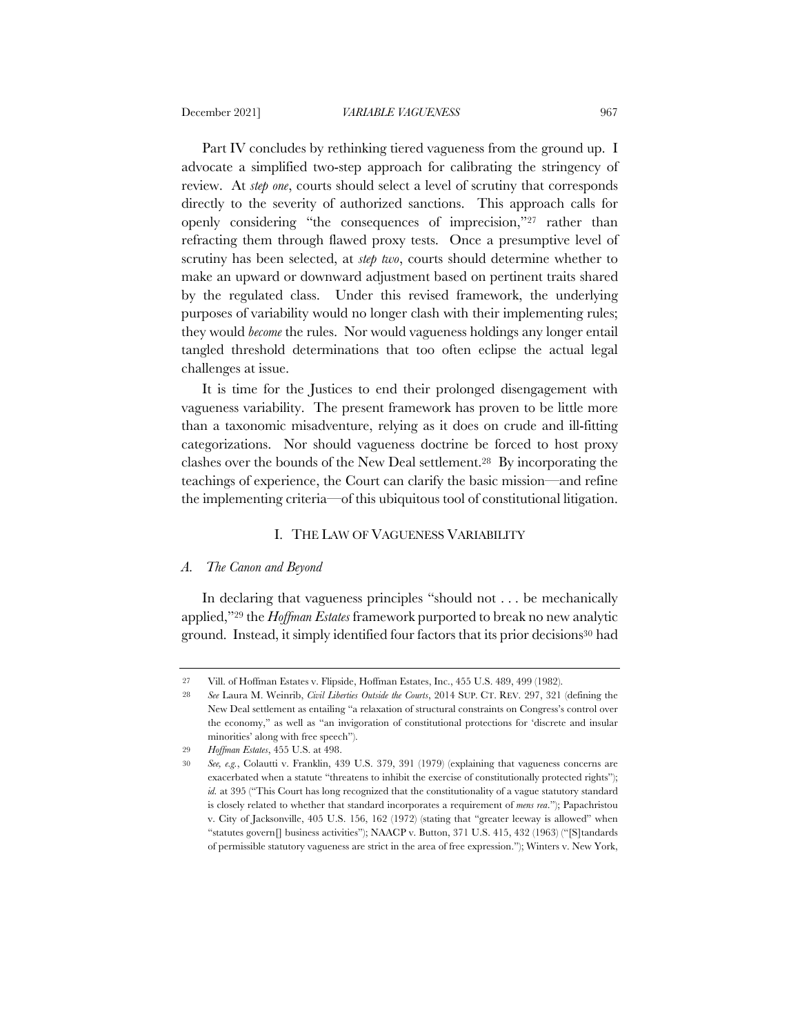Part IV concludes by rethinking tiered vagueness from the ground up. I advocate a simplified two-step approach for calibrating the stringency of review. At *step one*, courts should select a level of scrutiny that corresponds directly to the severity of authorized sanctions. This approach calls for openly considering "the consequences of imprecision,"27 rather than refracting them through flawed proxy tests. Once a presumptive level of scrutiny has been selected, at *step two*, courts should determine whether to make an upward or downward adjustment based on pertinent traits shared by the regulated class. Under this revised framework, the underlying purposes of variability would no longer clash with their implementing rules; they would *become* the rules. Nor would vagueness holdings any longer entail tangled threshold determinations that too often eclipse the actual legal challenges at issue.

It is time for the Justices to end their prolonged disengagement with vagueness variability. The present framework has proven to be little more than a taxonomic misadventure, relying as it does on crude and ill-fitting categorizations. Nor should vagueness doctrine be forced to host proxy clashes over the bounds of the New Deal settlement.28 By incorporating the teachings of experience, the Court can clarify the basic mission—and refine the implementing criteria—of this ubiquitous tool of constitutional litigation.

#### I. THE LAW OF VAGUENESS VARIABILITY

### *A. The Canon and Beyond*

In declaring that vagueness principles "should not . . . be mechanically applied,"29 the *Hoffman Estates* framework purported to break no new analytic ground. Instead, it simply identified four factors that its prior decisions<sup>30</sup> had

<sup>27</sup> Vill. of Hoffman Estates v. Flipside, Hoffman Estates, Inc., 455 U.S. 489, 499 (1982).

<sup>28</sup> *See* Laura M. Weinrib, *Civil Liberties Outside the Courts*, 2014 SUP. CT. REV. 297, 321 (defining the New Deal settlement as entailing "a relaxation of structural constraints on Congress's control over the economy," as well as "an invigoration of constitutional protections for 'discrete and insular minorities' along with free speech").

<sup>29</sup> *Hoffman Estates*, 455 U.S. at 498.

<sup>30</sup> *See, e.g.*, Colautti v. Franklin, 439 U.S. 379, 391 (1979) (explaining that vagueness concerns are exacerbated when a statute "threatens to inhibit the exercise of constitutionally protected rights"); id. at 395 ("This Court has long recognized that the constitutionality of a vague statutory standard is closely related to whether that standard incorporates a requirement of *mens rea*."); Papachristou v. City of Jacksonville, 405 U.S. 156, 162 (1972) (stating that "greater leeway is allowed" when "statutes govern[] business activities"); NAACP v. Button, 371 U.S. 415, 432 (1963) ("[S]tandards of permissible statutory vagueness are strict in the area of free expression."); Winters v. New York,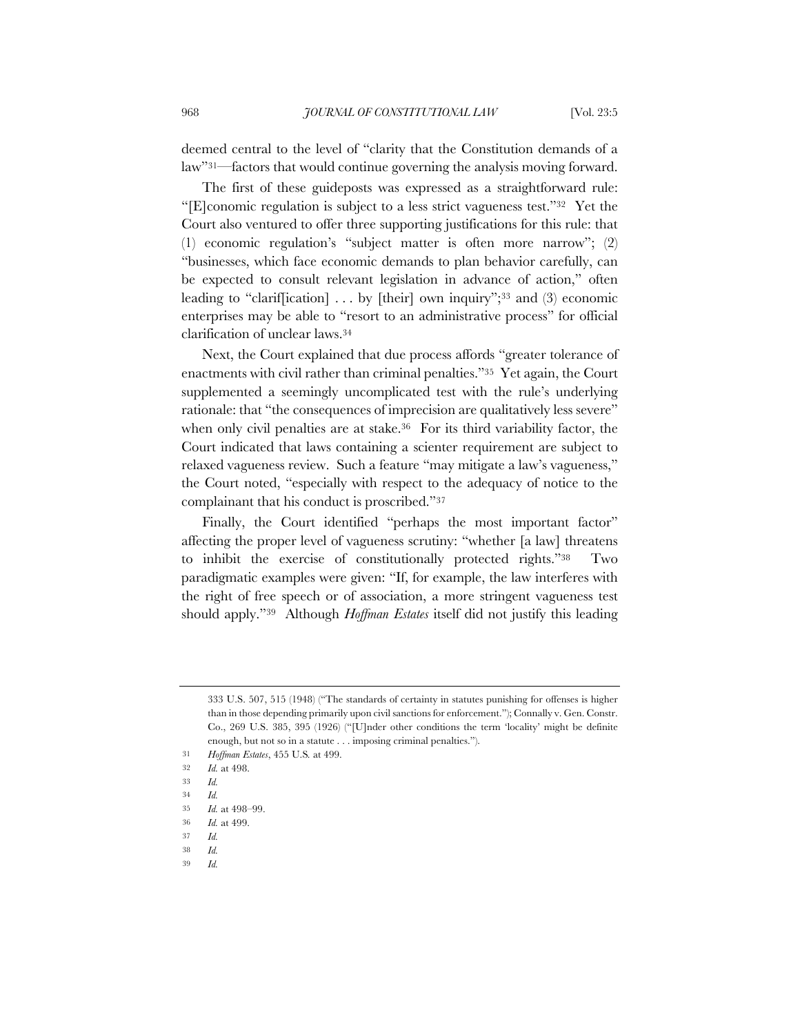deemed central to the level of "clarity that the Constitution demands of a law"31—factors that would continue governing the analysis moving forward.

The first of these guideposts was expressed as a straightforward rule: "[E]conomic regulation is subject to a less strict vagueness test."32 Yet the Court also ventured to offer three supporting justifications for this rule: that (1) economic regulation's "subject matter is often more narrow"; (2) "businesses, which face economic demands to plan behavior carefully, can be expected to consult relevant legislation in advance of action," often leading to "clariffication]  $\ldots$  by [their] own inquiry";<sup>33</sup> and (3) economic enterprises may be able to "resort to an administrative process" for official clarification of unclear laws.34

Next, the Court explained that due process affords "greater tolerance of enactments with civil rather than criminal penalties."35 Yet again, the Court supplemented a seemingly uncomplicated test with the rule's underlying rationale: that "the consequences of imprecision are qualitatively less severe" when only civil penalties are at stake.<sup>36</sup> For its third variability factor, the Court indicated that laws containing a scienter requirement are subject to relaxed vagueness review. Such a feature "may mitigate a law's vagueness," the Court noted, "especially with respect to the adequacy of notice to the complainant that his conduct is proscribed."37

Finally, the Court identified "perhaps the most important factor" affecting the proper level of vagueness scrutiny: "whether [a law] threatens to inhibit the exercise of constitutionally protected rights."38 Two paradigmatic examples were given: "If, for example, the law interferes with the right of free speech or of association, a more stringent vagueness test should apply."39 Although *Hoffman Estates* itself did not justify this leading

37 *Id.*

39 *Id.*

<sup>333</sup> U.S. 507, 515 (1948) ("The standards of certainty in statutes punishing for offenses is higher than in those depending primarily upon civil sanctions for enforcement."); Connally v. Gen. Constr. Co., 269 U.S. 385, 395 (1926) ("[U]nder other conditions the term 'locality' might be definite enough, but not so in a statute . . . imposing criminal penalties.").

<sup>31</sup> *Hoffman Estates*, 455 U.S*.* at 499.

<sup>32</sup> *Id.* at 498.

<sup>33</sup> *Id.*

<sup>34</sup> *Id.*

<sup>35</sup> *Id.* at 498–99.

<sup>36</sup> *Id.* at 499.

<sup>38</sup> *Id.*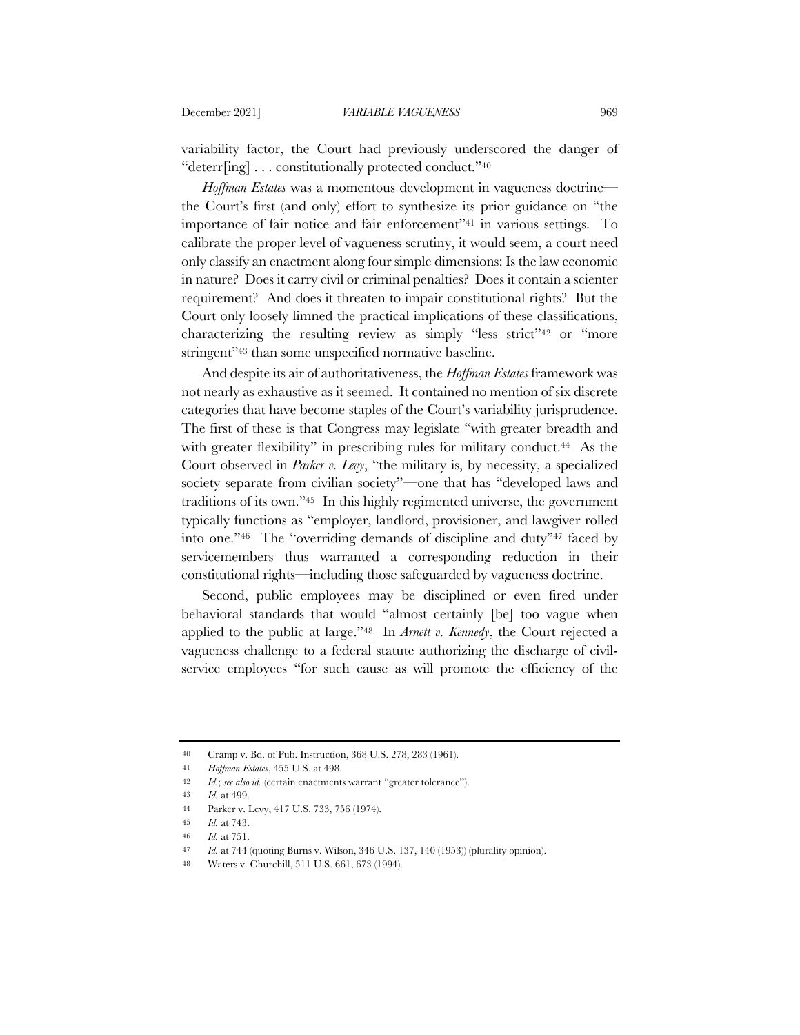variability factor, the Court had previously underscored the danger of "deterr[ing] . . . constitutionally protected conduct."40

*Hoffman Estates* was a momentous development in vagueness doctrine the Court's first (and only) effort to synthesize its prior guidance on "the importance of fair notice and fair enforcement"41 in various settings. To calibrate the proper level of vagueness scrutiny, it would seem, a court need only classify an enactment along four simple dimensions: Is the law economic in nature? Does it carry civil or criminal penalties? Does it contain a scienter requirement? And does it threaten to impair constitutional rights? But the Court only loosely limned the practical implications of these classifications, characterizing the resulting review as simply "less strict"42 or "more stringent"<sup>43</sup> than some unspecified normative baseline.

And despite its air of authoritativeness, the *Hoffman Estates* framework was not nearly as exhaustive as it seemed. It contained no mention of six discrete categories that have become staples of the Court's variability jurisprudence. The first of these is that Congress may legislate "with greater breadth and with greater flexibility" in prescribing rules for military conduct.<sup>44</sup> As the Court observed in *Parker v. Levy*, "the military is, by necessity, a specialized society separate from civilian society"—one that has "developed laws and traditions of its own."45 In this highly regimented universe, the government typically functions as "employer, landlord, provisioner, and lawgiver rolled into one."46 The "overriding demands of discipline and duty"47 faced by servicemembers thus warranted a corresponding reduction in their constitutional rights—including those safeguarded by vagueness doctrine.

Second, public employees may be disciplined or even fired under behavioral standards that would "almost certainly [be] too vague when applied to the public at large."48 In *Arnett v. Kennedy*, the Court rejected a vagueness challenge to a federal statute authorizing the discharge of civilservice employees "for such cause as will promote the efficiency of the

<sup>40</sup> Cramp v. Bd. of Pub. Instruction, 368 U.S. 278, 283 (1961).

<sup>41</sup> *Hoffman Estates*, 455 U.S. at 498.

<sup>42</sup> *Id.*; *see also id.* (certain enactments warrant "greater tolerance").

<sup>43</sup> *Id.* at 499.

<sup>44</sup> Parker v. Levy, 417 U.S. 733, 756 (1974).

<sup>45</sup> *Id.* at 743.

<sup>46</sup> *Id.* at 751.

<sup>47</sup> *Id.* at 744 (quoting Burns v. Wilson, 346 U.S. 137, 140 (1953)) (plurality opinion).

<sup>48</sup> Waters v. Churchill, 511 U.S. 661, 673 (1994).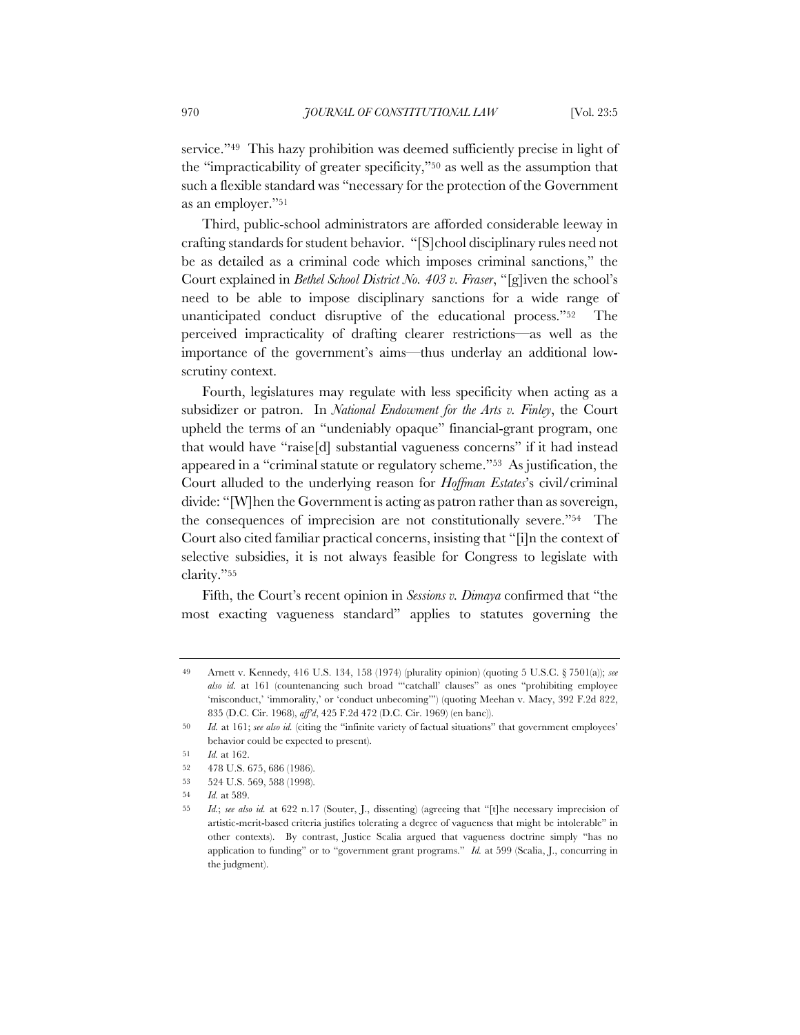service."49 This hazy prohibition was deemed sufficiently precise in light of the "impracticability of greater specificity,"50 as well as the assumption that such a flexible standard was "necessary for the protection of the Government as an employer."51

Third, public-school administrators are afforded considerable leeway in crafting standards for student behavior. "[S]chool disciplinary rules need not be as detailed as a criminal code which imposes criminal sanctions," the Court explained in *Bethel School District No. 403 v. Fraser*, "[g]iven the school's need to be able to impose disciplinary sanctions for a wide range of unanticipated conduct disruptive of the educational process."52 The perceived impracticality of drafting clearer restrictions—as well as the importance of the government's aims—thus underlay an additional lowscrutiny context.

Fourth, legislatures may regulate with less specificity when acting as a subsidizer or patron. In *National Endowment for the Arts v. Finley*, the Court upheld the terms of an "undeniably opaque" financial-grant program, one that would have "raise[d] substantial vagueness concerns" if it had instead appeared in a "criminal statute or regulatory scheme."53 As justification, the Court alluded to the underlying reason for *Hoffman Estates*'s civil/criminal divide: "[W]hen the Government is acting as patron rather than as sovereign, the consequences of imprecision are not constitutionally severe."54 The Court also cited familiar practical concerns, insisting that "[i]n the context of selective subsidies, it is not always feasible for Congress to legislate with clarity."55

Fifth, the Court's recent opinion in *Sessions v. Dimaya* confirmed that "the most exacting vagueness standard" applies to statutes governing the

<sup>49</sup> Arnett v. Kennedy, 416 U.S. 134, 158 (1974) (plurality opinion) (quoting 5 U.S.C. § 7501(a)); *see also id.* at 161 (countenancing such broad "'catchall' clauses" as ones "prohibiting employee 'misconduct,' 'immorality,' or 'conduct unbecoming'") (quoting Meehan v. Macy, 392 F.2d 822, 835 (D.C. Cir. 1968), *aff'd*, 425 F.2d 472 (D.C. Cir. 1969) (en banc)).

<sup>50</sup> *Id.* at 161; *see also id.* (citing the "infinite variety of factual situations" that government employees' behavior could be expected to present).

<sup>51</sup> *Id.* at 162.

<sup>52</sup> 478 U.S. 675, 686 (1986).

<sup>53</sup> 524 U.S. 569, 588 (1998).

<sup>54</sup> *Id.* at 589.

<sup>55</sup> *Id.*; *see also id.* at 622 n.17 (Souter, J., dissenting) (agreeing that "[t]he necessary imprecision of artistic-merit-based criteria justifies tolerating a degree of vagueness that might be intolerable" in other contexts). By contrast, Justice Scalia argued that vagueness doctrine simply "has no application to funding" or to "government grant programs." *Id.* at 599 (Scalia, J., concurring in the judgment).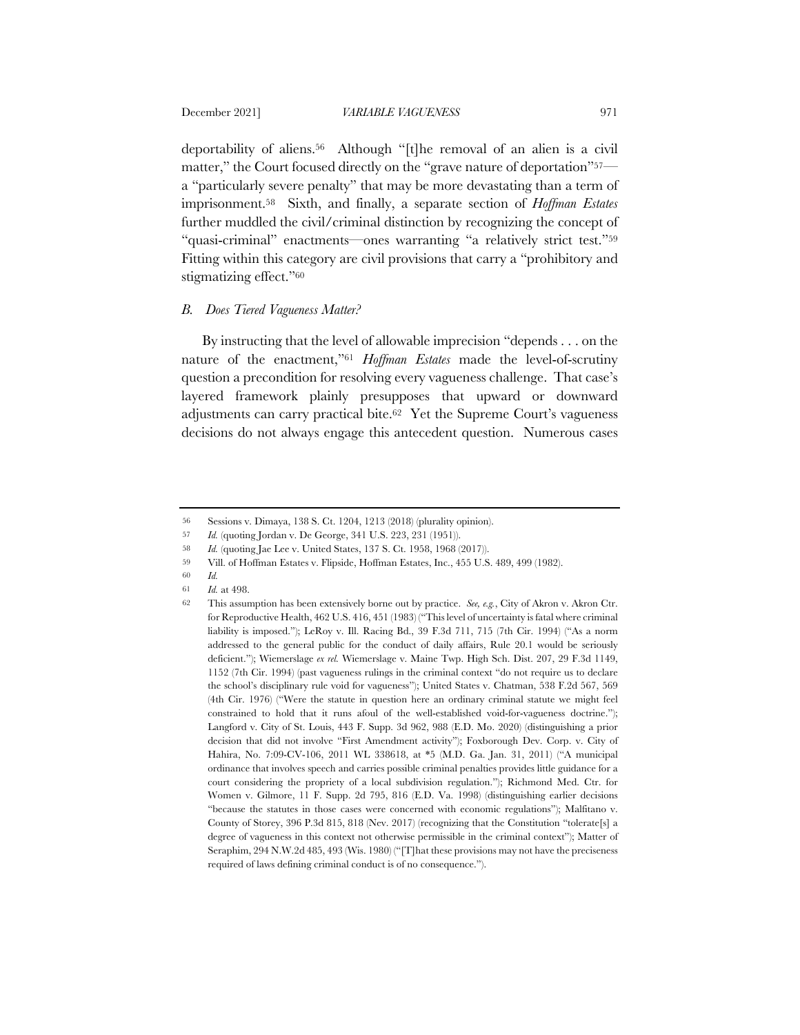deportability of aliens.56 Although "[t]he removal of an alien is a civil matter," the Court focused directly on the "grave nature of deportation"57 a "particularly severe penalty" that may be more devastating than a term of imprisonment.58 Sixth, and finally, a separate section of *Hoffman Estates* further muddled the civil/criminal distinction by recognizing the concept of "quasi-criminal" enactments—ones warranting "a relatively strict test."59 Fitting within this category are civil provisions that carry a "prohibitory and stigmatizing effect."60

## *B. Does Tiered Vagueness Matter?*

By instructing that the level of allowable imprecision "depends . . . on the nature of the enactment,"61 *Hoffman Estates* made the level-of-scrutiny question a precondition for resolving every vagueness challenge. That case's layered framework plainly presupposes that upward or downward adjustments can carry practical bite.62 Yet the Supreme Court's vagueness decisions do not always engage this antecedent question. Numerous cases

- 60 *Id.*
- 61 *Id.* at 498.

<sup>56</sup> Sessions v. Dimaya, 138 S. Ct. 1204, 1213 (2018) (plurality opinion).

<sup>57</sup> *Id.* (quoting Jordan v. De George, 341 U.S. 223, 231 (1951)).

<sup>58</sup> *Id.* (quoting Jae Lee v. United States, 137 S. Ct. 1958, 1968 (2017)).

<sup>59</sup> Vill. of Hoffman Estates v. Flipside, Hoffman Estates, Inc., 455 U.S. 489, 499 (1982).

<sup>62</sup> This assumption has been extensively borne out by practice. *See, e.g.*, City of Akron v. Akron Ctr. for Reproductive Health, 462 U.S. 416, 451 (1983) ("This level of uncertainty is fatal where criminal liability is imposed."); LeRoy v. Ill. Racing Bd., 39 F.3d 711, 715 (7th Cir. 1994) ("As a norm addressed to the general public for the conduct of daily affairs, Rule 20.1 would be seriously deficient."); Wiemerslage *ex rel.* Wiemerslage v. Maine Twp. High Sch. Dist. 207, 29 F.3d 1149, 1152 (7th Cir. 1994) (past vagueness rulings in the criminal context "do not require us to declare the school's disciplinary rule void for vagueness"); United States v. Chatman, 538 F.2d 567, 569 (4th Cir. 1976) ("Were the statute in question here an ordinary criminal statute we might feel constrained to hold that it runs afoul of the well-established void-for-vagueness doctrine."); Langford v. City of St. Louis, 443 F. Supp. 3d 962, 988 (E.D. Mo. 2020) (distinguishing a prior decision that did not involve "First Amendment activity"); Foxborough Dev. Corp. v. City of Hahira, No. 7:09-CV-106, 2011 WL 338618, at \*5 (M.D. Ga. Jan. 31, 2011) ("A municipal ordinance that involves speech and carries possible criminal penalties provides little guidance for a court considering the propriety of a local subdivision regulation."); Richmond Med. Ctr. for Women v. Gilmore, 11 F. Supp. 2d 795, 816 (E.D. Va. 1998) (distinguishing earlier decisions "because the statutes in those cases were concerned with economic regulations"); Malfitano v. County of Storey, 396 P.3d 815, 818 (Nev. 2017) (recognizing that the Constitution "tolerate[s] a degree of vagueness in this context not otherwise permissible in the criminal context"); Matter of Seraphim, 294 N.W.2d 485, 493 (Wis. 1980) ("[T]hat these provisions may not have the preciseness required of laws defining criminal conduct is of no consequence.").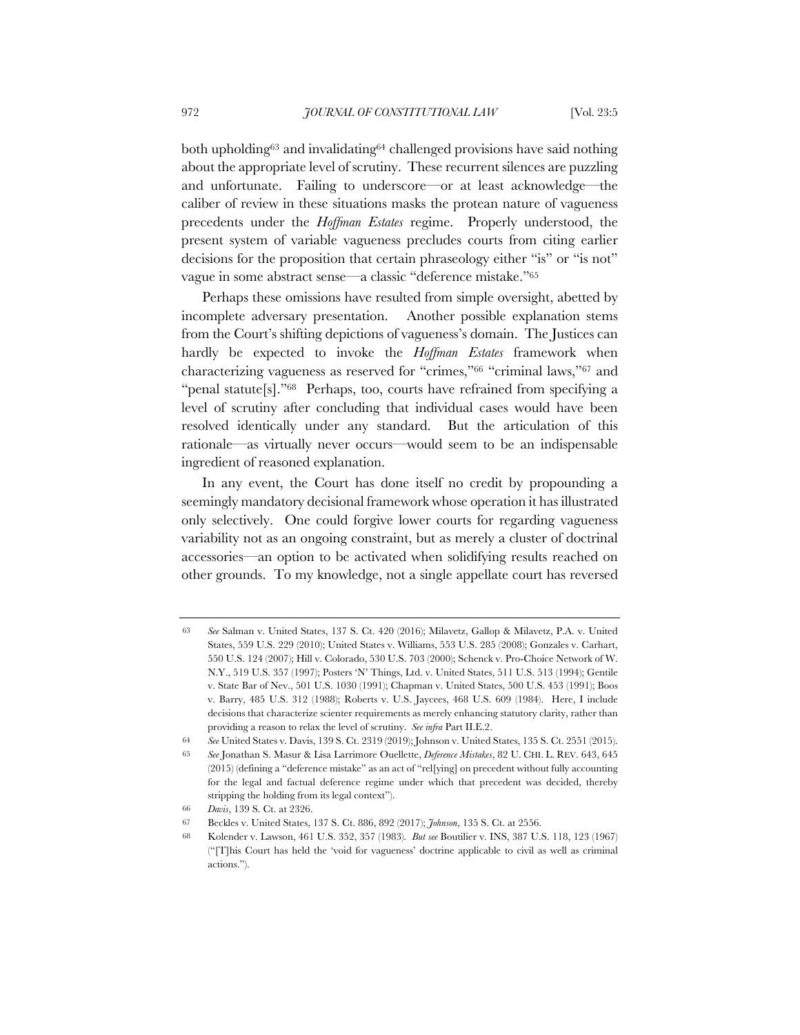both upholding63 and invalidating64 challenged provisions have said nothing about the appropriate level of scrutiny. These recurrent silences are puzzling and unfortunate. Failing to underscore—or at least acknowledge—the caliber of review in these situations masks the protean nature of vagueness precedents under the *Hoffman Estates* regime. Properly understood, the present system of variable vagueness precludes courts from citing earlier decisions for the proposition that certain phraseology either "is" or "is not" vague in some abstract sense—a classic "deference mistake."65

Perhaps these omissions have resulted from simple oversight, abetted by incomplete adversary presentation. Another possible explanation stems from the Court's shifting depictions of vagueness's domain. The Justices can hardly be expected to invoke the *Hoffman Estates* framework when characterizing vagueness as reserved for "crimes,"66 "criminal laws,"67 and "penal statute[s]."<sup>68</sup> Perhaps, too, courts have refrained from specifying a level of scrutiny after concluding that individual cases would have been resolved identically under any standard. But the articulation of this rationale—as virtually never occurs—would seem to be an indispensable ingredient of reasoned explanation.

In any event, the Court has done itself no credit by propounding a seemingly mandatory decisional framework whose operation it has illustrated only selectively. One could forgive lower courts for regarding vagueness variability not as an ongoing constraint, but as merely a cluster of doctrinal accessories—an option to be activated when solidifying results reached on other grounds. To my knowledge, not a single appellate court has reversed

<sup>63</sup> *See* Salman v. United States, 137 S. Ct. 420 (2016); Milavetz, Gallop & Milavetz, P.A. v. United States, 559 U.S. 229 (2010); United States v. Williams, 553 U.S. 285 (2008); Gonzales v. Carhart, 550 U.S. 124 (2007); Hill v. Colorado, 530 U.S. 703 (2000); Schenck v. Pro-Choice Network of W. N.Y., 519 U.S. 357 (1997); Posters 'N' Things, Ltd. v. United States, 511 U.S. 513 (1994); Gentile v. State Bar of Nev., 501 U.S. 1030 (1991); Chapman v. United States, 500 U.S. 453 (1991); Boos v. Barry, 485 U.S. 312 (1988); Roberts v. U.S. Jaycees, 468 U.S. 609 (1984). Here, I include decisions that characterize scienter requirements as merely enhancing statutory clarity, rather than providing a reason to relax the level of scrutiny. *See infra* Part II.E.2.

<sup>64</sup> *See* United States v. Davis, 139 S. Ct. 2319 (2019); Johnson v. United States, 135 S. Ct. 2551 (2015).

<sup>65</sup> *See* Jonathan S. Masur & Lisa Larrimore Ouellette, *Deference Mistakes*, 82 U. CHI. L. REV. 643, 645 (2015) (defining a "deference mistake" as an act of "rel[ying] on precedent without fully accounting for the legal and factual deference regime under which that precedent was decided, thereby stripping the holding from its legal context").

<sup>66</sup> *Davis*, 139 S. Ct. at 2326.

<sup>67</sup> Beckles v. United States, 137 S. Ct. 886, 892 (2017); *Johnson*, 135 S. Ct. at 2556.

<sup>68</sup> Kolender v. Lawson, 461 U.S. 352, 357 (1983)*. But see* Boutilier v. INS, 387 U.S. 118, 123 (1967) ("[T]his Court has held the 'void for vagueness' doctrine applicable to civil as well as criminal actions.").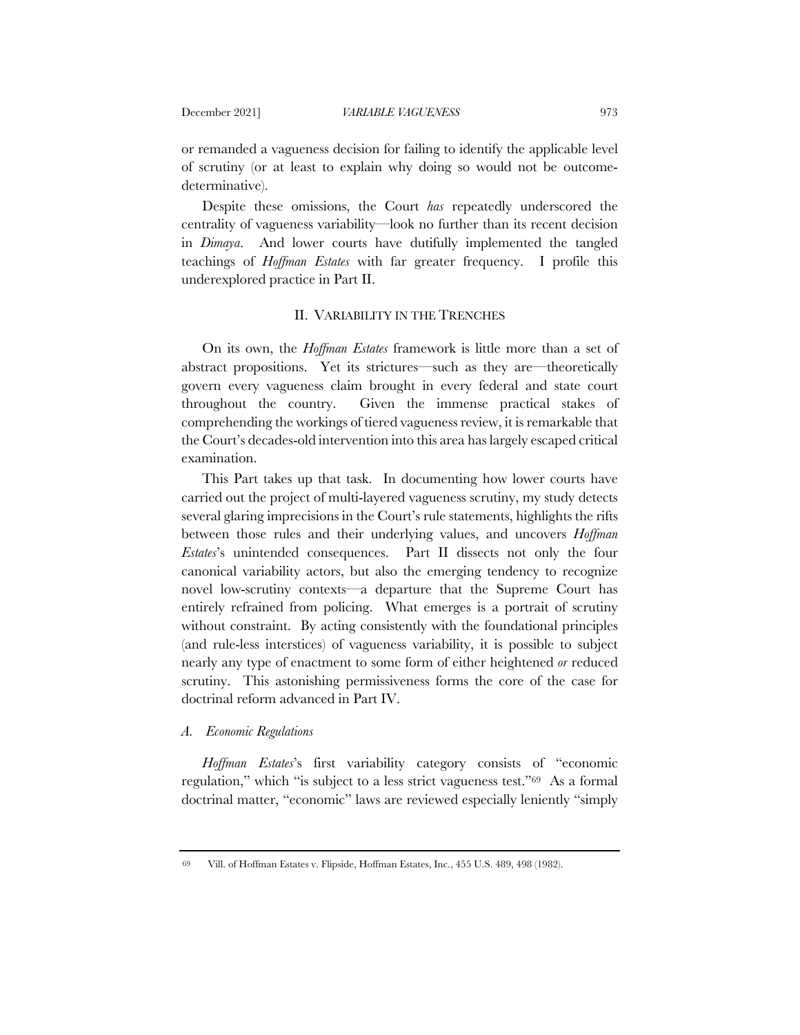or remanded a vagueness decision for failing to identify the applicable level of scrutiny (or at least to explain why doing so would not be outcomedeterminative).

Despite these omissions, the Court *has* repeatedly underscored the centrality of vagueness variability—look no further than its recent decision in *Dimaya*. And lower courts have dutifully implemented the tangled teachings of *Hoffman Estates* with far greater frequency. I profile this underexplored practice in Part II.

## II. VARIABILITY IN THE TRENCHES

On its own, the *Hoffman Estates* framework is little more than a set of abstract propositions. Yet its strictures—such as they are—theoretically govern every vagueness claim brought in every federal and state court throughout the country. Given the immense practical stakes of comprehending the workings of tiered vagueness review, it is remarkable that the Court's decades-old intervention into this area has largely escaped critical examination.

This Part takes up that task. In documenting how lower courts have carried out the project of multi-layered vagueness scrutiny, my study detects several glaring imprecisions in the Court's rule statements, highlights the rifts between those rules and their underlying values, and uncovers *Hoffman Estates*'s unintended consequences. Part II dissects not only the four canonical variability actors, but also the emerging tendency to recognize novel low-scrutiny contexts—a departure that the Supreme Court has entirely refrained from policing. What emerges is a portrait of scrutiny without constraint. By acting consistently with the foundational principles (and rule-less interstices) of vagueness variability, it is possible to subject nearly any type of enactment to some form of either heightened *or* reduced scrutiny. This astonishing permissiveness forms the core of the case for doctrinal reform advanced in Part IV.

#### *A. Economic Regulations*

*Hoffman Estates*'s first variability category consists of "economic regulation," which "is subject to a less strict vagueness test."69 As a formal doctrinal matter, "economic" laws are reviewed especially leniently "simply

<sup>69</sup> Vill. of Hoffman Estates v. Flipside, Hoffman Estates, Inc., 455 U.S. 489, 498 (1982).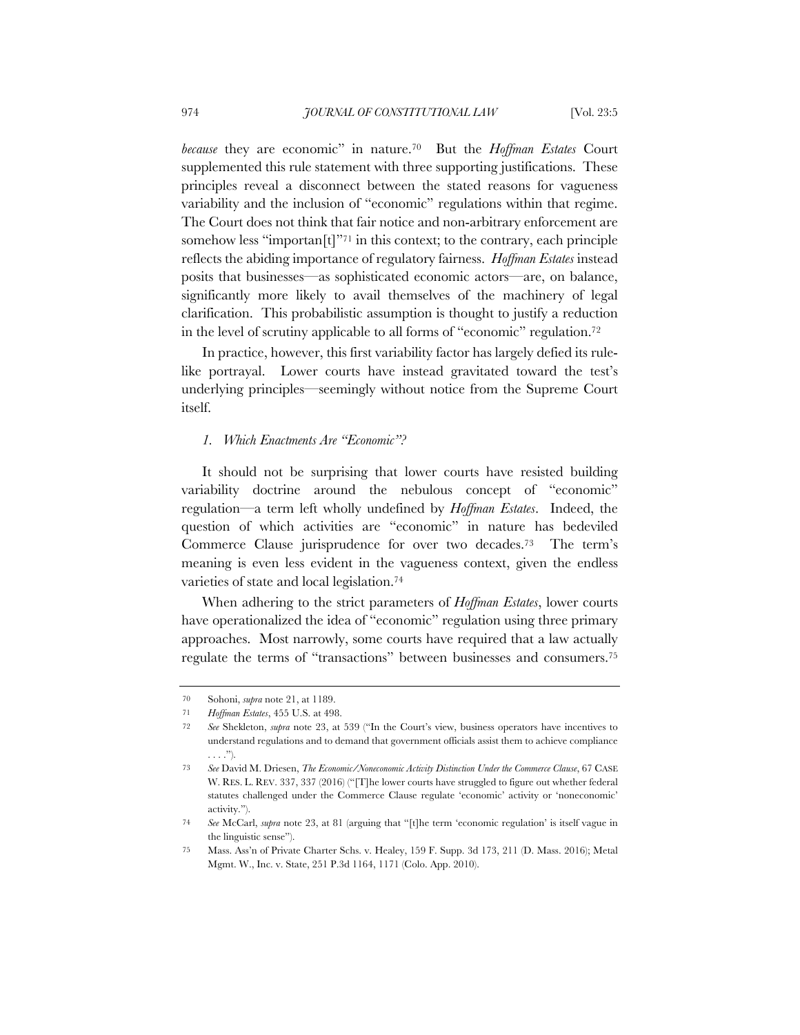*because* they are economic" in nature.70 But the *Hoffman Estates* Court supplemented this rule statement with three supporting justifications. These principles reveal a disconnect between the stated reasons for vagueness variability and the inclusion of "economic" regulations within that regime. The Court does not think that fair notice and non-arbitrary enforcement are somehow less "importan $[t]$ "<sup>71</sup> in this context; to the contrary, each principle reflects the abiding importance of regulatory fairness. *Hoffman Estates* instead posits that businesses—as sophisticated economic actors—are, on balance, significantly more likely to avail themselves of the machinery of legal clarification. This probabilistic assumption is thought to justify a reduction in the level of scrutiny applicable to all forms of "economic" regulation.72

In practice, however, this first variability factor has largely defied its rulelike portrayal. Lower courts have instead gravitated toward the test's underlying principles—seemingly without notice from the Supreme Court itself.

## *1. Which Enactments Are "Economic"?*

It should not be surprising that lower courts have resisted building variability doctrine around the nebulous concept of "economic" regulation—a term left wholly undefined by *Hoffman Estates*. Indeed, the question of which activities are "economic" in nature has bedeviled Commerce Clause jurisprudence for over two decades.73 The term's meaning is even less evident in the vagueness context, given the endless varieties of state and local legislation.74

When adhering to the strict parameters of *Hoffman Estates*, lower courts have operationalized the idea of "economic" regulation using three primary approaches. Most narrowly, some courts have required that a law actually regulate the terms of "transactions" between businesses and consumers.75

<sup>70</sup> Sohoni, *supra* note 21, at 1189.

<sup>71</sup> *Hoffman Estates*, 455 U.S. at 498.

<sup>72</sup> *See* Shekleton, *supra* note 23, at 539 ("In the Court's view, business operators have incentives to understand regulations and to demand that government officials assist them to achieve compliance . . . .").

<sup>73</sup> *See* David M. Driesen, *The Economic/Noneconomic Activity Distinction Under the Commerce Clause*, 67 CASE W. RES. L. REV. 337, 337 (2016) ("[T]he lower courts have struggled to figure out whether federal statutes challenged under the Commerce Clause regulate 'economic' activity or 'noneconomic' activity.").

<sup>74</sup> *See* McCarl, *supra* note 23, at 81 (arguing that "[t]he term 'economic regulation' is itself vague in the linguistic sense").

<sup>75</sup> Mass. Ass'n of Private Charter Schs. v. Healey, 159 F. Supp. 3d 173, 211 (D. Mass. 2016); Metal Mgmt. W., Inc. v. State, 251 P.3d 1164, 1171 (Colo. App. 2010).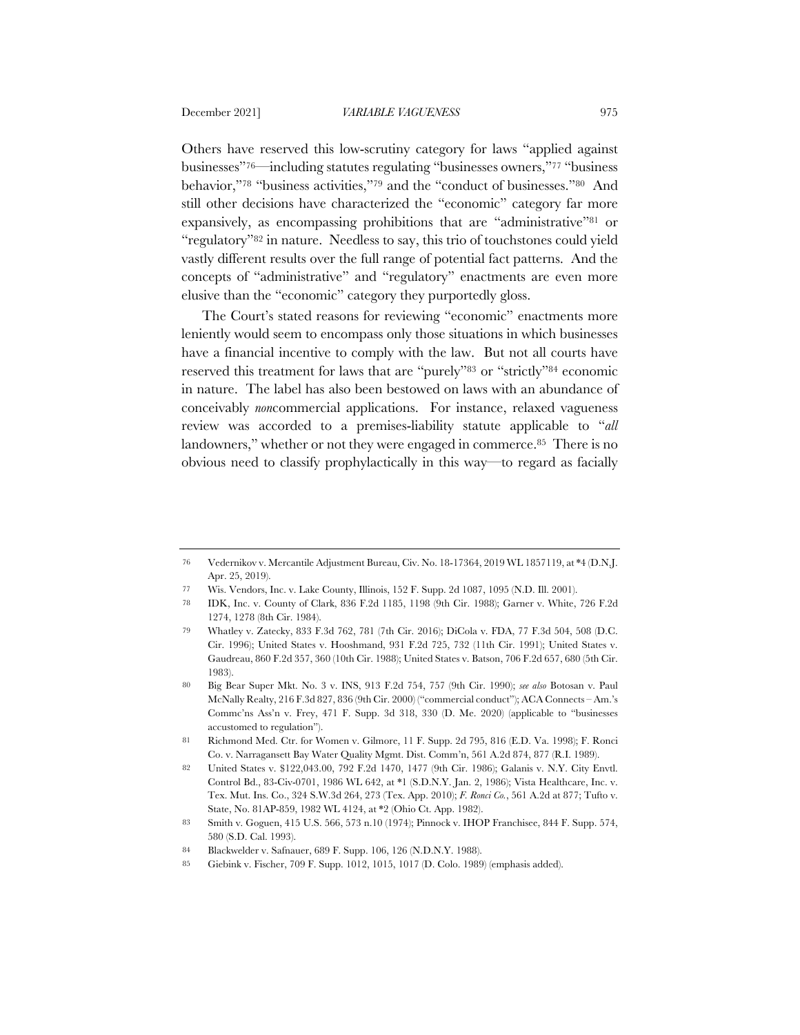Others have reserved this low-scrutiny category for laws "applied against businesses"76—including statutes regulating "businesses owners,"77 "business behavior,"78 "business activities,"79 and the "conduct of businesses."80 And still other decisions have characterized the "economic" category far more expansively, as encompassing prohibitions that are "administrative"81 or "regulatory"82 in nature. Needless to say, this trio of touchstones could yield vastly different results over the full range of potential fact patterns. And the concepts of "administrative" and "regulatory" enactments are even more elusive than the "economic" category they purportedly gloss.

The Court's stated reasons for reviewing "economic" enactments more leniently would seem to encompass only those situations in which businesses have a financial incentive to comply with the law. But not all courts have reserved this treatment for laws that are "purely"83 or "strictly"84 economic in nature. The label has also been bestowed on laws with an abundance of conceivably *non*commercial applications. For instance, relaxed vagueness review was accorded to a premises-liability statute applicable to "*all* landowners," whether or not they were engaged in commerce.<sup>85</sup> There is no obvious need to classify prophylactically in this way—to regard as facially

<sup>76</sup> Vedernikov v. Mercantile Adjustment Bureau, Civ. No. 18-17364, 2019 WL 1857119, at \*4 (D.N.J. Apr. 25, 2019).

<sup>77</sup> Wis. Vendors, Inc. v. Lake County, Illinois, 152 F. Supp. 2d 1087, 1095 (N.D. Ill. 2001).

<sup>78</sup> IDK, Inc. v. County of Clark, 836 F.2d 1185, 1198 (9th Cir. 1988); Garner v. White, 726 F.2d 1274, 1278 (8th Cir. 1984).

<sup>79</sup> Whatley v. Zatecky, 833 F.3d 762, 781 (7th Cir. 2016); DiCola v. FDA, 77 F.3d 504, 508 (D.C. Cir. 1996); United States v. Hooshmand, 931 F.2d 725, 732 (11th Cir. 1991); United States v. Gaudreau, 860 F.2d 357, 360 (10th Cir. 1988); United States v. Batson, 706 F.2d 657, 680 (5th Cir. 1983).

<sup>80</sup> Big Bear Super Mkt. No. 3 v. INS, 913 F.2d 754, 757 (9th Cir. 1990); *see also* Botosan v. Paul McNally Realty, 216 F.3d 827, 836 (9th Cir. 2000) ("commercial conduct"); ACA Connects – Am.'s Commc'ns Ass'n v. Frey, 471 F. Supp. 3d 318, 330 (D. Me. 2020) (applicable to "businesses accustomed to regulation").

<sup>81</sup> Richmond Med. Ctr. for Women v. Gilmore, 11 F. Supp. 2d 795, 816 (E.D. Va. 1998); F. Ronci Co. v. Narragansett Bay Water Quality Mgmt. Dist. Comm'n, 561 A.2d 874, 877 (R.I. 1989).

<sup>82</sup> United States v. \$122,043.00, 792 F.2d 1470, 1477 (9th Cir. 1986); Galanis v. N.Y. City Envtl. Control Bd., 83-Civ-0701, 1986 WL 642, at \*1 (S.D.N.Y. Jan. 2, 1986); Vista Healthcare, Inc. v. Tex. Mut. Ins. Co., 324 S.W.3d 264, 273 (Tex. App. 2010); *F. Ronci Co.*, 561 A.2d at 877; Tufto v. State, No. 81AP-859, 1982 WL 4124, at \*2 (Ohio Ct. App. 1982).

<sup>83</sup> Smith v. Goguen, 415 U.S. 566, 573 n.10 (1974); Pinnock v. IHOP Franchisee, 844 F. Supp. 574, 580 (S.D. Cal. 1993).

<sup>84</sup> Blackwelder v. Safnauer, 689 F. Supp. 106, 126 (N.D.N.Y. 1988).

<sup>85</sup> Giebink v. Fischer, 709 F. Supp. 1012, 1015, 1017 (D. Colo. 1989) (emphasis added).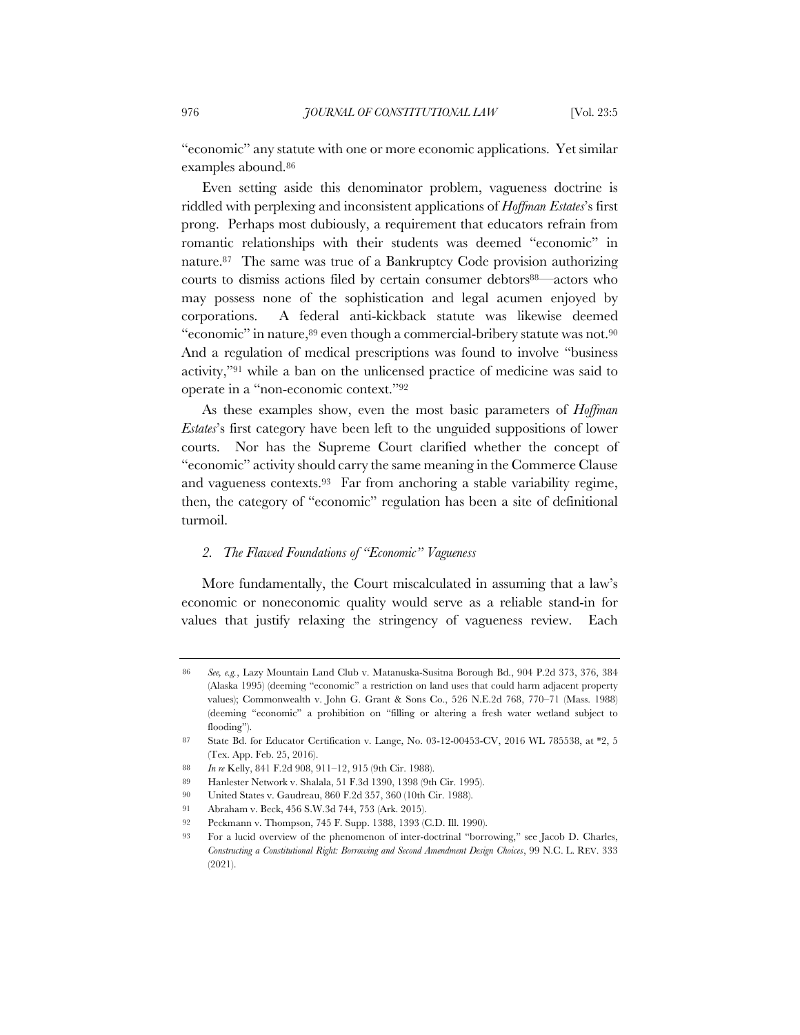"economic" any statute with one or more economic applications. Yet similar examples abound.86

Even setting aside this denominator problem, vagueness doctrine is riddled with perplexing and inconsistent applications of *Hoffman Estates*'s first prong. Perhaps most dubiously, a requirement that educators refrain from romantic relationships with their students was deemed "economic" in nature.87 The same was true of a Bankruptcy Code provision authorizing courts to dismiss actions filed by certain consumer debtors88—actors who may possess none of the sophistication and legal acumen enjoyed by corporations. A federal anti-kickback statute was likewise deemed "economic" in nature,89 even though a commercial-bribery statute was not.90 And a regulation of medical prescriptions was found to involve "business activity,"91 while a ban on the unlicensed practice of medicine was said to operate in a "non-economic context."92

As these examples show, even the most basic parameters of *Hoffman Estates*'s first category have been left to the unguided suppositions of lower courts. Nor has the Supreme Court clarified whether the concept of "economic" activity should carry the same meaning in the Commerce Clause and vagueness contexts.93 Far from anchoring a stable variability regime, then, the category of "economic" regulation has been a site of definitional turmoil.

### *2. The Flawed Foundations of "Economic" Vagueness*

More fundamentally, the Court miscalculated in assuming that a law's economic or noneconomic quality would serve as a reliable stand-in for values that justify relaxing the stringency of vagueness review. Each

90 United States v. Gaudreau, 860 F.2d 357, 360 (10th Cir. 1988).

<sup>86</sup> *See, e.g.*, Lazy Mountain Land Club v. Matanuska-Susitna Borough Bd., 904 P.2d 373, 376, 384 (Alaska 1995) (deeming "economic" a restriction on land uses that could harm adjacent property values); Commonwealth v. John G. Grant & Sons Co., 526 N.E.2d 768, 770–71 (Mass. 1988) (deeming "economic" a prohibition on "filling or altering a fresh water wetland subject to flooding").

<sup>87</sup> State Bd. for Educator Certification v. Lange, No. 03-12-00453-CV, 2016 WL 785538, at \*2, 5 (Tex. App. Feb. 25, 2016).

<sup>88</sup> *In re* Kelly, 841 F.2d 908, 911–12, 915 (9th Cir. 1988).

<sup>89</sup> Hanlester Network v. Shalala, 51 F.3d 1390, 1398 (9th Cir. 1995).

<sup>91</sup> Abraham v. Beck, 456 S.W.3d 744, 753 (Ark. 2015).

<sup>92</sup> Peckmann v. Thompson, 745 F. Supp. 1388, 1393 (C.D. Ill. 1990).

<sup>93</sup> For a lucid overview of the phenomenon of inter-doctrinal "borrowing," see Jacob D. Charles, *Constructing a Constitutional Right: Borrowing and Second Amendment Design Choices*, 99 N.C. L. REV. 333 (2021).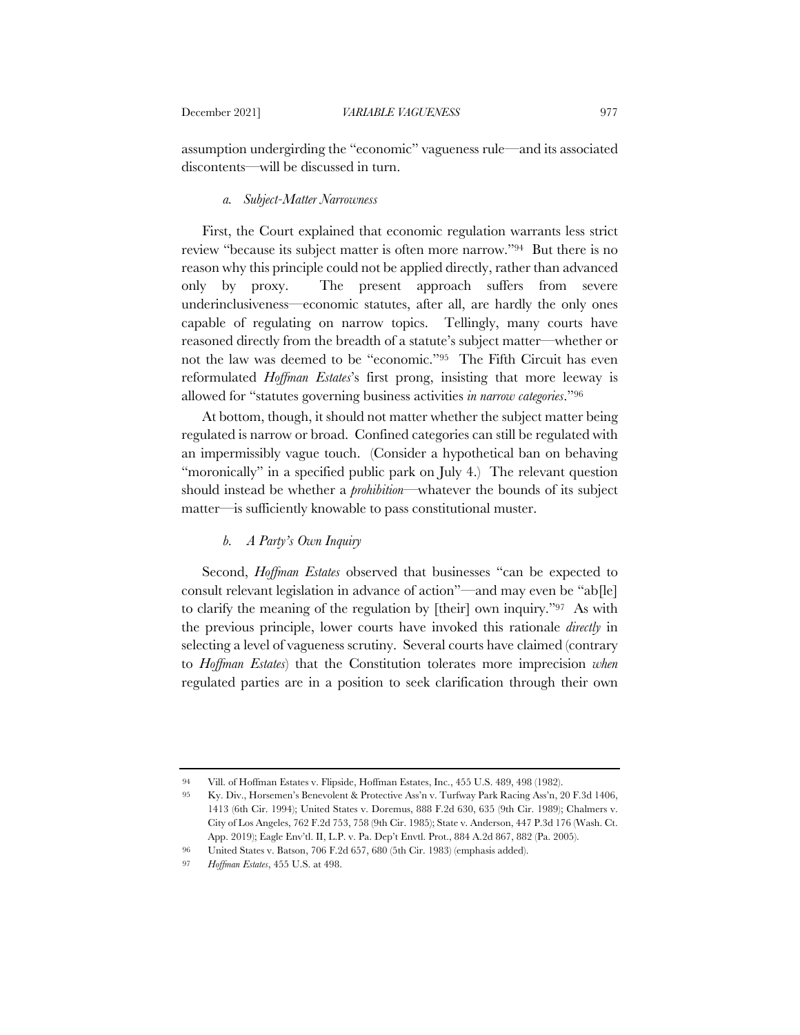assumption undergirding the "economic" vagueness rule—and its associated discontents—will be discussed in turn.

#### *a. Subject-Matter Narrowness*

First, the Court explained that economic regulation warrants less strict review "because its subject matter is often more narrow."94 But there is no reason why this principle could not be applied directly, rather than advanced only by proxy. The present approach suffers from severe underinclusiveness—economic statutes, after all, are hardly the only ones capable of regulating on narrow topics. Tellingly, many courts have reasoned directly from the breadth of a statute's subject matter—whether or not the law was deemed to be "economic."95 The Fifth Circuit has even reformulated *Hoffman Estates*'s first prong, insisting that more leeway is allowed for "statutes governing business activities *in narrow categories*."96

At bottom, though, it should not matter whether the subject matter being regulated is narrow or broad. Confined categories can still be regulated with an impermissibly vague touch. (Consider a hypothetical ban on behaving "moronically" in a specified public park on July 4.) The relevant question should instead be whether a *prohibition*—whatever the bounds of its subject matter—is sufficiently knowable to pass constitutional muster.

#### *b. A Party's Own Inquiry*

Second, *Hoffman Estates* observed that businesses "can be expected to consult relevant legislation in advance of action"—and may even be "ab[le] to clarify the meaning of the regulation by [their] own inquiry."97 As with the previous principle, lower courts have invoked this rationale *directly* in selecting a level of vagueness scrutiny. Several courts have claimed (contrary to *Hoffman Estates*) that the Constitution tolerates more imprecision *when* regulated parties are in a position to seek clarification through their own

<sup>94</sup> Vill. of Hoffman Estates v. Flipside, Hoffman Estates, Inc., 455 U.S. 489, 498 (1982).

<sup>95</sup> Ky. Div., Horsemen's Benevolent & Protective Ass'n v. Turfway Park Racing Ass'n, 20 F.3d 1406, 1413 (6th Cir. 1994); United States v. Doremus, 888 F.2d 630, 635 (9th Cir. 1989); Chalmers v. City of Los Angeles, 762 F.2d 753, 758 (9th Cir. 1985); State v. Anderson, 447 P.3d 176 (Wash. Ct. App. 2019); Eagle Env'tl. II, L.P. v. Pa. Dep't Envtl. Prot., 884 A.2d 867, 882 (Pa. 2005).

<sup>96</sup> United States v. Batson, 706 F.2d 657, 680 (5th Cir. 1983) (emphasis added).

<sup>97</sup> *Hoffman Estates*, 455 U.S. at 498.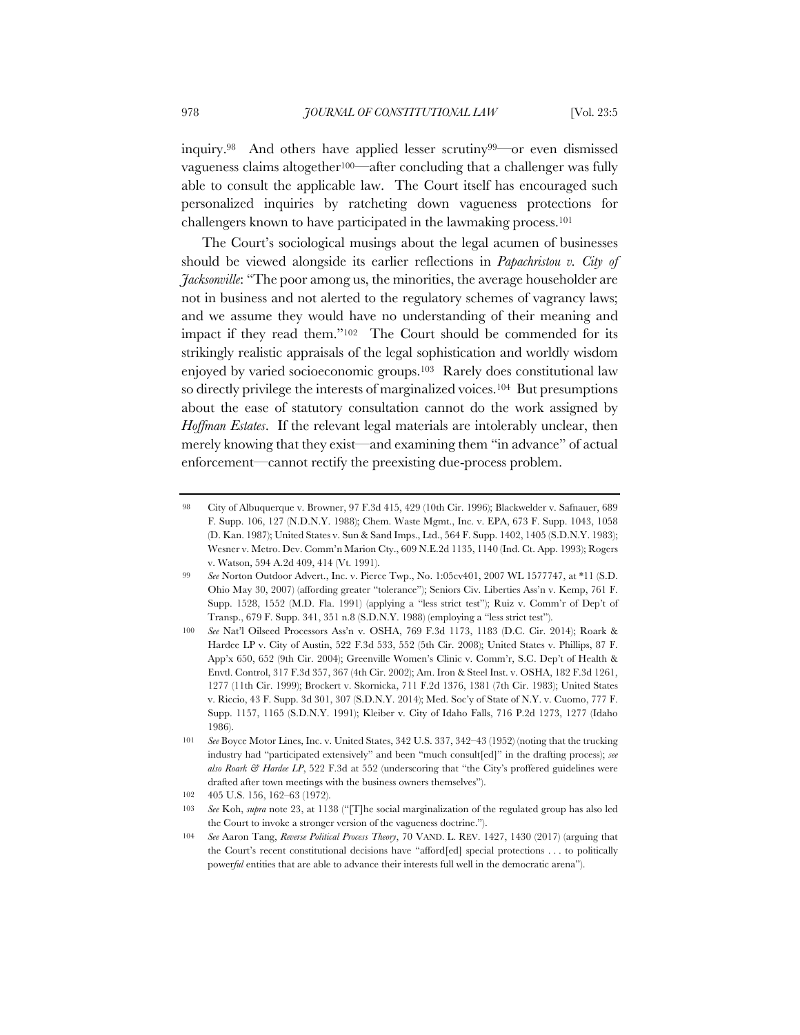inquiry.98 And others have applied lesser scrutiny99—or even dismissed vagueness claims altogether100—after concluding that a challenger was fully able to consult the applicable law. The Court itself has encouraged such personalized inquiries by ratcheting down vagueness protections for challengers known to have participated in the lawmaking process.101

The Court's sociological musings about the legal acumen of businesses should be viewed alongside its earlier reflections in *Papachristou v. City of Jacksonville*: "The poor among us, the minorities, the average householder are not in business and not alerted to the regulatory schemes of vagrancy laws; and we assume they would have no understanding of their meaning and impact if they read them."102 The Court should be commended for its strikingly realistic appraisals of the legal sophistication and worldly wisdom enjoyed by varied socioeconomic groups.103 Rarely does constitutional law so directly privilege the interests of marginalized voices.104 But presumptions about the ease of statutory consultation cannot do the work assigned by *Hoffman Estates*. If the relevant legal materials are intolerably unclear, then merely knowing that they exist—and examining them "in advance" of actual enforcement—cannot rectify the preexisting due-process problem.

<sup>98</sup> City of Albuquerque v. Browner, 97 F.3d 415, 429 (10th Cir. 1996); Blackwelder v. Safnauer, 689 F. Supp. 106, 127 (N.D.N.Y. 1988); Chem. Waste Mgmt., Inc. v. EPA, 673 F. Supp. 1043, 1058 (D. Kan. 1987); United States v. Sun & Sand Imps., Ltd., 564 F. Supp. 1402, 1405 (S.D.N.Y. 1983); Wesner v. Metro. Dev. Comm'n Marion Cty., 609 N.E.2d 1135, 1140 (Ind. Ct. App. 1993); Rogers v. Watson, 594 A.2d 409, 414 (Vt. 1991).

<sup>99</sup> *See* Norton Outdoor Advert., Inc. v. Pierce Twp., No. 1:05cv401, 2007 WL 1577747, at \*11 (S.D. Ohio May 30, 2007) (affording greater "tolerance"); Seniors Civ. Liberties Ass'n v. Kemp, 761 F. Supp. 1528, 1552 (M.D. Fla. 1991) (applying a "less strict test"); Ruiz v. Comm'r of Dep't of Transp., 679 F. Supp. 341, 351 n.8 (S.D.N.Y. 1988) (employing a "less strict test").

<sup>100</sup> *See* Nat'l Oilseed Processors Ass'n v. OSHA, 769 F.3d 1173, 1183 (D.C. Cir. 2014); Roark & Hardee LP v. City of Austin, 522 F.3d 533, 552 (5th Cir. 2008); United States v. Phillips, 87 F. App'x 650, 652 (9th Cir. 2004); Greenville Women's Clinic v. Comm'r, S.C. Dep't of Health & Envtl. Control, 317 F.3d 357, 367 (4th Cir. 2002); Am. Iron & Steel Inst. v. OSHA, 182 F.3d 1261, 1277 (11th Cir. 1999); Brockert v. Skornicka, 711 F.2d 1376, 1381 (7th Cir. 1983); United States v. Riccio, 43 F. Supp. 3d 301, 307 (S.D.N.Y. 2014); Med. Soc'y of State of N.Y. v. Cuomo, 777 F. Supp. 1157, 1165 (S.D.N.Y. 1991); Kleiber v. City of Idaho Falls, 716 P.2d 1273, 1277 (Idaho 1986).

<sup>101</sup> *See* Boyce Motor Lines, Inc. v. United States, 342 U.S. 337, 342–43 (1952) (noting that the trucking industry had "participated extensively" and been "much consult[ed]" in the drafting process); *see also Roark & Hardee LP*, 522 F.3d at 552 (underscoring that "the City's proffered guidelines were drafted after town meetings with the business owners themselves").

<sup>102</sup> 405 U.S. 156, 162–63 (1972).

<sup>103</sup> *See* Koh, *supra* note 23, at 1138 ("[T]he social marginalization of the regulated group has also led the Court to invoke a stronger version of the vagueness doctrine.").

<sup>104</sup> *See* Aaron Tang, *Reverse Political Process Theory*, 70 VAND. L. REV. 1427, 1430 (2017) (arguing that the Court's recent constitutional decisions have "afford[ed] special protections . . . to politically power*ful* entities that are able to advance their interests full well in the democratic arena").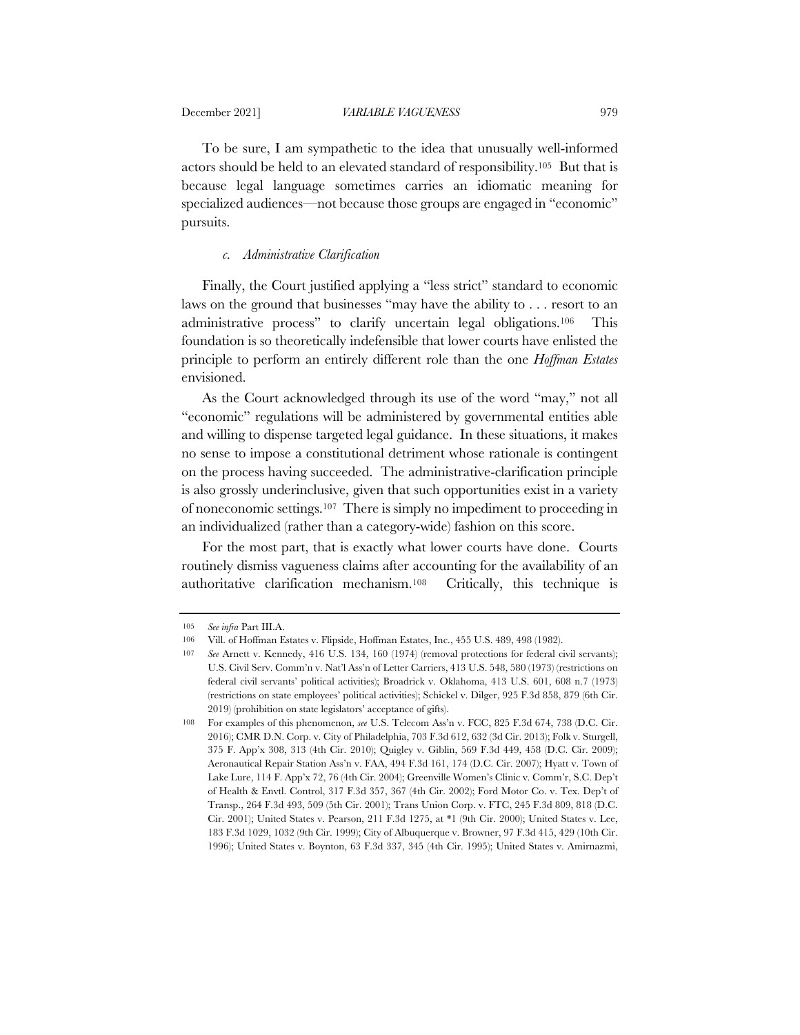To be sure, I am sympathetic to the idea that unusually well-informed actors should be held to an elevated standard of responsibility.105 But that is because legal language sometimes carries an idiomatic meaning for specialized audiences—not because those groups are engaged in "economic" pursuits.

#### *c. Administrative Clarification*

Finally, the Court justified applying a "less strict" standard to economic laws on the ground that businesses "may have the ability to . . . resort to an administrative process" to clarify uncertain legal obligations.106 This foundation is so theoretically indefensible that lower courts have enlisted the principle to perform an entirely different role than the one *Hoffman Estates* envisioned.

As the Court acknowledged through its use of the word "may," not all "economic" regulations will be administered by governmental entities able and willing to dispense targeted legal guidance. In these situations, it makes no sense to impose a constitutional detriment whose rationale is contingent on the process having succeeded. The administrative-clarification principle is also grossly underinclusive, given that such opportunities exist in a variety of noneconomic settings.107 There is simply no impediment to proceeding in an individualized (rather than a category-wide) fashion on this score.

For the most part, that is exactly what lower courts have done. Courts routinely dismiss vagueness claims after accounting for the availability of an authoritative clarification mechanism.108 Critically, this technique is

<sup>105</sup> *See infra* Part III.A.

<sup>106</sup> Vill. of Hoffman Estates v. Flipside, Hoffman Estates, Inc., 455 U.S. 489, 498 (1982).

<sup>107</sup> *See* Arnett v. Kennedy, 416 U.S. 134, 160 (1974) (removal protections for federal civil servants); U.S. Civil Serv. Comm'n v. Nat'l Ass'n of Letter Carriers, 413 U.S. 548, 580 (1973) (restrictions on federal civil servants' political activities); Broadrick v. Oklahoma, 413 U.S. 601, 608 n.7 (1973) (restrictions on state employees' political activities); Schickel v. Dilger, 925 F.3d 858, 879 (6th Cir. 2019) (prohibition on state legislators' acceptance of gifts).

<sup>108</sup> For examples of this phenomenon, *see* U.S. Telecom Ass'n v. FCC, 825 F.3d 674, 738 (D.C. Cir. 2016); CMR D.N. Corp. v. City of Philadelphia, 703 F.3d 612, 632 (3d Cir. 2013); Folk v. Sturgell, 375 F. App'x 308, 313 (4th Cir. 2010); Quigley v. Giblin, 569 F.3d 449, 458 (D.C. Cir. 2009); Aeronautical Repair Station Ass'n v. FAA, 494 F.3d 161, 174 (D.C. Cir. 2007); Hyatt v. Town of Lake Lure, 114 F. App'x 72, 76 (4th Cir. 2004); Greenville Women's Clinic v. Comm'r, S.C. Dep't of Health & Envtl. Control, 317 F.3d 357, 367 (4th Cir. 2002); Ford Motor Co. v. Tex. Dep't of Transp., 264 F.3d 493, 509 (5th Cir. 2001); Trans Union Corp. v. FTC, 245 F.3d 809, 818 (D.C. Cir. 2001); United States v. Pearson, 211 F.3d 1275, at \*1 (9th Cir. 2000); United States v. Lee, 183 F.3d 1029, 1032 (9th Cir. 1999); City of Albuquerque v. Browner, 97 F.3d 415, 429 (10th Cir. 1996); United States v. Boynton, 63 F.3d 337, 345 (4th Cir. 1995); United States v. Amirnazmi,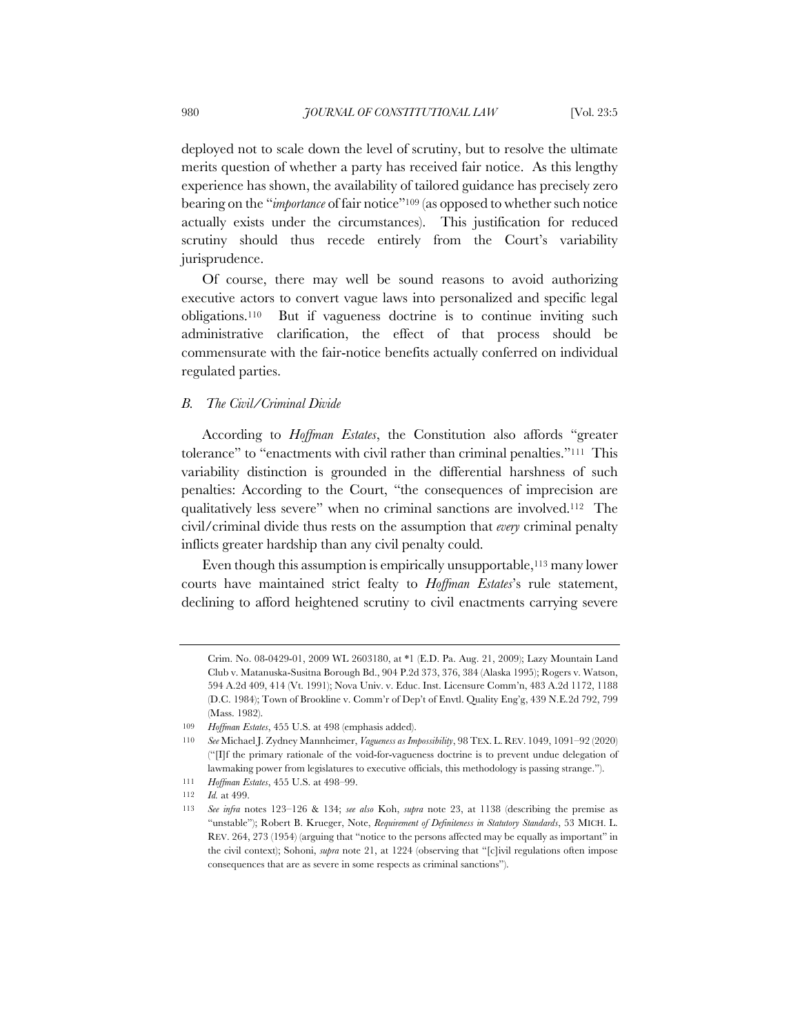deployed not to scale down the level of scrutiny, but to resolve the ultimate merits question of whether a party has received fair notice. As this lengthy experience has shown, the availability of tailored guidance has precisely zero bearing on the "*importance* of fair notice"109 (as opposed to whether such notice actually exists under the circumstances). This justification for reduced scrutiny should thus recede entirely from the Court's variability jurisprudence.

Of course, there may well be sound reasons to avoid authorizing executive actors to convert vague laws into personalized and specific legal obligations.110 But if vagueness doctrine is to continue inviting such administrative clarification, the effect of that process should be commensurate with the fair-notice benefits actually conferred on individual regulated parties.

#### *B. The Civil/Criminal Divide*

According to *Hoffman Estates*, the Constitution also affords "greater tolerance" to "enactments with civil rather than criminal penalties."111 This variability distinction is grounded in the differential harshness of such penalties: According to the Court, "the consequences of imprecision are qualitatively less severe" when no criminal sanctions are involved.112 The civil/criminal divide thus rests on the assumption that *every* criminal penalty inflicts greater hardship than any civil penalty could.

Even though this assumption is empirically unsupportable,<sup>113</sup> many lower courts have maintained strict fealty to *Hoffman Estates*'s rule statement, declining to afford heightened scrutiny to civil enactments carrying severe

Crim. No. 08-0429-01, 2009 WL 2603180, at \*1 (E.D. Pa. Aug. 21, 2009); Lazy Mountain Land Club v. Matanuska-Susitna Borough Bd., 904 P.2d 373, 376, 384 (Alaska 1995); Rogers v. Watson, 594 A.2d 409, 414 (Vt. 1991); Nova Univ. v. Educ. Inst. Licensure Comm'n, 483 A.2d 1172, 1188 (D.C. 1984); Town of Brookline v. Comm'r of Dep't of Envtl. Quality Eng'g, 439 N.E.2d 792, 799 (Mass. 1982).

<sup>109</sup> *Hoffman Estates*, 455 U.S. at 498 (emphasis added).

<sup>110</sup> *See* Michael J. Zydney Mannheimer, *Vagueness as Impossibility*, 98 TEX. L. REV. 1049, 1091–92 (2020) ("[I]f the primary rationale of the void-for-vagueness doctrine is to prevent undue delegation of lawmaking power from legislatures to executive officials, this methodology is passing strange.").

<sup>111</sup> *Hoffman Estates*, 455 U.S. at 498–99.

<sup>112</sup> *Id.* at 499.

<sup>113</sup> *See infra* notes 123–126 & 134; *see also* Koh, *supra* note 23, at 1138 (describing the premise as "unstable"); Robert B. Krueger, Note, *Requirement of Definiteness in Statutory Standards*, 53 MICH. L. REV. 264, 273 (1954) (arguing that "notice to the persons affected may be equally as important" in the civil context); Sohoni, *supra* note 21, at 1224 (observing that "[c]ivil regulations often impose consequences that are as severe in some respects as criminal sanctions").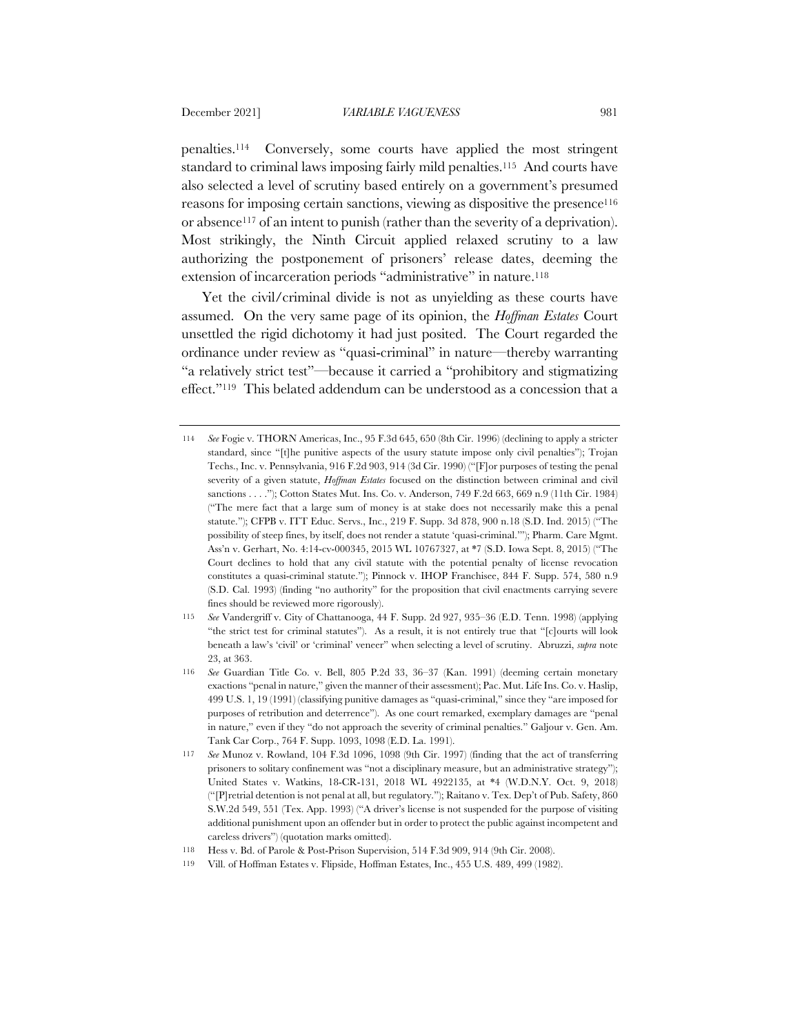penalties.114 Conversely, some courts have applied the most stringent standard to criminal laws imposing fairly mild penalties.115 And courts have also selected a level of scrutiny based entirely on a government's presumed reasons for imposing certain sanctions, viewing as dispositive the presence116 or absence117 of an intent to punish (rather than the severity of a deprivation). Most strikingly, the Ninth Circuit applied relaxed scrutiny to a law authorizing the postponement of prisoners' release dates, deeming the extension of incarceration periods "administrative" in nature.118

Yet the civil/criminal divide is not as unyielding as these courts have assumed. On the very same page of its opinion, the *Hoffman Estates* Court unsettled the rigid dichotomy it had just posited. The Court regarded the ordinance under review as "quasi-criminal" in nature—thereby warranting "a relatively strict test"—because it carried a "prohibitory and stigmatizing effect."119 This belated addendum can be understood as a concession that a

<sup>114</sup> *See* Fogie v. THORN Americas, Inc., 95 F.3d 645, 650 (8th Cir. 1996) (declining to apply a stricter standard, since "[t]he punitive aspects of the usury statute impose only civil penalties"); Trojan Techs., Inc. v. Pennsylvania, 916 F.2d 903, 914 (3d Cir. 1990) ("[F]or purposes of testing the penal severity of a given statute, *Hoffman Estates* focused on the distinction between criminal and civil sanctions . . . ."); Cotton States Mut. Ins. Co. v. Anderson, 749 F.2d 663, 669 n.9 (11th Cir. 1984) ("The mere fact that a large sum of money is at stake does not necessarily make this a penal statute."); CFPB v. ITT Educ. Servs., Inc., 219 F. Supp. 3d 878, 900 n.18 (S.D. Ind. 2015) ("The possibility of steep fines, by itself, does not render a statute 'quasi-criminal.'"); Pharm. Care Mgmt. Ass'n v. Gerhart, No. 4:14-cv-000345, 2015 WL 10767327, at \*7 (S.D. Iowa Sept. 8, 2015) ("The Court declines to hold that any civil statute with the potential penalty of license revocation constitutes a quasi-criminal statute."); Pinnock v. IHOP Franchisee, 844 F. Supp. 574, 580 n.9 (S.D. Cal. 1993) (finding "no authority" for the proposition that civil enactments carrying severe fines should be reviewed more rigorously).

<sup>115</sup> *See* Vandergriff v. City of Chattanooga, 44 F. Supp. 2d 927, 935–36 (E.D. Tenn. 1998) (applying "the strict test for criminal statutes"). As a result, it is not entirely true that "[c]ourts will look beneath a law's 'civil' or 'criminal' veneer" when selecting a level of scrutiny. Abruzzi, *supra* note 23, at 363.

<sup>116</sup> *See* Guardian Title Co. v. Bell, 805 P.2d 33, 36–37 (Kan. 1991) (deeming certain monetary exactions "penal in nature," given the manner of their assessment); Pac. Mut. Life Ins. Co. v. Haslip, 499 U.S. 1, 19 (1991) (classifying punitive damages as "quasi-criminal," since they "are imposed for purposes of retribution and deterrence"). As one court remarked, exemplary damages are "penal in nature," even if they "do not approach the severity of criminal penalties." Galjour v. Gen. Am. Tank Car Corp., 764 F. Supp. 1093, 1098 (E.D. La. 1991).

<sup>117</sup> *See* Munoz v. Rowland, 104 F.3d 1096, 1098 (9th Cir. 1997) (finding that the act of transferring prisoners to solitary confinement was "not a disciplinary measure, but an administrative strategy"); United States v. Watkins, 18-CR-131, 2018 WL 4922135, at \*4 (W.D.N.Y. Oct. 9, 2018) ("[P]retrial detention is not penal at all, but regulatory."); Raitano v. Tex. Dep't of Pub. Safety, 860 S.W.2d 549, 551 (Tex. App. 1993) ("A driver's license is not suspended for the purpose of visiting additional punishment upon an offender but in order to protect the public against incompetent and careless drivers") (quotation marks omitted).

<sup>118</sup> Hess v. Bd. of Parole & Post-Prison Supervision, 514 F.3d 909, 914 (9th Cir. 2008).

<sup>119</sup> Vill. of Hoffman Estates v. Flipside, Hoffman Estates, Inc., 455 U.S. 489, 499 (1982).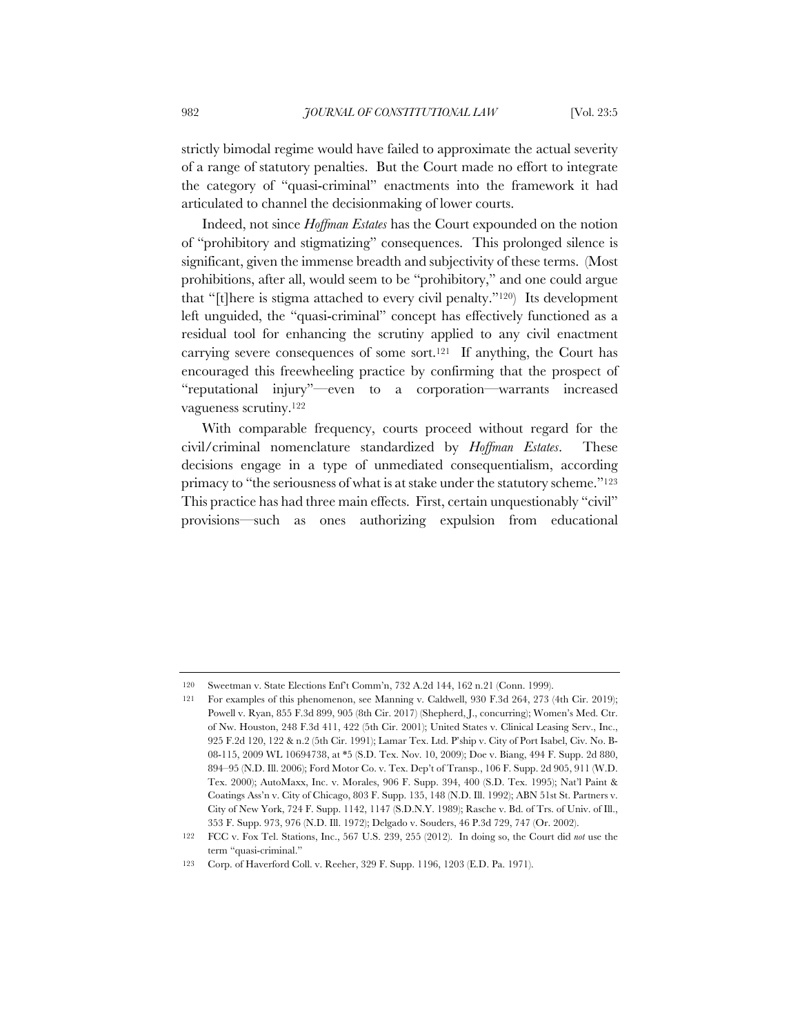strictly bimodal regime would have failed to approximate the actual severity of a range of statutory penalties. But the Court made no effort to integrate the category of "quasi-criminal" enactments into the framework it had articulated to channel the decisionmaking of lower courts.

Indeed, not since *Hoffman Estates* has the Court expounded on the notion of "prohibitory and stigmatizing" consequences. This prolonged silence is significant, given the immense breadth and subjectivity of these terms. (Most prohibitions, after all, would seem to be "prohibitory," and one could argue that "[t]here is stigma attached to every civil penalty."120) Its development left unguided, the "quasi-criminal" concept has effectively functioned as a residual tool for enhancing the scrutiny applied to any civil enactment carrying severe consequences of some sort.<sup>121</sup> If anything, the Court has encouraged this freewheeling practice by confirming that the prospect of "reputational injury"—even to a corporation—warrants increased vagueness scrutiny.122

With comparable frequency, courts proceed without regard for the civil/criminal nomenclature standardized by *Hoffman Estates*. These decisions engage in a type of unmediated consequentialism, according primacy to "the seriousness of what is at stake under the statutory scheme."123 This practice has had three main effects. First, certain unquestionably "civil" provisions—such as ones authorizing expulsion from educational

<sup>120</sup> Sweetman v. State Elections Enf't Comm'n, 732 A.2d 144, 162 n.21 (Conn. 1999).

<sup>121</sup> For examples of this phenomenon, see Manning v. Caldwell, 930 F.3d 264, 273 (4th Cir. 2019); Powell v. Ryan, 855 F.3d 899, 905 (8th Cir. 2017) (Shepherd, J., concurring); Women's Med. Ctr. of Nw. Houston, 248 F.3d 411, 422 (5th Cir. 2001); United States v. Clinical Leasing Serv., Inc., 925 F.2d 120, 122 & n.2 (5th Cir. 1991); Lamar Tex. Ltd. P'ship v. City of Port Isabel, Civ. No. B-08-115, 2009 WL 10694738, at \*5 (S.D. Tex. Nov. 10, 2009); Doe v. Biang, 494 F. Supp. 2d 880, 894–95 (N.D. Ill. 2006); Ford Motor Co. v. Tex. Dep't of Transp., 106 F. Supp. 2d 905, 911 (W.D. Tex. 2000); AutoMaxx, Inc. v. Morales, 906 F. Supp. 394, 400 (S.D. Tex. 1995); Nat'l Paint & Coatings Ass'n v. City of Chicago, 803 F. Supp. 135, 148 (N.D. Ill. 1992); ABN 51st St. Partners v. City of New York, 724 F. Supp. 1142, 1147 (S.D.N.Y. 1989); Rasche v. Bd. of Trs. of Univ. of Ill., 353 F. Supp. 973, 976 (N.D. Ill. 1972); Delgado v. Souders, 46 P.3d 729, 747 (Or. 2002).

<sup>122</sup> FCC v. Fox Tel. Stations, Inc., 567 U.S. 239, 255 (2012). In doing so, the Court did *not* use the term "quasi-criminal."

<sup>123</sup> Corp. of Haverford Coll. v. Reeher, 329 F. Supp. 1196, 1203 (E.D. Pa. 1971).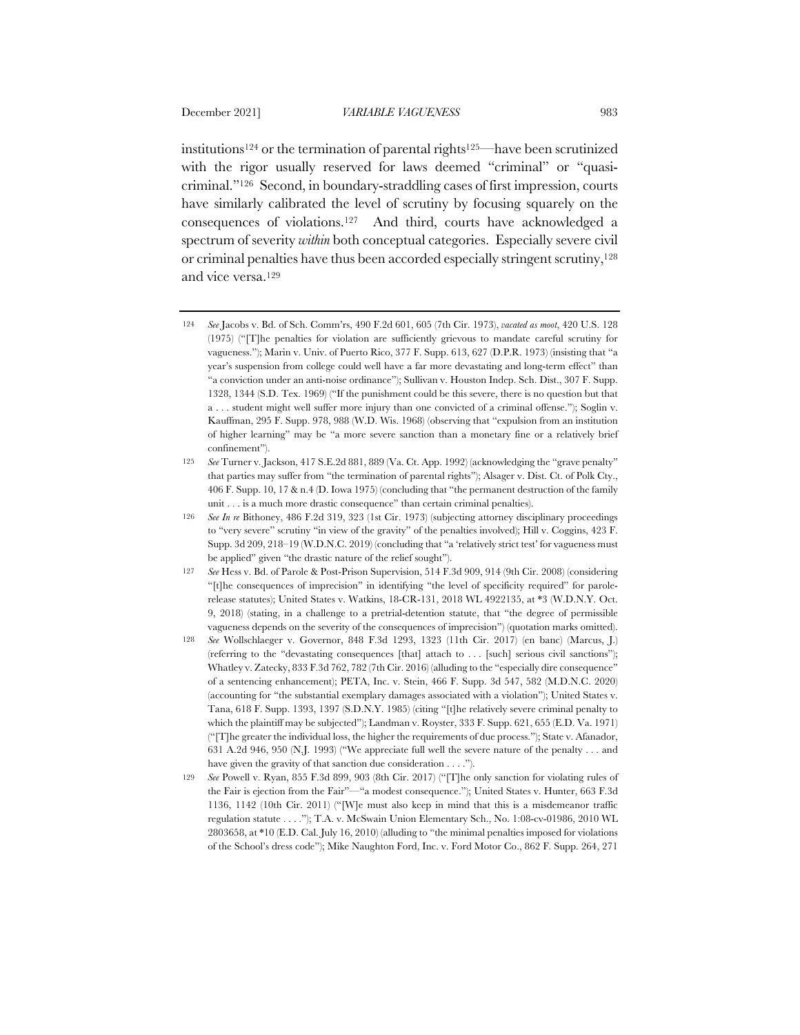institutions124 or the termination of parental rights125—have been scrutinized with the rigor usually reserved for laws deemed "criminal" or "quasicriminal."126 Second, in boundary-straddling cases of first impression, courts have similarly calibrated the level of scrutiny by focusing squarely on the consequences of violations.127 And third, courts have acknowledged a spectrum of severity *within* both conceptual categories. Especially severe civil or criminal penalties have thus been accorded especially stringent scrutiny,128 and vice versa.129

<sup>124</sup> *See* Jacobs v. Bd. of Sch. Comm'rs, 490 F.2d 601, 605 (7th Cir. 1973), *vacated as moot*, 420 U.S. 128 (1975) ("[T]he penalties for violation are sufficiently grievous to mandate careful scrutiny for vagueness."); Marin v. Univ. of Puerto Rico, 377 F. Supp. 613, 627 (D.P.R. 1973) (insisting that "a year's suspension from college could well have a far more devastating and long-term effect" than "a conviction under an anti-noise ordinance"); Sullivan v. Houston Indep. Sch. Dist., 307 F. Supp. 1328, 1344 (S.D. Tex. 1969) ("If the punishment could be this severe, there is no question but that a . . . student might well suffer more injury than one convicted of a criminal offense."); Soglin v. Kauffman, 295 F. Supp. 978, 988 (W.D. Wis. 1968) (observing that "expulsion from an institution of higher learning" may be "a more severe sanction than a monetary fine or a relatively brief confinement").

<sup>125</sup> *See* Turner v. Jackson, 417 S.E.2d 881, 889 (Va. Ct. App. 1992) (acknowledging the "grave penalty" that parties may suffer from "the termination of parental rights"); Alsager v. Dist. Ct. of Polk Cty., 406 F. Supp. 10, 17 & n.4 (D. Iowa 1975) (concluding that "the permanent destruction of the family unit . . . is a much more drastic consequence" than certain criminal penalties).

<sup>126</sup> *See In re* Bithoney, 486 F.2d 319, 323 (1st Cir. 1973) (subjecting attorney disciplinary proceedings to "very severe" scrutiny "in view of the gravity" of the penalties involved); Hill v. Coggins, 423 F. Supp. 3d 209, 218–19 (W.D.N.C. 2019) (concluding that "a 'relatively strict test' for vagueness must be applied" given "the drastic nature of the relief sought").

<sup>127</sup> *See* Hess v. Bd. of Parole & Post-Prison Supervision, 514 F.3d 909, 914 (9th Cir. 2008) (considering "[t]he consequences of imprecision" in identifying "the level of specificity required" for parolerelease statutes); United States v. Watkins, 18-CR-131, 2018 WL 4922135, at \*3 (W.D.N.Y. Oct. 9, 2018) (stating, in a challenge to a pretrial-detention statute, that "the degree of permissible vagueness depends on the severity of the consequences of imprecision") (quotation marks omitted).

<sup>128</sup> *See* Wollschlaeger v. Governor, 848 F.3d 1293, 1323 (11th Cir. 2017) (en banc) (Marcus, J.) (referring to the "devastating consequences [that] attach to . . . [such] serious civil sanctions"); Whatley v. Zatecky, 833 F.3d 762, 782 (7th Cir. 2016) (alluding to the "especially dire consequence" of a sentencing enhancement); PETA, Inc. v. Stein, 466 F. Supp. 3d 547, 582 (M.D.N.C. 2020) (accounting for "the substantial exemplary damages associated with a violation"); United States v. Tana, 618 F. Supp. 1393, 1397 (S.D.N.Y. 1985) (citing "[t]he relatively severe criminal penalty to which the plaintiff may be subjected"); Landman v. Royster, 333 F. Supp. 621, 655 (E.D. Va. 1971) ("[T]he greater the individual loss, the higher the requirements of due process."); State v. Afanador, 631 A.2d 946, 950 (N.J. 1993) ("We appreciate full well the severe nature of the penalty . . . and have given the gravity of that sanction due consideration . . . .").

<sup>129</sup> *See* Powell v. Ryan, 855 F.3d 899, 903 (8th Cir. 2017) ("[T]he only sanction for violating rules of the Fair is ejection from the Fair"—"a modest consequence."); United States v. Hunter, 663 F.3d 1136, 1142 (10th Cir. 2011) ("[W]e must also keep in mind that this is a misdemeanor traffic regulation statute . . . ."); T.A. v. McSwain Union Elementary Sch., No. 1:08-cv-01986, 2010 WL 2803658, at \*10 (E.D. Cal. July 16, 2010) (alluding to "the minimal penalties imposed for violations of the School's dress code"); Mike Naughton Ford, Inc. v. Ford Motor Co., 862 F. Supp. 264, 271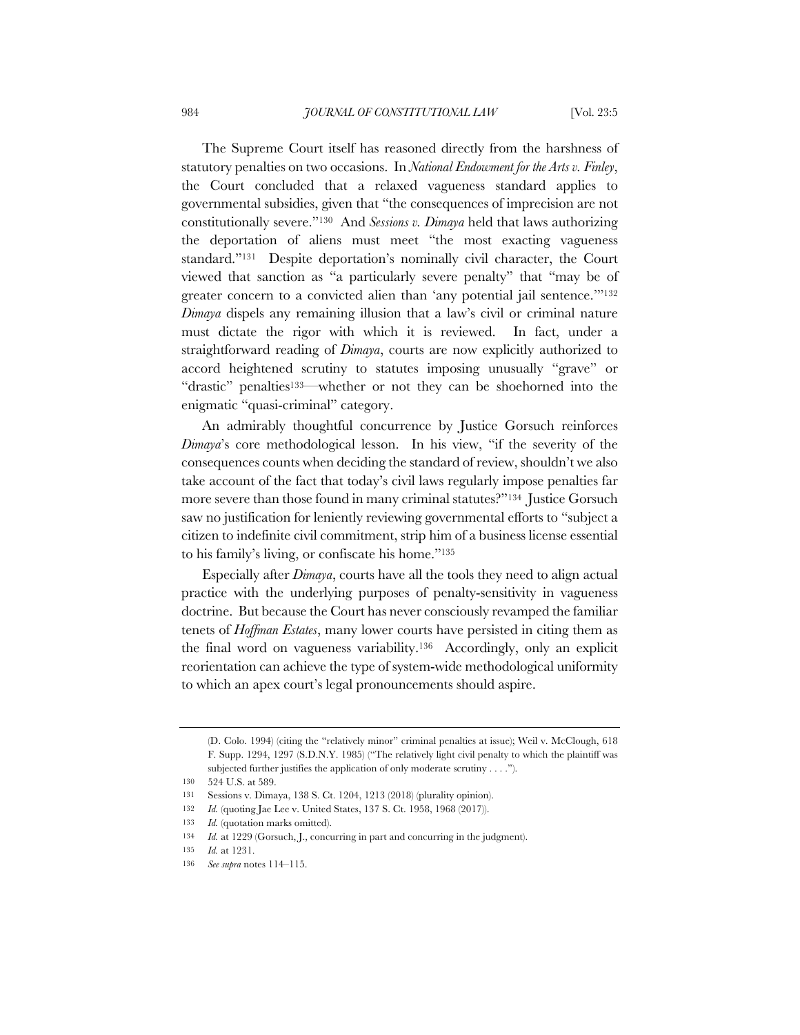The Supreme Court itself has reasoned directly from the harshness of statutory penalties on two occasions. In *National Endowment for the Arts v. Finley*, the Court concluded that a relaxed vagueness standard applies to governmental subsidies, given that "the consequences of imprecision are not constitutionally severe."130 And *Sessions v. Dimaya* held that laws authorizing the deportation of aliens must meet "the most exacting vagueness standard."131 Despite deportation's nominally civil character, the Court viewed that sanction as "a particularly severe penalty" that "may be of greater concern to a convicted alien than 'any potential jail sentence.'"132 *Dimaya* dispels any remaining illusion that a law's civil or criminal nature must dictate the rigor with which it is reviewed. In fact, under a straightforward reading of *Dimaya*, courts are now explicitly authorized to accord heightened scrutiny to statutes imposing unusually "grave" or "drastic" penalties<sup>133</sup>—whether or not they can be shoehorned into the enigmatic "quasi-criminal" category.

An admirably thoughtful concurrence by Justice Gorsuch reinforces *Dimaya*'s core methodological lesson. In his view, "if the severity of the consequences counts when deciding the standard of review, shouldn't we also take account of the fact that today's civil laws regularly impose penalties far more severe than those found in many criminal statutes?"134 Justice Gorsuch saw no justification for leniently reviewing governmental efforts to "subject a citizen to indefinite civil commitment, strip him of a business license essential to his family's living, or confiscate his home."135

Especially after *Dimaya*, courts have all the tools they need to align actual practice with the underlying purposes of penalty-sensitivity in vagueness doctrine. But because the Court has never consciously revamped the familiar tenets of *Hoffman Estates*, many lower courts have persisted in citing them as the final word on vagueness variability.136 Accordingly, only an explicit reorientation can achieve the type of system-wide methodological uniformity to which an apex court's legal pronouncements should aspire.

<sup>(</sup>D. Colo. 1994) (citing the "relatively minor" criminal penalties at issue); Weil v. McClough, 618 F. Supp. 1294, 1297 (S.D.N.Y. 1985) ("The relatively light civil penalty to which the plaintiff was subjected further justifies the application of only moderate scrutiny . . . .").

<sup>130</sup> 524 U.S. at 589.

<sup>131</sup> Sessions v. Dimaya, 138 S. Ct. 1204, 1213 (2018) (plurality opinion).

<sup>132</sup> *Id.* (quoting Jae Lee v. United States, 137 S. Ct. 1958, 1968 (2017)).

<sup>133</sup> *Id.* (quotation marks omitted).

<sup>134</sup> *Id.* at 1229 (Gorsuch, J., concurring in part and concurring in the judgment).

<sup>135</sup> *Id.* at 1231.

<sup>136</sup> *See supra* notes 114–115.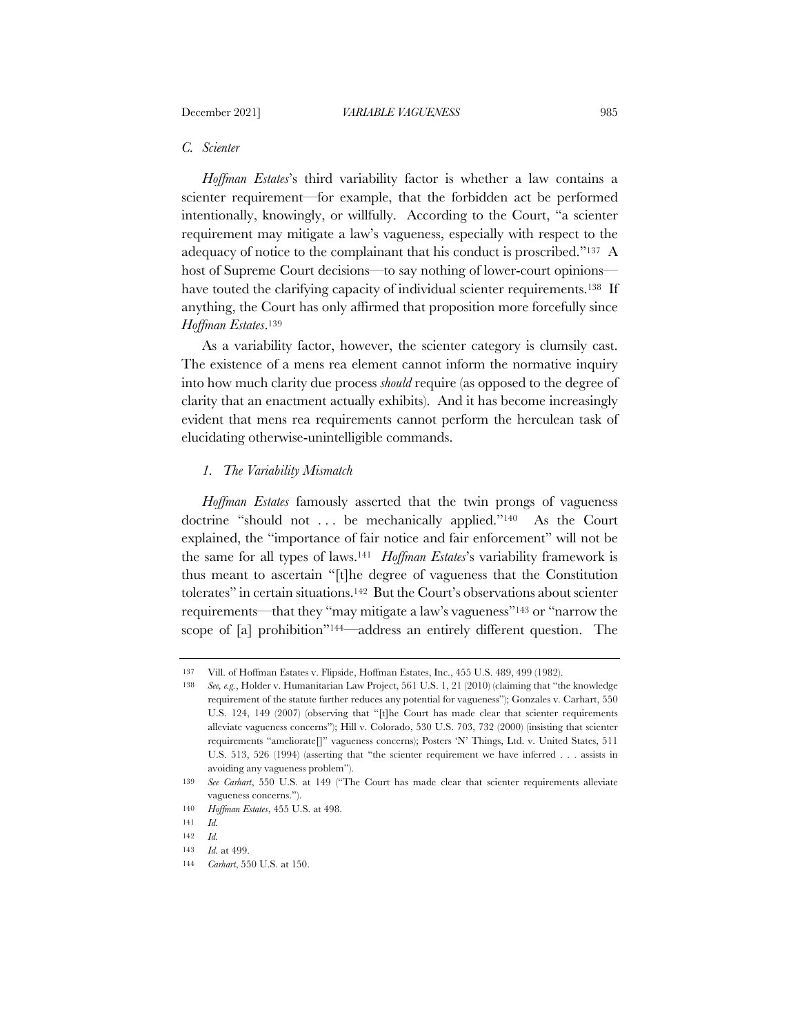## *C. Scienter*

*Hoffman Estates*'s third variability factor is whether a law contains a scienter requirement—for example, that the forbidden act be performed intentionally, knowingly, or willfully. According to the Court, "a scienter requirement may mitigate a law's vagueness, especially with respect to the adequacy of notice to the complainant that his conduct is proscribed."137 A host of Supreme Court decisions—to say nothing of lower-court opinions have touted the clarifying capacity of individual scienter requirements.<sup>138</sup> If anything, the Court has only affirmed that proposition more forcefully since *Hoffman Estates*.139

As a variability factor, however, the scienter category is clumsily cast. The existence of a mens rea element cannot inform the normative inquiry into how much clarity due process *should* require (as opposed to the degree of clarity that an enactment actually exhibits). And it has become increasingly evident that mens rea requirements cannot perform the herculean task of elucidating otherwise-unintelligible commands.

# *1. The Variability Mismatch*

*Hoffman Estates* famously asserted that the twin prongs of vagueness doctrine "should not . . . be mechanically applied."140 As the Court explained, the "importance of fair notice and fair enforcement" will not be the same for all types of laws.141 *Hoffman Estates*'s variability framework is thus meant to ascertain "[t]he degree of vagueness that the Constitution tolerates" in certain situations.142 But the Court's observations about scienter requirements—that they "may mitigate a law's vagueness"143 or "narrow the scope of [a] prohibition"144—address an entirely different question. The

<sup>137</sup> Vill. of Hoffman Estates v. Flipside, Hoffman Estates, Inc., 455 U.S. 489, 499 (1982).

<sup>138</sup> *See, e.g.*, Holder v. Humanitarian Law Project, 561 U.S. 1, 21 (2010) (claiming that "the knowledge requirement of the statute further reduces any potential for vagueness"); Gonzales v. Carhart, 550 U.S. 124, 149 (2007) (observing that "[t]he Court has made clear that scienter requirements alleviate vagueness concerns"); Hill v. Colorado, 530 U.S. 703, 732 (2000) (insisting that scienter requirements "ameliorate[]" vagueness concerns); Posters 'N' Things, Ltd. v. United States, 511 U.S. 513, 526 (1994) (asserting that "the scienter requirement we have inferred . . . assists in avoiding any vagueness problem").

<sup>139</sup> *See Carhart*, 550 U.S. at 149 ("The Court has made clear that scienter requirements alleviate vagueness concerns.").

<sup>140</sup> *Hoffman Estates*, 455 U.S. at 498.

<sup>141</sup> *Id.*

<sup>142</sup> *Id.*

<sup>143</sup> *Id.* at 499.

<sup>144</sup> *Carhart*, 550 U.S. at 150.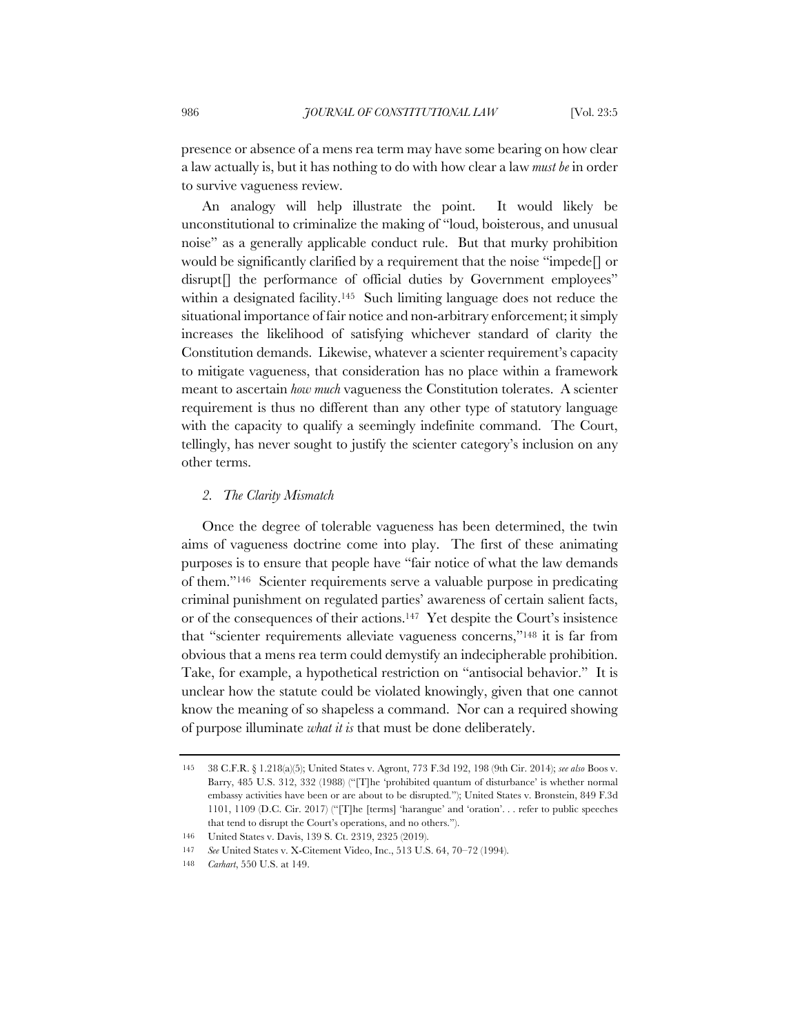presence or absence of a mens rea term may have some bearing on how clear a law actually is, but it has nothing to do with how clear a law *must be* in order to survive vagueness review.

An analogy will help illustrate the point. It would likely be unconstitutional to criminalize the making of "loud, boisterous, and unusual noise" as a generally applicable conduct rule. But that murky prohibition would be significantly clarified by a requirement that the noise "impede[] or disrupt<sup>[]</sup> the performance of official duties by Government employees" within a designated facility.<sup>145</sup> Such limiting language does not reduce the situational importance of fair notice and non-arbitrary enforcement; it simply increases the likelihood of satisfying whichever standard of clarity the Constitution demands. Likewise, whatever a scienter requirement's capacity to mitigate vagueness, that consideration has no place within a framework meant to ascertain *how much* vagueness the Constitution tolerates. A scienter requirement is thus no different than any other type of statutory language with the capacity to qualify a seemingly indefinite command. The Court, tellingly, has never sought to justify the scienter category's inclusion on any other terms.

## *2. The Clarity Mismatch*

Once the degree of tolerable vagueness has been determined, the twin aims of vagueness doctrine come into play. The first of these animating purposes is to ensure that people have "fair notice of what the law demands of them."146 Scienter requirements serve a valuable purpose in predicating criminal punishment on regulated parties' awareness of certain salient facts, or of the consequences of their actions.147 Yet despite the Court's insistence that "scienter requirements alleviate vagueness concerns,"148 it is far from obvious that a mens rea term could demystify an indecipherable prohibition. Take, for example, a hypothetical restriction on "antisocial behavior." It is unclear how the statute could be violated knowingly, given that one cannot know the meaning of so shapeless a command. Nor can a required showing of purpose illuminate *what it is* that must be done deliberately.

<sup>145</sup> 38 C.F.R. § 1.218(a)(5); United States v. Agront, 773 F.3d 192, 198 (9th Cir. 2014); *see also* Boos v. Barry, 485 U.S. 312, 332 (1988) ("[T]he 'prohibited quantum of disturbance' is whether normal embassy activities have been or are about to be disrupted."); United States v. Bronstein, 849 F.3d 1101, 1109 (D.C. Cir. 2017) ("[T]he [terms] 'harangue' and 'oration'. . . refer to public speeches that tend to disrupt the Court's operations, and no others.").

<sup>146</sup> United States v. Davis, 139 S. Ct. 2319, 2325 (2019).

<sup>147</sup> *See* United States v. X-Citement Video, Inc., 513 U.S. 64, 70–72 (1994).

<sup>148</sup> *Carhart*, 550 U.S. at 149.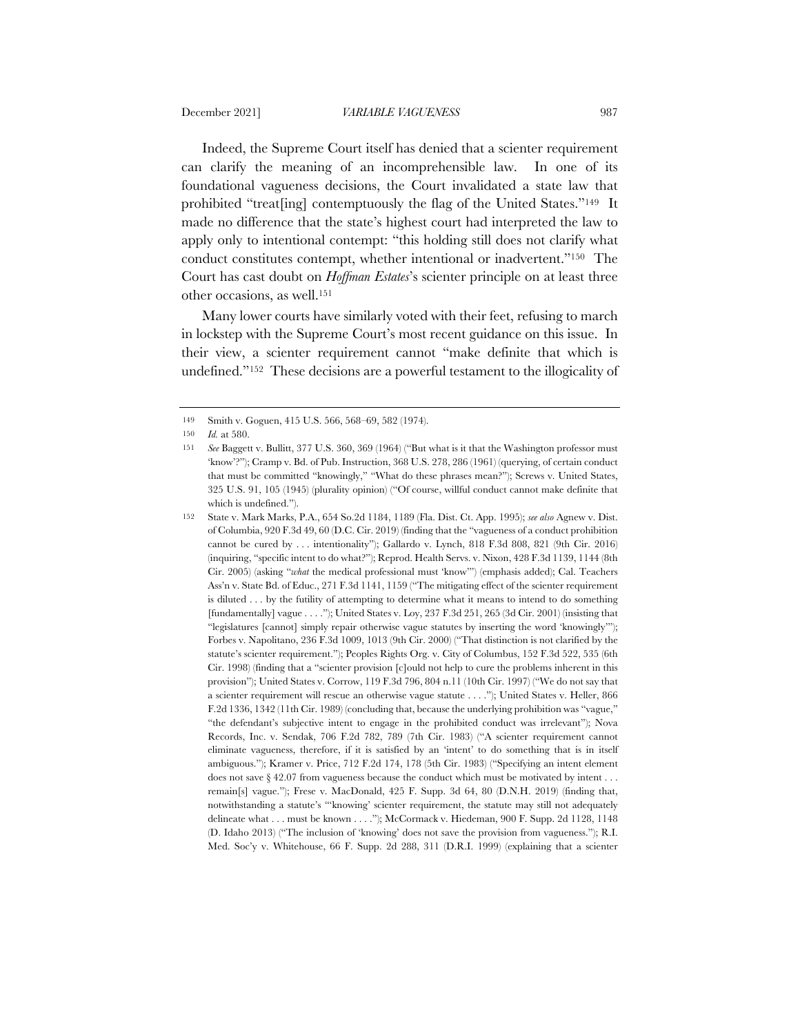Indeed, the Supreme Court itself has denied that a scienter requirement can clarify the meaning of an incomprehensible law. In one of its foundational vagueness decisions, the Court invalidated a state law that prohibited "treat[ing] contemptuously the flag of the United States."149 It made no difference that the state's highest court had interpreted the law to apply only to intentional contempt: "this holding still does not clarify what conduct constitutes contempt, whether intentional or inadvertent."150 The Court has cast doubt on *Hoffman Estates*'s scienter principle on at least three other occasions, as well.151

Many lower courts have similarly voted with their feet, refusing to march in lockstep with the Supreme Court's most recent guidance on this issue. In their view, a scienter requirement cannot "make definite that which is undefined."152 These decisions are a powerful testament to the illogicality of

<sup>149</sup> Smith v. Goguen, 415 U.S. 566, 568–69, 582 (1974).

<sup>150</sup> *Id.* at 580.

<sup>151</sup> *See* Baggett v. Bullitt, 377 U.S. 360, 369 (1964) ("But what is it that the Washington professor must 'know'?"); Cramp v. Bd. of Pub. Instruction, 368 U.S. 278, 286 (1961) (querying, of certain conduct that must be committed "knowingly," "What do these phrases mean?"); Screws v. United States, 325 U.S. 91, 105 (1945) (plurality opinion) ("Of course, willful conduct cannot make definite that which is undefined.").

<sup>152</sup> State v. Mark Marks, P.A., 654 So.2d 1184, 1189 (Fla. Dist. Ct. App. 1995); *see also* Agnew v. Dist. of Columbia, 920 F.3d 49, 60 (D.C. Cir. 2019) (finding that the "vagueness of a conduct prohibition cannot be cured by . . . intentionality"); Gallardo v. Lynch, 818 F.3d 808, 821 (9th Cir. 2016) (inquiring, "specific intent to do what?"); Reprod. Health Servs. v. Nixon, 428 F.3d 1139, 1144 (8th Cir. 2005) (asking "*what* the medical professional must 'know'") (emphasis added); Cal. Teachers Ass'n v. State Bd. of Educ., 271 F.3d 1141, 1159 ("The mitigating effect of the scienter requirement is diluted . . . by the futility of attempting to determine what it means to intend to do something [fundamentally] vague . . . ."); United States v. Loy, 237 F.3d 251, 265 (3d Cir. 2001) (insisting that "legislatures [cannot] simply repair otherwise vague statutes by inserting the word 'knowingly'"); Forbes v. Napolitano, 236 F.3d 1009, 1013 (9th Cir. 2000) ("That distinction is not clarified by the statute's scienter requirement."); Peoples Rights Org. v. City of Columbus, 152 F.3d 522, 535 (6th Cir. 1998) (finding that a "scienter provision [c]ould not help to cure the problems inherent in this provision"); United States v. Corrow, 119 F.3d 796, 804 n.11 (10th Cir. 1997) ("We do not say that a scienter requirement will rescue an otherwise vague statute . . . ."); United States v. Heller, 866 F.2d 1336, 1342 (11th Cir. 1989) (concluding that, because the underlying prohibition was "vague," "the defendant's subjective intent to engage in the prohibited conduct was irrelevant"); Nova Records, Inc. v. Sendak, 706 F.2d 782, 789 (7th Cir. 1983) ("A scienter requirement cannot eliminate vagueness, therefore, if it is satisfied by an 'intent' to do something that is in itself ambiguous."); Kramer v. Price, 712 F.2d 174, 178 (5th Cir. 1983) ("Specifying an intent element does not save § 42.07 from vagueness because the conduct which must be motivated by intent . . . remain[s] vague."); Frese v. MacDonald, 425 F. Supp. 3d 64, 80 (D.N.H. 2019) (finding that, notwithstanding a statute's "'knowing' scienter requirement, the statute may still not adequately delineate what . . . must be known . . . ."); McCormack v. Hiedeman, 900 F. Supp. 2d 1128, 1148 (D. Idaho 2013) ("The inclusion of 'knowing' does not save the provision from vagueness."); R.I. Med. Soc'y v. Whitehouse, 66 F. Supp. 2d 288, 311 (D.R.I. 1999) (explaining that a scienter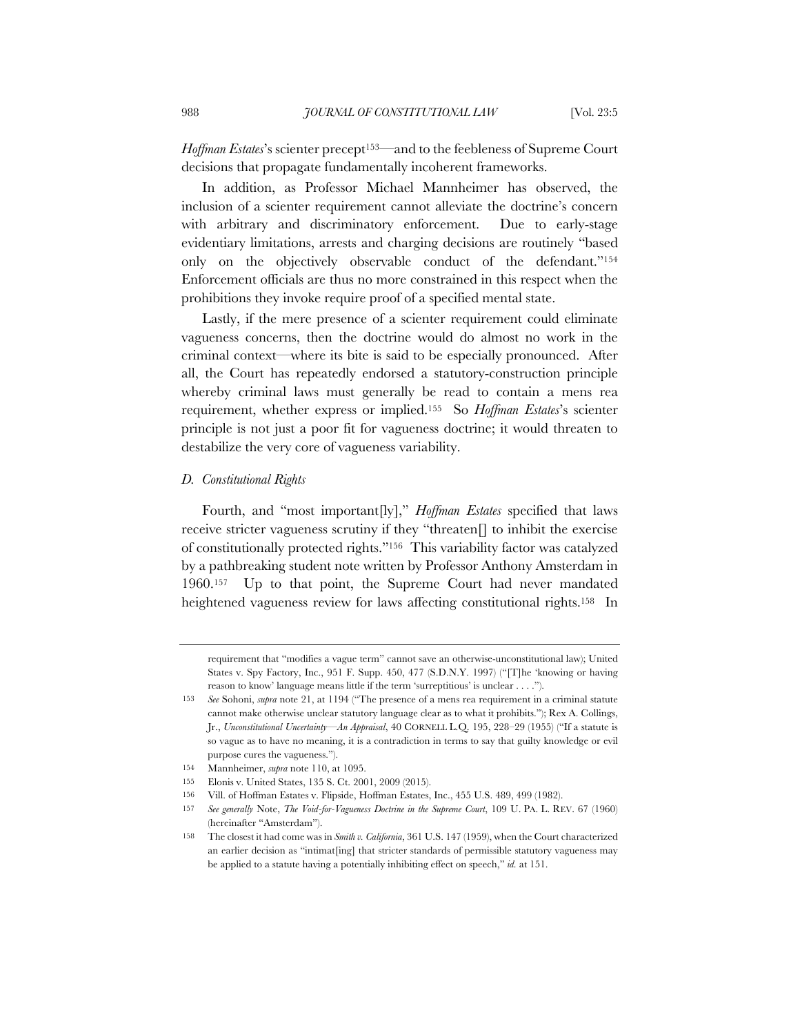*Hoffman Estates*'s scienter precept153—and to the feebleness of Supreme Court decisions that propagate fundamentally incoherent frameworks.

In addition, as Professor Michael Mannheimer has observed, the inclusion of a scienter requirement cannot alleviate the doctrine's concern with arbitrary and discriminatory enforcement. Due to early-stage evidentiary limitations, arrests and charging decisions are routinely "based only on the objectively observable conduct of the defendant."154 Enforcement officials are thus no more constrained in this respect when the prohibitions they invoke require proof of a specified mental state.

Lastly, if the mere presence of a scienter requirement could eliminate vagueness concerns, then the doctrine would do almost no work in the criminal context—where its bite is said to be especially pronounced. After all, the Court has repeatedly endorsed a statutory-construction principle whereby criminal laws must generally be read to contain a mens rea requirement, whether express or implied.155 So *Hoffman Estates*'s scienter principle is not just a poor fit for vagueness doctrine; it would threaten to destabilize the very core of vagueness variability.

#### *D. Constitutional Rights*

Fourth, and "most important[ly]," *Hoffman Estates* specified that laws receive stricter vagueness scrutiny if they "threaten[] to inhibit the exercise of constitutionally protected rights."156 This variability factor was catalyzed by a pathbreaking student note written by Professor Anthony Amsterdam in 1960.157 Up to that point, the Supreme Court had never mandated heightened vagueness review for laws affecting constitutional rights.<sup>158</sup> In

requirement that "modifies a vague term" cannot save an otherwise-unconstitutional law); United States v. Spy Factory, Inc., 951 F. Supp. 450, 477 (S.D.N.Y. 1997) ("[T]he 'knowing or having reason to know' language means little if the term 'surreptitious' is unclear . . . .").

<sup>153</sup> *See* Sohoni, *supra* note 21, at 1194 ("The presence of a mens rea requirement in a criminal statute cannot make otherwise unclear statutory language clear as to what it prohibits."); Rex A. Collings, Jr., *Unconstitutional Uncertainty—An Appraisal*, 40 CORNELL L.Q. 195, 228–29 (1955) ("If a statute is so vague as to have no meaning, it is a contradiction in terms to say that guilty knowledge or evil purpose cures the vagueness.").

<sup>154</sup> Mannheimer, *supra* note 110, at 1095.

<sup>155</sup> Elonis v. United States, 135 S. Ct. 2001, 2009 (2015).

<sup>156</sup> Vill. of Hoffman Estates v. Flipside, Hoffman Estates, Inc., 455 U.S. 489, 499 (1982).

<sup>157</sup> *See generally* Note, *The Void-for-Vagueness Doctrine in the Supreme Court*, 109 U. PA. L. REV. 67 (1960) (hereinafter "Amsterdam").

<sup>158</sup> The closest it had come was in *Smith v. California*, 361 U.S. 147 (1959), when the Court characterized an earlier decision as "intimat[ing] that stricter standards of permissible statutory vagueness may be applied to a statute having a potentially inhibiting effect on speech," *id.* at 151.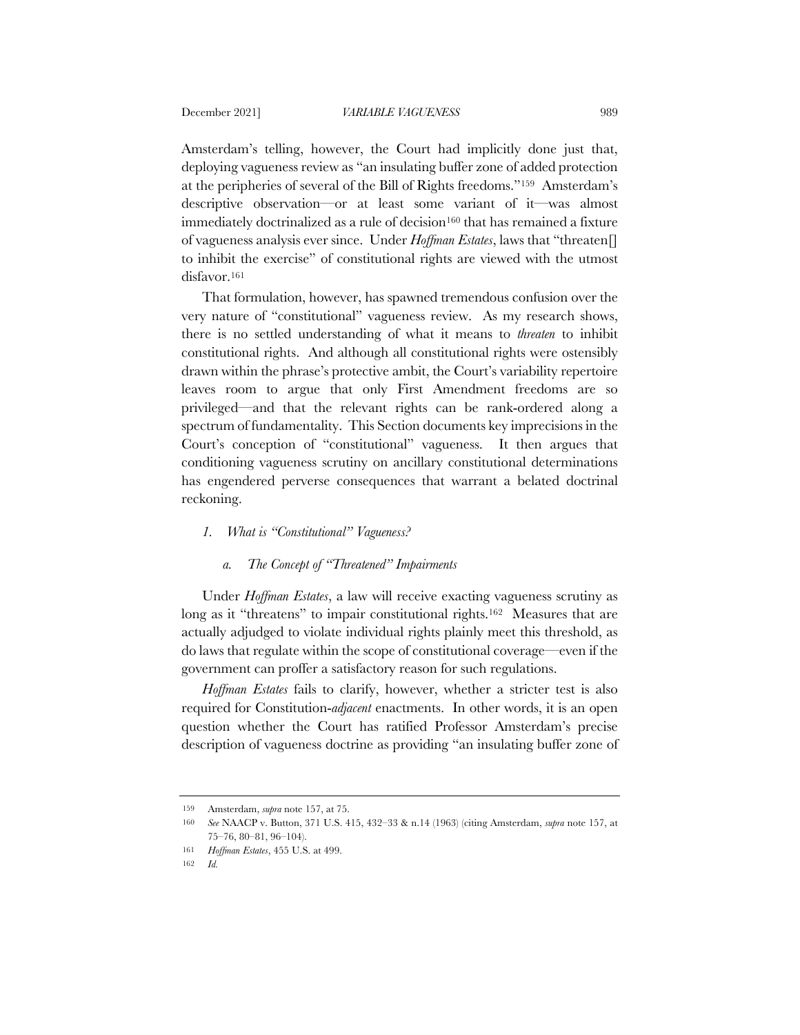Amsterdam's telling, however, the Court had implicitly done just that, deploying vagueness review as "an insulating buffer zone of added protection at the peripheries of several of the Bill of Rights freedoms."159 Amsterdam's descriptive observation—or at least some variant of it—was almost immediately doctrinalized as a rule of decision<sup>160</sup> that has remained a fixture of vagueness analysis ever since. Under *Hoffman Estates*, laws that "threaten[] to inhibit the exercise" of constitutional rights are viewed with the utmost disfavor.161

That formulation, however, has spawned tremendous confusion over the very nature of "constitutional" vagueness review. As my research shows, there is no settled understanding of what it means to *threaten* to inhibit constitutional rights. And although all constitutional rights were ostensibly drawn within the phrase's protective ambit, the Court's variability repertoire leaves room to argue that only First Amendment freedoms are so privileged—and that the relevant rights can be rank-ordered along a spectrum of fundamentality. This Section documents key imprecisions in the Court's conception of "constitutional" vagueness. It then argues that conditioning vagueness scrutiny on ancillary constitutional determinations has engendered perverse consequences that warrant a belated doctrinal reckoning.

## *1. What is "Constitutional" Vagueness?*

## *a. The Concept of "Threatened" Impairments*

Under *Hoffman Estates*, a law will receive exacting vagueness scrutiny as long as it "threatens" to impair constitutional rights.<sup>162</sup> Measures that are actually adjudged to violate individual rights plainly meet this threshold, as do laws that regulate within the scope of constitutional coverage—even if the government can proffer a satisfactory reason for such regulations.

*Hoffman Estates* fails to clarify, however, whether a stricter test is also required for Constitution-*adjacent* enactments. In other words, it is an open question whether the Court has ratified Professor Amsterdam's precise description of vagueness doctrine as providing "an insulating buffer zone of

<sup>159</sup> Amsterdam, *supra* note 157, at 75.

<sup>160</sup> *See* NAACP v. Button, 371 U.S. 415, 432–33 & n.14 (1963) (citing Amsterdam, *supra* note 157, at 75–76, 80–81, 96–104).

<sup>161</sup> *Hoffman Estates*, 455 U.S. at 499.

<sup>162</sup> *Id.*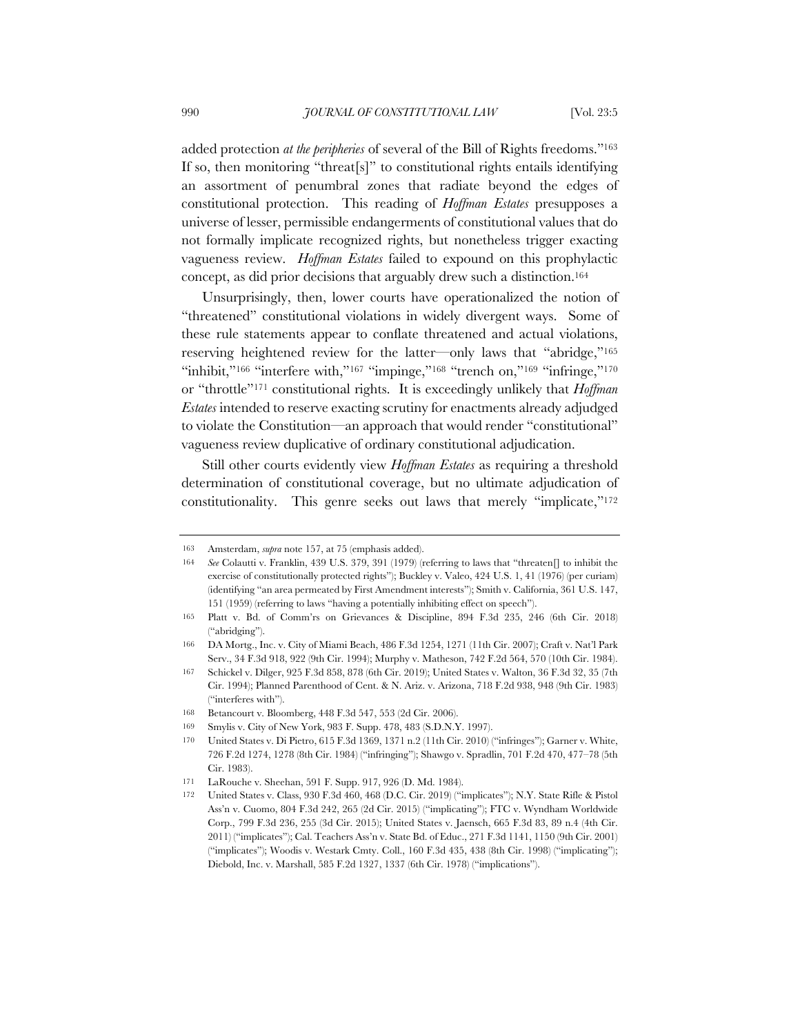added protection *at the peripheries* of several of the Bill of Rights freedoms."163 If so, then monitoring "threat[s]" to constitutional rights entails identifying an assortment of penumbral zones that radiate beyond the edges of constitutional protection. This reading of *Hoffman Estates* presupposes a universe of lesser, permissible endangerments of constitutional values that do not formally implicate recognized rights, but nonetheless trigger exacting vagueness review. *Hoffman Estates* failed to expound on this prophylactic concept, as did prior decisions that arguably drew such a distinction.164

Unsurprisingly, then, lower courts have operationalized the notion of "threatened" constitutional violations in widely divergent ways. Some of these rule statements appear to conflate threatened and actual violations, reserving heightened review for the latter—only laws that "abridge,"165 "inhibit,"<sup>166</sup> "interfere with,"<sup>167</sup> "impinge,"<sup>168</sup> "trench on,"<sup>169</sup> "infringe,"<sup>170</sup> or "throttle"171 constitutional rights. It is exceedingly unlikely that *Hoffman Estates* intended to reserve exacting scrutiny for enactments already adjudged to violate the Constitution—an approach that would render "constitutional" vagueness review duplicative of ordinary constitutional adjudication.

Still other courts evidently view *Hoffman Estates* as requiring a threshold determination of constitutional coverage, but no ultimate adjudication of constitutionality. This genre seeks out laws that merely "implicate,"<sup>172</sup>

<sup>163</sup> Amsterdam, *supra* note 157, at 75 (emphasis added).

<sup>164</sup> *See* Colautti v. Franklin, 439 U.S. 379, 391 (1979) (referring to laws that "threaten[] to inhibit the exercise of constitutionally protected rights"); Buckley v. Valeo, 424 U.S. 1, 41 (1976) (per curiam) (identifying "an area permeated by First Amendment interests"); Smith v. California, 361 U.S. 147, 151 (1959) (referring to laws "having a potentially inhibiting effect on speech").

<sup>165</sup> Platt v. Bd. of Comm'rs on Grievances & Discipline, 894 F.3d 235, 246 (6th Cir. 2018) ("abridging").

<sup>166</sup> DA Mortg., Inc. v. City of Miami Beach, 486 F.3d 1254, 1271 (11th Cir. 2007); Craft v. Nat'l Park Serv., 34 F.3d 918, 922 (9th Cir. 1994); Murphy v. Matheson, 742 F.2d 564, 570 (10th Cir. 1984).

<sup>167</sup> Schickel v. Dilger, 925 F.3d 858, 878 (6th Cir. 2019); United States v. Walton, 36 F.3d 32, 35 (7th Cir. 1994); Planned Parenthood of Cent. & N. Ariz. v. Arizona, 718 F.2d 938, 948 (9th Cir. 1983) ("interferes with").

<sup>168</sup> Betancourt v. Bloomberg, 448 F.3d 547, 553 (2d Cir. 2006).

<sup>169</sup> Smylis v. City of New York, 983 F. Supp. 478, 483 (S.D.N.Y. 1997).

<sup>170</sup> United States v. Di Pietro, 615 F.3d 1369, 1371 n.2 (11th Cir. 2010) ("infringes"); Garner v. White, 726 F.2d 1274, 1278 (8th Cir. 1984) ("infringing"); Shawgo v. Spradlin, 701 F.2d 470, 477–78 (5th Cir. 1983).

<sup>171</sup> LaRouche v. Sheehan, 591 F. Supp. 917, 926 (D. Md. 1984).

<sup>172</sup> United States v. Class, 930 F.3d 460, 468 (D.C. Cir. 2019) ("implicates"); N.Y. State Rifle & Pistol Ass'n v. Cuomo, 804 F.3d 242, 265 (2d Cir. 2015) ("implicating"); FTC v. Wyndham Worldwide Corp., 799 F.3d 236, 255 (3d Cir. 2015); United States v. Jaensch, 665 F.3d 83, 89 n.4 (4th Cir. 2011) ("implicates"); Cal. Teachers Ass'n v. State Bd. of Educ., 271 F.3d 1141, 1150 (9th Cir. 2001) ("implicates"); Woodis v. Westark Cmty. Coll., 160 F.3d 435, 438 (8th Cir. 1998) ("implicating"); Diebold, Inc. v. Marshall, 585 F.2d 1327, 1337 (6th Cir. 1978) ("implications").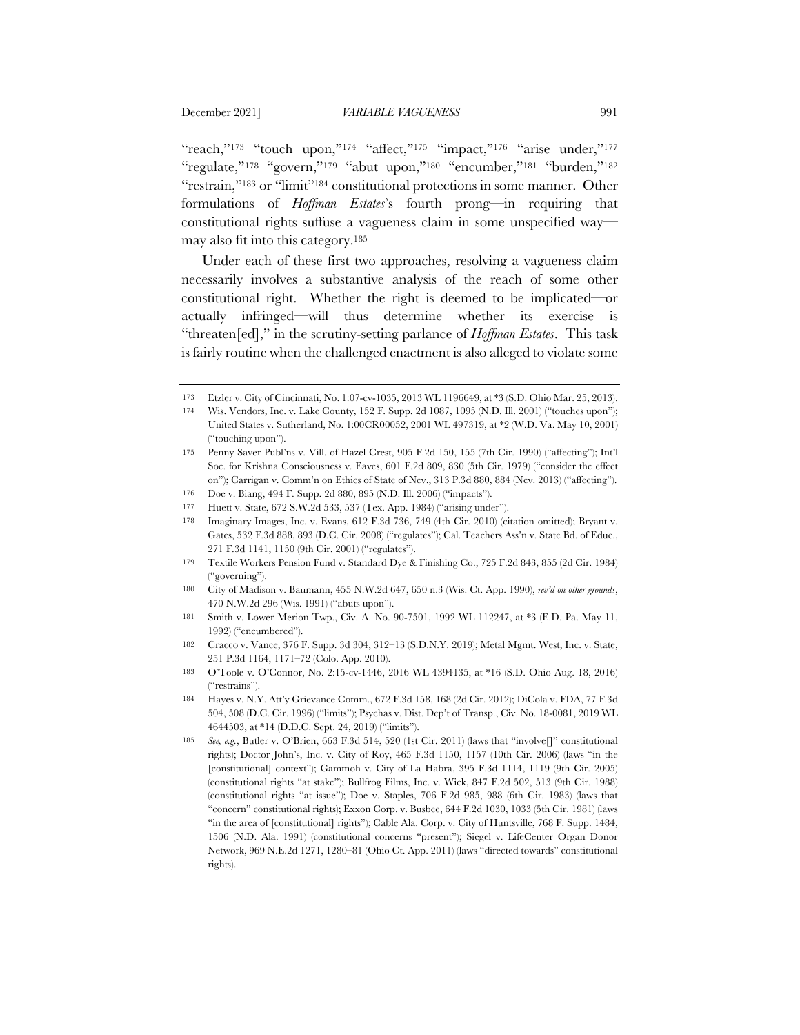"reach,"<sup>173</sup> "touch upon,"<sup>174</sup> "affect,"<sup>175</sup> "impact,"<sup>176</sup> "arise under,"<sup>177</sup> "regulate,"178 "govern,"179 "abut upon,"180 "encumber,"181 "burden,"182 "restrain,"<sup>183</sup> or "limit"<sup>184</sup> constitutional protections in some manner. Other formulations of *Hoffman Estates*'s fourth prong—in requiring that constitutional rights suffuse a vagueness claim in some unspecified way may also fit into this category.185

Under each of these first two approaches, resolving a vagueness claim necessarily involves a substantive analysis of the reach of some other constitutional right. Whether the right is deemed to be implicated—or actually infringed—will thus determine whether its exercise is "threaten[ed]," in the scrutiny-setting parlance of *Hoffman Estates*. This task is fairly routine when the challenged enactment is also alleged to violate some

<sup>173</sup> Etzler v. City of Cincinnati, No. 1:07-cv-1035, 2013 WL 1196649, at \*3 (S.D. Ohio Mar. 25, 2013).

<sup>174</sup> Wis. Vendors, Inc. v. Lake County, 152 F. Supp. 2d 1087, 1095 (N.D. Ill. 2001) ("touches upon"); United States v. Sutherland, No. 1:00CR00052, 2001 WL 497319, at \*2 (W.D. Va. May 10, 2001) ("touching upon").

<sup>175</sup> Penny Saver Publ'ns v. Vill. of Hazel Crest, 905 F.2d 150, 155 (7th Cir. 1990) ("affecting"); Int'l Soc. for Krishna Consciousness v. Eaves, 601 F.2d 809, 830 (5th Cir. 1979) ("consider the effect on"); Carrigan v. Comm'n on Ethics of State of Nev., 313 P.3d 880, 884 (Nev. 2013) ("affecting").

<sup>176</sup> Doe v. Biang, 494 F. Supp. 2d 880, 895 (N.D. Ill. 2006) ("impacts").

<sup>177</sup> Huett v. State, 672 S.W.2d 533, 537 (Tex. App. 1984) ("arising under").

Imaginary Images, Inc. v. Evans, 612 F.3d 736, 749 (4th Cir. 2010) (citation omitted); Bryant v. Gates, 532 F.3d 888, 893 (D.C. Cir. 2008) ("regulates"); Cal. Teachers Ass'n v. State Bd. of Educ., 271 F.3d 1141, 1150 (9th Cir. 2001) ("regulates").

<sup>179</sup> Textile Workers Pension Fund v. Standard Dye & Finishing Co., 725 F.2d 843, 855 (2d Cir. 1984) ("governing").

<sup>180</sup> City of Madison v. Baumann, 455 N.W.2d 647, 650 n.3 (Wis. Ct. App. 1990), *rev'd on other grounds*, 470 N.W.2d 296 (Wis. 1991) ("abuts upon").

<sup>181</sup> Smith v. Lower Merion Twp., Civ. A. No. 90-7501, 1992 WL 112247, at \*3 (E.D. Pa. May 11, 1992) ("encumbered").

<sup>182</sup> Cracco v. Vance, 376 F. Supp. 3d 304, 312–13 (S.D.N.Y. 2019); Metal Mgmt. West, Inc. v. State, 251 P.3d 1164, 1171–72 (Colo. App. 2010).

<sup>183</sup> O'Toole v. O'Connor, No. 2:15-cv-1446, 2016 WL 4394135, at \*16 (S.D. Ohio Aug. 18, 2016) ("restrains").

<sup>184</sup> Hayes v. N.Y. Att'y Grievance Comm., 672 F.3d 158, 168 (2d Cir. 2012); DiCola v. FDA, 77 F.3d 504, 508 (D.C. Cir. 1996) ("limits"); Psychas v. Dist. Dep't of Transp., Civ. No. 18-0081, 2019 WL 4644503, at \*14 (D.D.C. Sept. 24, 2019) ("limits").

<sup>185</sup> *See, e.g.*, Butler v. O'Brien, 663 F.3d 514, 520 (1st Cir. 2011) (laws that "involve[]" constitutional rights); Doctor John's, Inc. v. City of Roy, 465 F.3d 1150, 1157 (10th Cir. 2006) (laws "in the [constitutional] context"); Gammoh v. City of La Habra, 395 F.3d 1114, 1119 (9th Cir. 2005) (constitutional rights "at stake"); Bullfrog Films, Inc. v. Wick, 847 F.2d 502, 513 (9th Cir. 1988) (constitutional rights "at issue"); Doe v. Staples, 706 F.2d 985, 988 (6th Cir. 1983) (laws that "concern" constitutional rights); Exxon Corp. v. Busbee, 644 F.2d 1030, 1033 (5th Cir. 1981) (laws "in the area of [constitutional] rights"); Cable Ala. Corp. v. City of Huntsville, 768 F. Supp. 1484, 1506 (N.D. Ala. 1991) (constitutional concerns "present"); Siegel v. LifeCenter Organ Donor Network, 969 N.E.2d 1271, 1280–81 (Ohio Ct. App. 2011) (laws "directed towards" constitutional rights).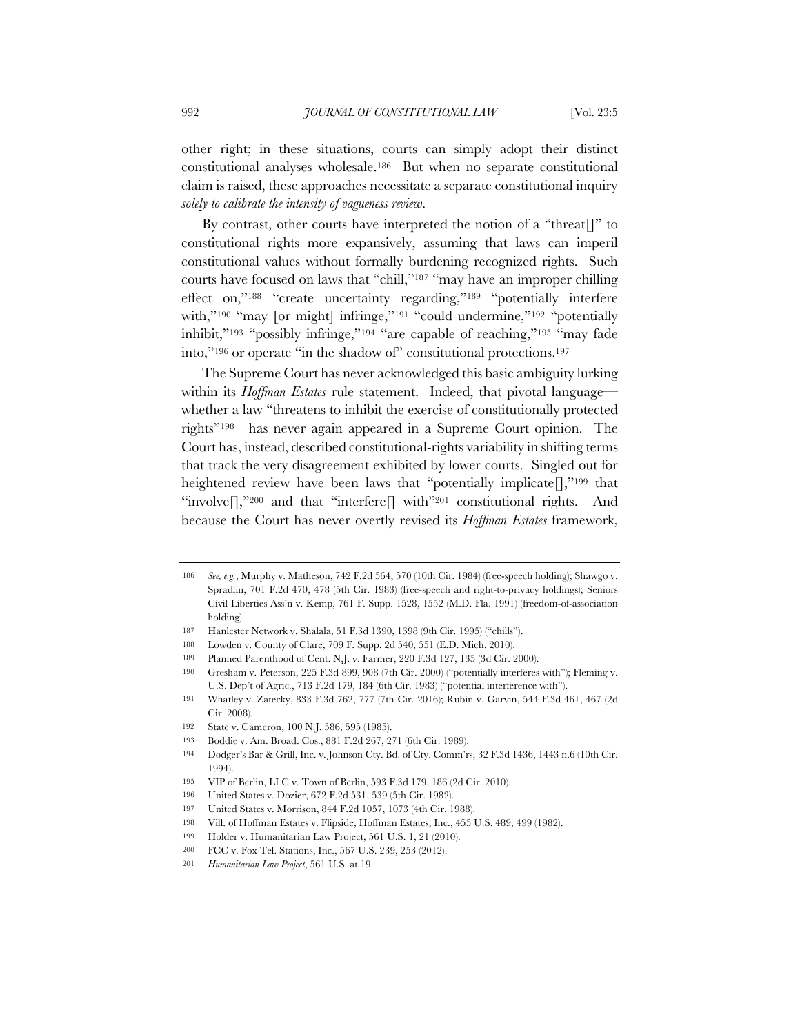other right; in these situations, courts can simply adopt their distinct constitutional analyses wholesale.186 But when no separate constitutional claim is raised, these approaches necessitate a separate constitutional inquiry *solely to calibrate the intensity of vagueness review*.

By contrast, other courts have interpreted the notion of a "threat[]" to constitutional rights more expansively, assuming that laws can imperil constitutional values without formally burdening recognized rights. Such courts have focused on laws that "chill,"187 "may have an improper chilling effect on,"188 "create uncertainty regarding,"189 "potentially interfere with,"<sup>190</sup> "may [or might] infringe,"<sup>191</sup> "could undermine,"<sup>192</sup> "potentially inhibit,"193 "possibly infringe,"194 "are capable of reaching,"195 "may fade into,"196 or operate "in the shadow of" constitutional protections.197

The Supreme Court has never acknowledged this basic ambiguity lurking within its *Hoffman Estates* rule statement. Indeed, that pivotal language whether a law "threatens to inhibit the exercise of constitutionally protected rights"198—has never again appeared in a Supreme Court opinion. The Court has, instead, described constitutional-rights variability in shifting terms that track the very disagreement exhibited by lower courts. Singled out for heightened review have been laws that "potentially implicate $[]$ ,"<sup>199</sup> that "involve $\left[\right]$ ,"200 and that "interfere $\left[\right]$  with"<sup>201</sup> constitutional rights. And because the Court has never overtly revised its *Hoffman Estates* framework,

<sup>186</sup> *See, e.g.*, Murphy v. Matheson, 742 F.2d 564, 570 (10th Cir. 1984) (free-speech holding); Shawgo v. Spradlin, 701 F.2d 470, 478 (5th Cir. 1983) (free-speech and right-to-privacy holdings); Seniors Civil Liberties Ass'n v. Kemp, 761 F. Supp. 1528, 1552 (M.D. Fla. 1991) (freedom-of-association holding).

<sup>187</sup> Hanlester Network v. Shalala, 51 F.3d 1390, 1398 (9th Cir. 1995) ("chills").

<sup>188</sup> Lowden v. County of Clare, 709 F. Supp. 2d 540, 551 (E.D. Mich. 2010).

<sup>189</sup> Planned Parenthood of Cent. N.J. v. Farmer, 220 F.3d 127, 135 (3d Cir. 2000).

<sup>190</sup> Gresham v. Peterson, 225 F.3d 899, 908 (7th Cir. 2000) ("potentially interferes with"); Fleming v. U.S. Dep't of Agric., 713 F.2d 179, 184 (6th Cir. 1983) ("potential interference with").

<sup>191</sup> Whatley v. Zatecky, 833 F.3d 762, 777 (7th Cir. 2016); Rubin v. Garvin, 544 F.3d 461, 467 (2d Cir. 2008).

<sup>192</sup> State v. Cameron, 100 N.J. 586, 595 (1985).

<sup>193</sup> Boddie v. Am. Broad. Cos., 881 F.2d 267, 271 (6th Cir. 1989).

<sup>194</sup> Dodger's Bar & Grill, Inc. v. Johnson Cty. Bd. of Cty. Comm'rs, 32 F.3d 1436, 1443 n.6 (10th Cir. 1994).

<sup>195</sup> VIP of Berlin, LLC v. Town of Berlin, 593 F.3d 179, 186 (2d Cir. 2010).

<sup>196</sup> United States v. Dozier, 672 F.2d 531, 539 (5th Cir. 1982).

<sup>197</sup> United States v. Morrison, 844 F.2d 1057, 1073 (4th Cir. 1988).

<sup>198</sup> Vill. of Hoffman Estates v. Flipside, Hoffman Estates, Inc., 455 U.S. 489, 499 (1982).

<sup>199</sup> Holder v. Humanitarian Law Project, 561 U.S. 1, 21 (2010).

<sup>200</sup> FCC v. Fox Tel. Stations, Inc., 567 U.S. 239, 253 (2012).

<sup>201</sup> *Humanitarian Law Project*, 561 U.S. at 19.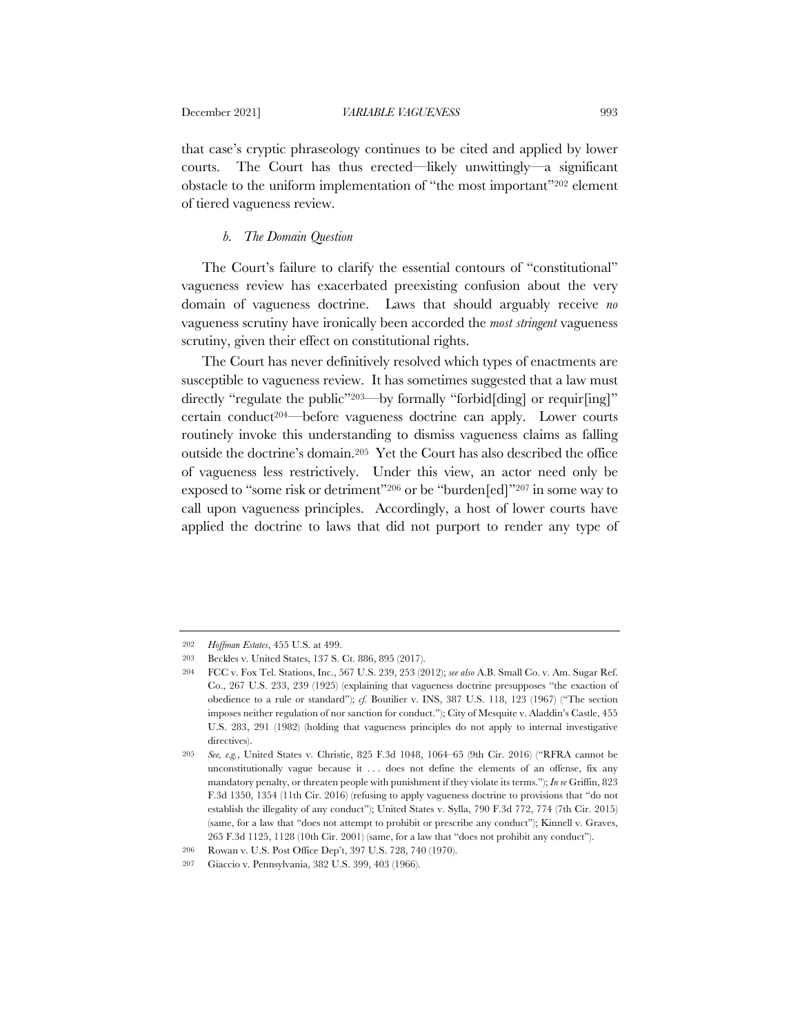that case's cryptic phraseology continues to be cited and applied by lower courts. The Court has thus erected—likely unwittingly—a significant obstacle to the uniform implementation of "the most important"202 element of tiered vagueness review.

#### *b. The Domain Question*

The Court's failure to clarify the essential contours of "constitutional" vagueness review has exacerbated preexisting confusion about the very domain of vagueness doctrine. Laws that should arguably receive *no* vagueness scrutiny have ironically been accorded the *most stringent* vagueness scrutiny, given their effect on constitutional rights.

The Court has never definitively resolved which types of enactments are susceptible to vagueness review. It has sometimes suggested that a law must directly "regulate the public"<sup>203—</sup>by formally "forbid[ding] or requir[ing]" certain conduct<sup>204—</sup>before vagueness doctrine can apply. Lower courts routinely invoke this understanding to dismiss vagueness claims as falling outside the doctrine's domain.205 Yet the Court has also described the office of vagueness less restrictively. Under this view, an actor need only be exposed to "some risk or detriment"206 or be "burden[ed]"207 in some way to call upon vagueness principles. Accordingly, a host of lower courts have applied the doctrine to laws that did not purport to render any type of

<sup>202</sup> *Hoffman Estates*, 455 U.S. at 499.

<sup>203</sup> Beckles v. United States, 137 S. Ct. 886, 895 (2017).

<sup>204</sup> FCC v. Fox Tel. Stations, Inc., 567 U.S. 239, 253 (2012); *see also* A.B. Small Co. v. Am. Sugar Ref. Co., 267 U.S. 233, 239 (1925) (explaining that vagueness doctrine presupposes "the exaction of obedience to a rule or standard"); *cf.* Boutilier v. INS, 387 U.S. 118, 123 (1967) ("The section imposes neither regulation of nor sanction for conduct."); City of Mesquite v. Aladdin's Castle, 455 U.S. 283, 291 (1982) (holding that vagueness principles do not apply to internal investigative directives).

<sup>205</sup> *See, e.g.*, United States v. Christie, 825 F.3d 1048, 1064–65 (9th Cir. 2016) ("RFRA cannot be unconstitutionally vague because it . . . does not define the elements of an offense, fix any mandatory penalty, or threaten people with punishment if they violate its terms."); *In re* Griffin, 823 F.3d 1350, 1354 (11th Cir. 2016) (refusing to apply vagueness doctrine to provisions that "do not establish the illegality of any conduct"); United States v. Sylla, 790 F.3d 772, 774 (7th Cir. 2015) (same, for a law that "does not attempt to prohibit or prescribe any conduct"); Kinnell v. Graves, 265 F.3d 1125, 1128 (10th Cir. 2001) (same, for a law that "does not prohibit any conduct").

<sup>206</sup> Rowan v. U.S. Post Office Dep't, 397 U.S. 728, 740 (1970).

<sup>207</sup> Giaccio v. Pennsylvania, 382 U.S. 399, 403 (1966).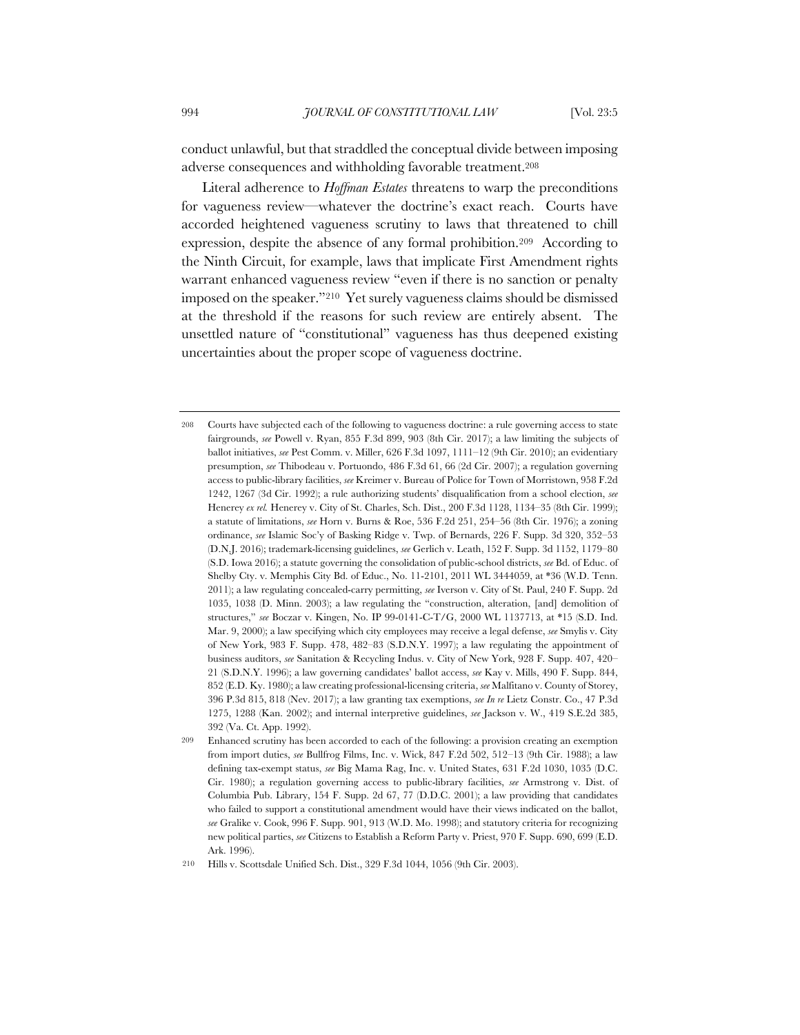conduct unlawful, but that straddled the conceptual divide between imposing adverse consequences and withholding favorable treatment.208

Literal adherence to *Hoffman Estates* threatens to warp the preconditions for vagueness review—whatever the doctrine's exact reach. Courts have accorded heightened vagueness scrutiny to laws that threatened to chill expression, despite the absence of any formal prohibition.209 According to the Ninth Circuit, for example, laws that implicate First Amendment rights warrant enhanced vagueness review "even if there is no sanction or penalty imposed on the speaker."210 Yet surely vagueness claims should be dismissed at the threshold if the reasons for such review are entirely absent. The unsettled nature of "constitutional" vagueness has thus deepened existing uncertainties about the proper scope of vagueness doctrine.

<sup>208</sup> Courts have subjected each of the following to vagueness doctrine: a rule governing access to state fairgrounds, *see* Powell v. Ryan, 855 F.3d 899, 903 (8th Cir. 2017); a law limiting the subjects of ballot initiatives, *see* Pest Comm. v. Miller, 626 F.3d 1097, 1111–12 (9th Cir. 2010); an evidentiary presumption, *see* Thibodeau v. Portuondo, 486 F.3d 61, 66 (2d Cir. 2007); a regulation governing access to public-library facilities, *see* Kreimer v. Bureau of Police for Town of Morristown, 958 F.2d 1242, 1267 (3d Cir. 1992); a rule authorizing students' disqualification from a school election, *see* Henerey *ex rel.* Henerey v. City of St. Charles, Sch. Dist., 200 F.3d 1128, 1134–35 (8th Cir. 1999); a statute of limitations, *see* Horn v. Burns & Roe, 536 F.2d 251, 254–56 (8th Cir. 1976); a zoning ordinance, *see* Islamic Soc'y of Basking Ridge v. Twp. of Bernards, 226 F. Supp. 3d 320, 352–53 (D.N.J. 2016); trademark-licensing guidelines, *see* Gerlich v. Leath, 152 F. Supp. 3d 1152, 1179–80 (S.D. Iowa 2016); a statute governing the consolidation of public-school districts, *see* Bd. of Educ. of Shelby Cty. v. Memphis City Bd. of Educ., No. 11-2101, 2011 WL 3444059, at \*36 (W.D. Tenn. 2011); a law regulating concealed-carry permitting, *see* Iverson v. City of St. Paul, 240 F. Supp. 2d 1035, 1038 (D. Minn. 2003); a law regulating the "construction, alteration, [and] demolition of structures," *see* Boczar v. Kingen, No. IP 99-0141-C-T/G, 2000 WL 1137713, at \*15 (S.D. Ind. Mar. 9, 2000); a law specifying which city employees may receive a legal defense, *see* Smylis v. City of New York, 983 F. Supp. 478, 482–83 (S.D.N.Y. 1997); a law regulating the appointment of business auditors, *see* Sanitation & Recycling Indus. v. City of New York, 928 F. Supp. 407, 420– 21 (S.D.N.Y. 1996); a law governing candidates' ballot access, *see* Kay v. Mills, 490 F. Supp. 844, 852 (E.D. Ky. 1980); a law creating professional-licensing criteria, *see* Malfitano v. County of Storey, 396 P.3d 815, 818 (Nev. 2017); a law granting tax exemptions, *see In re* Lietz Constr. Co., 47 P.3d 1275, 1288 (Kan. 2002); and internal interpretive guidelines, *see* Jackson v. W., 419 S.E.2d 385, 392 (Va. Ct. App. 1992).

<sup>209</sup> Enhanced scrutiny has been accorded to each of the following: a provision creating an exemption from import duties, *see* Bullfrog Films, Inc. v. Wick, 847 F.2d 502, 512–13 (9th Cir. 1988); a law defining tax-exempt status, *see* Big Mama Rag, Inc. v. United States, 631 F.2d 1030, 1035 (D.C. Cir. 1980); a regulation governing access to public-library facilities, *see* Armstrong v. Dist. of Columbia Pub. Library, 154 F. Supp. 2d 67, 77 (D.D.C. 2001); a law providing that candidates who failed to support a constitutional amendment would have their views indicated on the ballot, *see* Gralike v. Cook, 996 F. Supp. 901, 913 (W.D. Mo. 1998); and statutory criteria for recognizing new political parties, *see* Citizens to Establish a Reform Party v. Priest, 970 F. Supp. 690, 699 (E.D. Ark. 1996).

<sup>210</sup> Hills v. Scottsdale Unified Sch. Dist., 329 F.3d 1044, 1056 (9th Cir. 2003).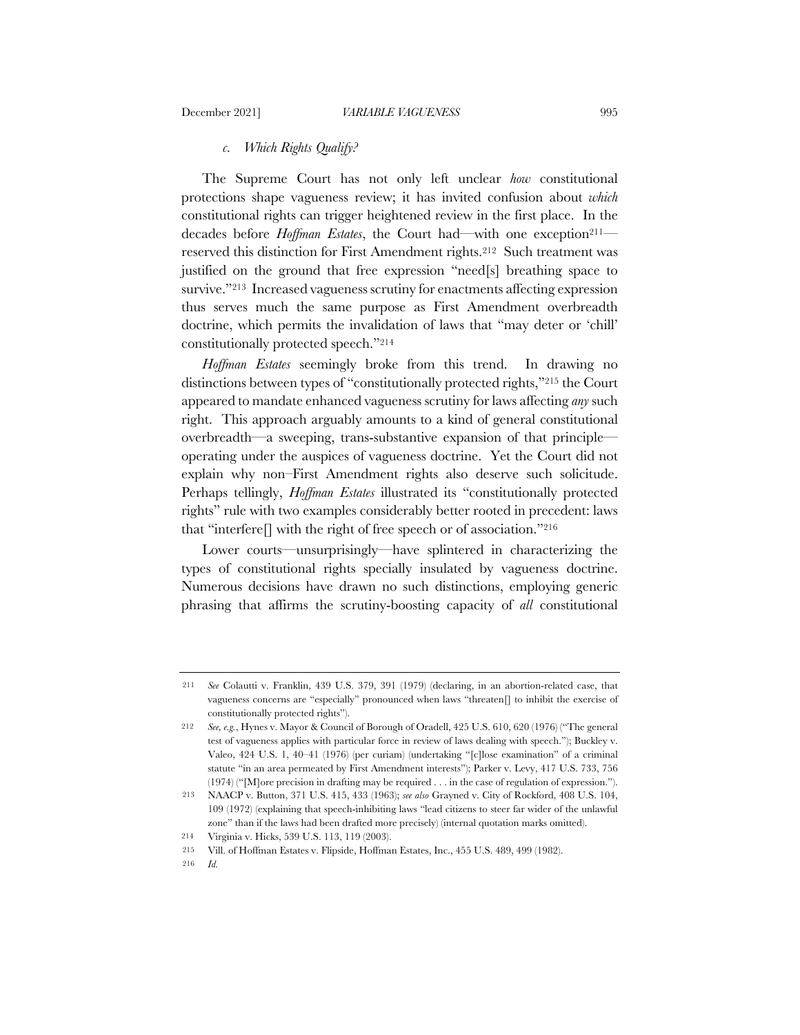## *c. Which Rights Qualify?*

The Supreme Court has not only left unclear *how* constitutional protections shape vagueness review; it has invited confusion about *which* constitutional rights can trigger heightened review in the first place. In the decades before *Hoffman Estates*, the Court had—with one exception<sup>211</sup> reserved this distinction for First Amendment rights.212 Such treatment was justified on the ground that free expression "need[s] breathing space to survive."213 Increased vagueness scrutiny for enactments affecting expression thus serves much the same purpose as First Amendment overbreadth doctrine, which permits the invalidation of laws that "may deter or 'chill' constitutionally protected speech."214

*Hoffman Estates* seemingly broke from this trend. In drawing no distinctions between types of "constitutionally protected rights,"215 the Court appeared to mandate enhanced vagueness scrutiny for laws affecting *any* such right. This approach arguably amounts to a kind of general constitutional overbreadth—a sweeping, trans-substantive expansion of that principle operating under the auspices of vagueness doctrine. Yet the Court did not explain why non–First Amendment rights also deserve such solicitude. Perhaps tellingly, *Hoffman Estates* illustrated its "constitutionally protected rights" rule with two examples considerably better rooted in precedent: laws that "interfere. with the right of free speech or of association."<sup>216</sup>

Lower courts—unsurprisingly—have splintered in characterizing the types of constitutional rights specially insulated by vagueness doctrine. Numerous decisions have drawn no such distinctions, employing generic phrasing that affirms the scrutiny-boosting capacity of *all* constitutional

216 *Id.*

<sup>211</sup> *See* Colautti v. Franklin, 439 U.S. 379, 391 (1979) (declaring, in an abortion-related case, that vagueness concerns are "especially" pronounced when laws "threaten[] to inhibit the exercise of constitutionally protected rights").

<sup>212</sup> *See, e.g.*, Hynes v. Mayor & Council of Borough of Oradell, 425 U.S. 610, 620 (1976) ("The general test of vagueness applies with particular force in review of laws dealing with speech."); Buckley v. Valeo, 424 U.S. 1, 40–41 (1976) (per curiam) (undertaking "[c]lose examination" of a criminal statute "in an area permeated by First Amendment interests"); Parker v. Levy, 417 U.S. 733, 756 (1974) ("[M]ore precision in drafting may be required . . . in the case of regulation of expression.").

<sup>213</sup> NAACP v. Button, 371 U.S. 415, 433 (1963); *see also* Grayned v. City of Rockford, 408 U.S. 104, 109 (1972) (explaining that speech-inhibiting laws "lead citizens to steer far wider of the unlawful zone" than if the laws had been drafted more precisely) (internal quotation marks omitted).

<sup>214</sup> Virginia v. Hicks, 539 U.S. 113, 119 (2003).

<sup>215</sup> Vill. of Hoffman Estates v. Flipside, Hoffman Estates, Inc., 455 U.S. 489, 499 (1982).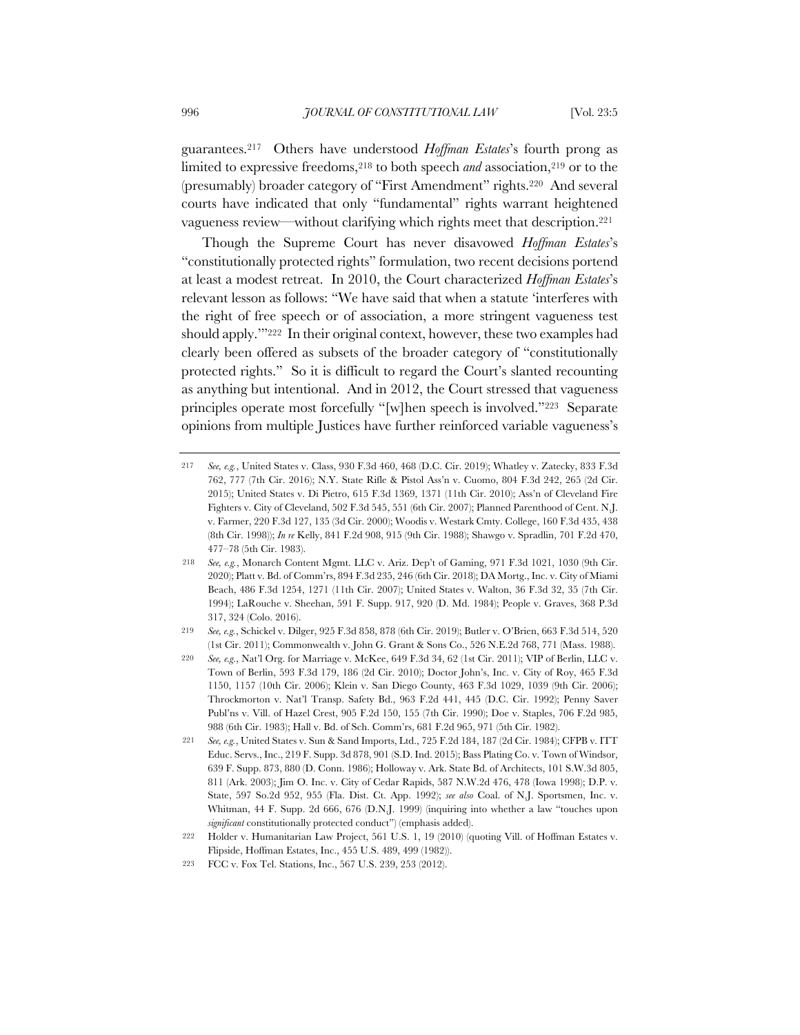guarantees.217 Others have understood *Hoffman Estates*'s fourth prong as limited to expressive freedoms,<sup>218</sup> to both speech *and* association,<sup>219</sup> or to the (presumably) broader category of "First Amendment" rights.220 And several courts have indicated that only "fundamental" rights warrant heightened vagueness review—without clarifying which rights meet that description.221

Though the Supreme Court has never disavowed *Hoffman Estates*'s "constitutionally protected rights" formulation, two recent decisions portend at least a modest retreat. In 2010, the Court characterized *Hoffman Estates*'s relevant lesson as follows: "We have said that when a statute 'interferes with the right of free speech or of association, a more stringent vagueness test should apply.'"222 In their original context, however, these two examples had clearly been offered as subsets of the broader category of "constitutionally protected rights." So it is difficult to regard the Court's slanted recounting as anything but intentional. And in 2012, the Court stressed that vagueness principles operate most forcefully "[w]hen speech is involved."223 Separate opinions from multiple Justices have further reinforced variable vagueness's

<sup>217</sup> *See, e.g.*, United States v. Class, 930 F.3d 460, 468 (D.C. Cir. 2019); Whatley v. Zatecky, 833 F.3d 762, 777 (7th Cir. 2016); N.Y. State Rifle & Pistol Ass'n v. Cuomo, 804 F.3d 242, 265 (2d Cir. 2015); United States v. Di Pietro, 615 F.3d 1369, 1371 (11th Cir. 2010); Ass'n of Cleveland Fire Fighters v. City of Cleveland, 502 F.3d 545, 551 (6th Cir. 2007); Planned Parenthood of Cent. N.J. v. Farmer, 220 F.3d 127, 135 (3d Cir. 2000); Woodis v. Westark Cmty. College, 160 F.3d 435, 438 (8th Cir. 1998)); *In re* Kelly, 841 F.2d 908, 915 (9th Cir. 1988); Shawgo v. Spradlin, 701 F.2d 470, 477–78 (5th Cir. 1983).

<sup>218</sup> *See, e.g.*, Monarch Content Mgmt. LLC v. Ariz. Dep't of Gaming, 971 F.3d 1021, 1030 (9th Cir. 2020); Platt v. Bd. of Comm'rs, 894 F.3d 235, 246 (6th Cir. 2018); DA Mortg., Inc. v. City of Miami Beach, 486 F.3d 1254, 1271 (11th Cir. 2007); United States v. Walton, 36 F.3d 32, 35 (7th Cir. 1994); LaRouche v. Sheehan, 591 F. Supp. 917, 920 (D. Md. 1984); People v. Graves, 368 P.3d 317, 324 (Colo. 2016).

<sup>219</sup> *See, e.g.*, Schickel v. Dilger, 925 F.3d 858, 878 (6th Cir. 2019); Butler v. O'Brien, 663 F.3d 514, 520 (1st Cir. 2011); Commonwealth v. John G. Grant & Sons Co., 526 N.E.2d 768, 771 (Mass. 1988).

<sup>220</sup> *See, e.g.*, Nat'l Org. for Marriage v. McKee, 649 F.3d 34, 62 (1st Cir. 2011); VIP of Berlin, LLC v. Town of Berlin, 593 F.3d 179, 186 (2d Cir. 2010); Doctor John's, Inc. v. City of Roy, 465 F.3d 1150, 1157 (10th Cir. 2006); Klein v. San Diego County, 463 F.3d 1029, 1039 (9th Cir. 2006); Throckmorton v. Nat'l Transp. Safety Bd., 963 F.2d 441, 445 (D.C. Cir. 1992); Penny Saver Publ'ns v. Vill. of Hazel Crest, 905 F.2d 150, 155 (7th Cir. 1990); Doe v. Staples, 706 F.2d 985, 988 (6th Cir. 1983); Hall v. Bd. of Sch. Comm'rs, 681 F.2d 965, 971 (5th Cir. 1982).

<sup>221</sup> *See, e.g.*, United States v. Sun & Sand Imports, Ltd., 725 F.2d 184, 187 (2d Cir. 1984); CFPB v. ITT Educ. Servs., Inc., 219 F. Supp. 3d 878, 901 (S.D. Ind. 2015); Bass Plating Co. v. Town of Windsor, 639 F. Supp. 873, 880 (D. Conn. 1986); Holloway v. Ark. State Bd. of Architects, 101 S.W.3d 805, 811 (Ark. 2003); Jim O. Inc. v. City of Cedar Rapids, 587 N.W.2d 476, 478 (Iowa 1998); D.P. v. State, 597 So.2d 952, 955 (Fla. Dist. Ct. App. 1992); *see also* Coal. of N.J. Sportsmen, Inc. v. Whitman, 44 F. Supp. 2d 666, 676 (D.N.J. 1999) (inquiring into whether a law "touches upon *significant* constitutionally protected conduct") (emphasis added).

<sup>222</sup> Holder v. Humanitarian Law Project, 561 U.S. 1, 19 (2010) (quoting Vill. of Hoffman Estates v. Flipside, Hoffman Estates, Inc., 455 U.S. 489, 499 (1982)).

<sup>223</sup> FCC v. Fox Tel. Stations, Inc., 567 U.S. 239, 253 (2012).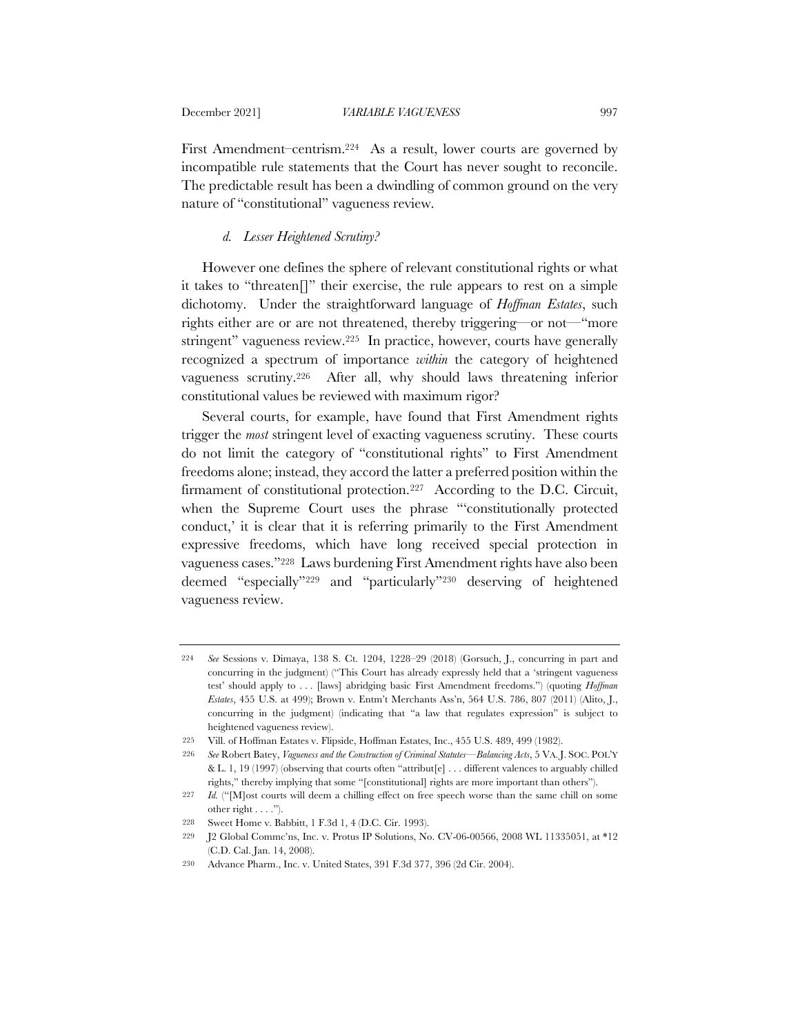First Amendment–centrism.224 As a result, lower courts are governed by incompatible rule statements that the Court has never sought to reconcile. The predictable result has been a dwindling of common ground on the very nature of "constitutional" vagueness review.

# *d. Lesser Heightened Scrutiny?*

However one defines the sphere of relevant constitutional rights or what it takes to "threaten[]" their exercise, the rule appears to rest on a simple dichotomy. Under the straightforward language of *Hoffman Estates*, such rights either are or are not threatened, thereby triggering—or not—"more stringent" vagueness review.225 In practice, however, courts have generally recognized a spectrum of importance *within* the category of heightened vagueness scrutiny.226 After all, why should laws threatening inferior constitutional values be reviewed with maximum rigor?

Several courts, for example, have found that First Amendment rights trigger the *most* stringent level of exacting vagueness scrutiny. These courts do not limit the category of "constitutional rights" to First Amendment freedoms alone; instead, they accord the latter a preferred position within the firmament of constitutional protection.<sup>227</sup> According to the D.C. Circuit, when the Supreme Court uses the phrase "'constitutionally protected conduct,' it is clear that it is referring primarily to the First Amendment expressive freedoms, which have long received special protection in vagueness cases."228 Laws burdening First Amendment rights have also been deemed "especially"229 and "particularly"230 deserving of heightened vagueness review.

<sup>224</sup> *See* Sessions v. Dimaya, 138 S. Ct. 1204, 1228–29 (2018) (Gorsuch, J., concurring in part and concurring in the judgment) ("This Court has already expressly held that a 'stringent vagueness test' should apply to . . . [laws] abridging basic First Amendment freedoms.") (quoting *Hoffman Estates*, 455 U.S. at 499); Brown v. Entm't Merchants Ass'n, 564 U.S. 786, 807 (2011) (Alito, J., concurring in the judgment) (indicating that "a law that regulates expression" is subject to heightened vagueness review).

<sup>225</sup> Vill. of Hoffman Estates v. Flipside, Hoffman Estates, Inc., 455 U.S. 489, 499 (1982).

<sup>226</sup> *See* Robert Batey, *Vagueness and the Construction of Criminal Statutes—Balancing Acts*, 5 VA. J. SOC. POL'Y & L. 1, 19 (1997) (observing that courts often "attribut[e] . . . different valences to arguably chilled rights," thereby implying that some "[constitutional] rights are more important than others").

<sup>227</sup> *Id.* ("[M]ost courts will deem a chilling effect on free speech worse than the same chill on some other right  $\dots$ .").

<sup>228</sup> Sweet Home v. Babbitt, 1 F.3d 1, 4 (D.C. Cir. 1993).

<sup>229</sup> J2 Global Commc'ns, Inc. v. Protus IP Solutions, No. CV-06-00566, 2008 WL 11335051, at \*12 (C.D. Cal. Jan. 14, 2008).

<sup>230</sup> Advance Pharm., Inc. v. United States, 391 F.3d 377, 396 (2d Cir. 2004).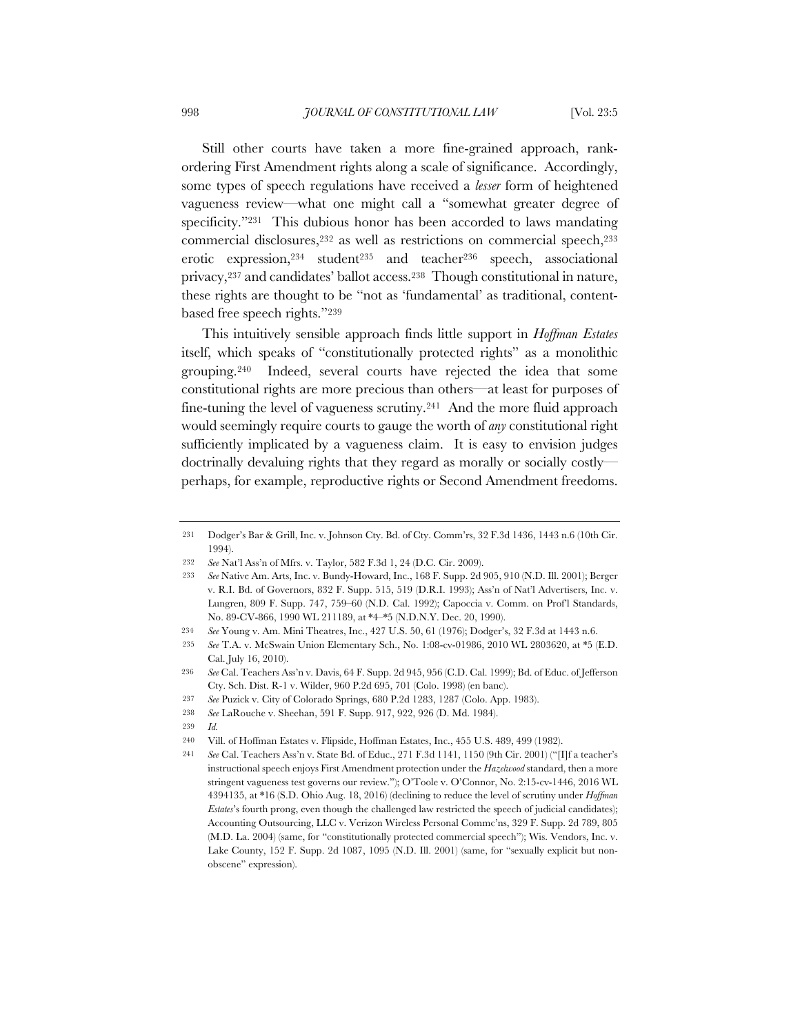Still other courts have taken a more fine-grained approach, rankordering First Amendment rights along a scale of significance. Accordingly, some types of speech regulations have received a *lesser* form of heightened vagueness review—what one might call a "somewhat greater degree of specificity."231 This dubious honor has been accorded to laws mandating commercial disclosures,232 as well as restrictions on commercial speech,233 erotic expression, 234 student<sup>235</sup> and teacher<sup>236</sup> speech, associational privacy,237 and candidates' ballot access.238 Though constitutional in nature, these rights are thought to be "not as 'fundamental' as traditional, contentbased free speech rights."239

This intuitively sensible approach finds little support in *Hoffman Estates*  itself, which speaks of "constitutionally protected rights" as a monolithic grouping.240 Indeed, several courts have rejected the idea that some constitutional rights are more precious than others—at least for purposes of fine-tuning the level of vagueness scrutiny.<sup>241</sup> And the more fluid approach would seemingly require courts to gauge the worth of *any* constitutional right sufficiently implicated by a vagueness claim. It is easy to envision judges doctrinally devaluing rights that they regard as morally or socially costly perhaps, for example, reproductive rights or Second Amendment freedoms.

- 231 Dodger's Bar & Grill, Inc. v. Johnson Cty. Bd. of Cty. Comm'rs, 32 F.3d 1436, 1443 n.6 (10th Cir. 1994).
- 232 *See* Nat'l Ass'n of Mfrs. v. Taylor, 582 F.3d 1, 24 (D.C. Cir. 2009).
- 233 *See* Native Am. Arts, Inc. v. Bundy-Howard, Inc., 168 F. Supp. 2d 905, 910 (N.D. Ill. 2001); Berger v. R.I. Bd. of Governors, 832 F. Supp. 515, 519 (D.R.I. 1993); Ass'n of Nat'l Advertisers, Inc. v. Lungren, 809 F. Supp. 747, 759–60 (N.D. Cal. 1992); Capoccia v. Comm. on Prof'l Standards, No. 89-CV-866, 1990 WL 211189, at \*4–\*5 (N.D.N.Y. Dec. 20, 1990).
- 234 *See* Young v. Am. Mini Theatres, Inc., 427 U.S. 50, 61 (1976); Dodger's, 32 F.3d at 1443 n.6.
- 235 *See* T.A. v. McSwain Union Elementary Sch., No. 1:08-cv-01986, 2010 WL 2803620, at \*5 (E.D. Cal. July 16, 2010).
- 236 *See* Cal. Teachers Ass'n v. Davis, 64 F. Supp. 2d 945, 956 (C.D. Cal. 1999); Bd. of Educ. of Jefferson Cty. Sch. Dist. R-1 v. Wilder, 960 P.2d 695, 701 (Colo. 1998) (en banc).
- 237 *See* Puzick v. City of Colorado Springs, 680 P.2d 1283, 1287 (Colo. App. 1983).
- 238 *See* LaRouche v. Sheehan, 591 F. Supp. 917, 922, 926 (D. Md. 1984).
- 239 *Id.*

<sup>240</sup> Vill. of Hoffman Estates v. Flipside, Hoffman Estates, Inc., 455 U.S. 489, 499 (1982).

<sup>241</sup> *See* Cal. Teachers Ass'n v. State Bd. of Educ., 271 F.3d 1141, 1150 (9th Cir. 2001) ("[I]f a teacher's instructional speech enjoys First Amendment protection under the *Hazelwood* standard, then a more stringent vagueness test governs our review."); O'Toole v. O'Connor, No. 2:15-cv-1446, 2016 WL 4394135, at \*16 (S.D. Ohio Aug. 18, 2016) (declining to reduce the level of scrutiny under *Hoffman Estates*'s fourth prong, even though the challenged law restricted the speech of judicial candidates); Accounting Outsourcing, LLC v. Verizon Wireless Personal Commc'ns, 329 F. Supp. 2d 789, 805 (M.D. La. 2004) (same, for "constitutionally protected commercial speech"); Wis. Vendors, Inc. v. Lake County, 152 F. Supp. 2d 1087, 1095 (N.D. Ill. 2001) (same, for "sexually explicit but nonobscene" expression).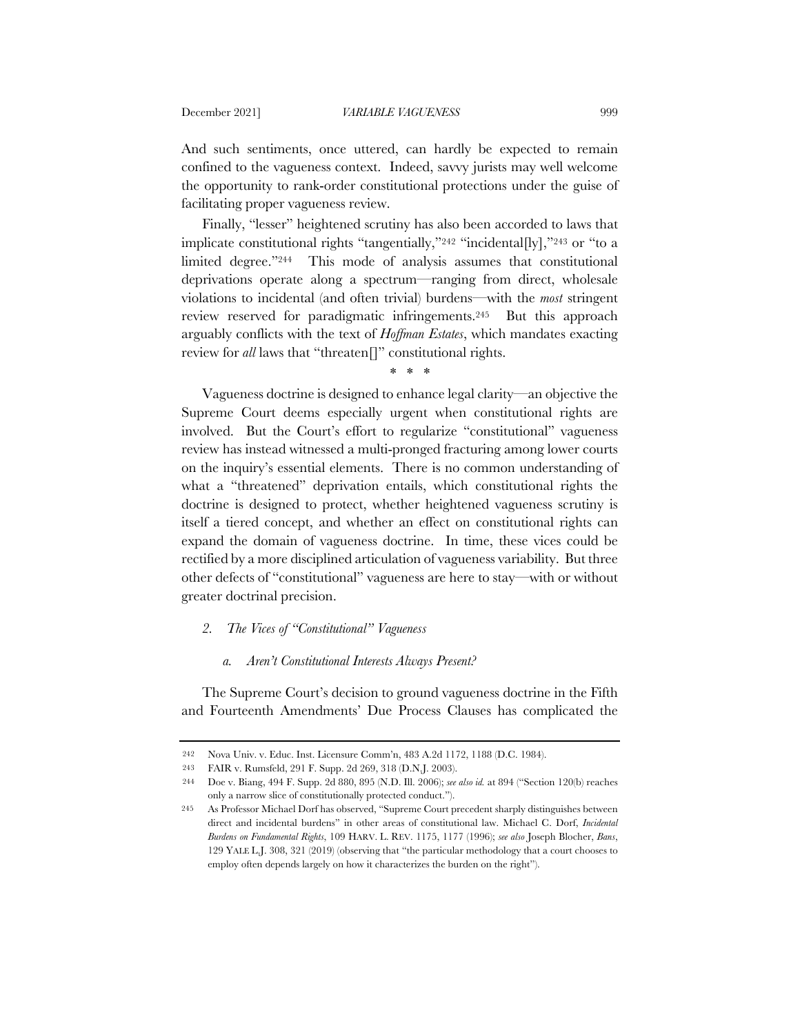And such sentiments, once uttered, can hardly be expected to remain confined to the vagueness context. Indeed, savvy jurists may well welcome the opportunity to rank-order constitutional protections under the guise of facilitating proper vagueness review.

Finally, "lesser" heightened scrutiny has also been accorded to laws that implicate constitutional rights "tangentially,"242 "incidental[ly],"243 or "to a limited degree."244 This mode of analysis assumes that constitutional deprivations operate along a spectrum—ranging from direct, wholesale violations to incidental (and often trivial) burdens—with the *most* stringent review reserved for paradigmatic infringements.245 But this approach arguably conflicts with the text of *Hoffman Estates*, which mandates exacting review for *all* laws that "threaten[]" constitutional rights.

\* \* \*

Vagueness doctrine is designed to enhance legal clarity—an objective the Supreme Court deems especially urgent when constitutional rights are involved. But the Court's effort to regularize "constitutional" vagueness review has instead witnessed a multi-pronged fracturing among lower courts on the inquiry's essential elements. There is no common understanding of what a "threatened" deprivation entails, which constitutional rights the doctrine is designed to protect, whether heightened vagueness scrutiny is itself a tiered concept, and whether an effect on constitutional rights can expand the domain of vagueness doctrine. In time, these vices could be rectified by a more disciplined articulation of vagueness variability. But three other defects of "constitutional" vagueness are here to stay—with or without greater doctrinal precision.

## *2. The Vices of "Constitutional" Vagueness*

#### *a. Aren't Constitutional Interests Always Present?*

The Supreme Court's decision to ground vagueness doctrine in the Fifth and Fourteenth Amendments' Due Process Clauses has complicated the

<sup>242</sup> Nova Univ. v. Educ. Inst. Licensure Comm'n, 483 A.2d 1172, 1188 (D.C. 1984).

<sup>243</sup> FAIR v. Rumsfeld, 291 F. Supp. 2d 269, 318 (D.N.J. 2003).

<sup>244</sup> Doe v. Biang, 494 F. Supp. 2d 880, 895 (N.D. Ill. 2006); *see also id.* at 894 ("Section 120(b) reaches only a narrow slice of constitutionally protected conduct.").

<sup>245</sup> As Professor Michael Dorf has observed, "Supreme Court precedent sharply distinguishes between direct and incidental burdens" in other areas of constitutional law. Michael C. Dorf, *Incidental Burdens on Fundamental Rights*, 109 HARV. L. REV. 1175, 1177 (1996); *see also* Joseph Blocher, *Bans*, 129 YALE L.J. 308, 321 (2019) (observing that "the particular methodology that a court chooses to employ often depends largely on how it characterizes the burden on the right").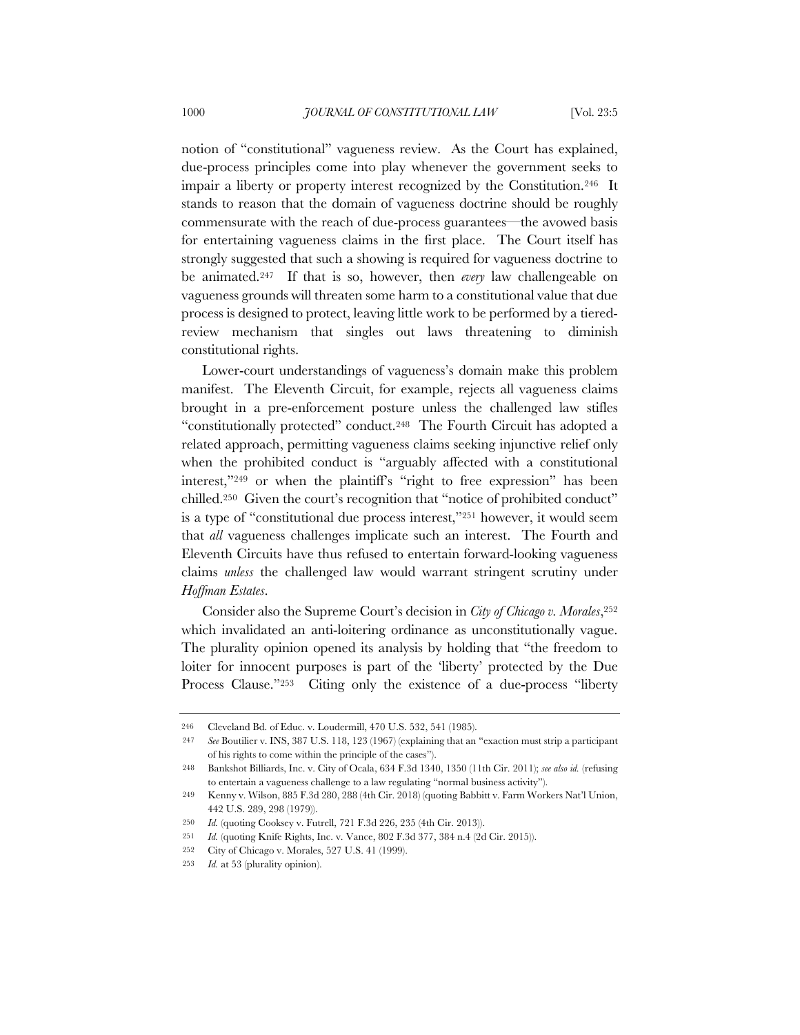notion of "constitutional" vagueness review. As the Court has explained, due-process principles come into play whenever the government seeks to impair a liberty or property interest recognized by the Constitution.246 It stands to reason that the domain of vagueness doctrine should be roughly commensurate with the reach of due-process guarantees—the avowed basis for entertaining vagueness claims in the first place. The Court itself has strongly suggested that such a showing is required for vagueness doctrine to be animated.247 If that is so, however, then *every* law challengeable on vagueness grounds will threaten some harm to a constitutional value that due process is designed to protect, leaving little work to be performed by a tieredreview mechanism that singles out laws threatening to diminish constitutional rights.

Lower-court understandings of vagueness's domain make this problem manifest. The Eleventh Circuit, for example, rejects all vagueness claims brought in a pre-enforcement posture unless the challenged law stifles "constitutionally protected" conduct.248 The Fourth Circuit has adopted a related approach, permitting vagueness claims seeking injunctive relief only when the prohibited conduct is "arguably affected with a constitutional interest,"249 or when the plaintiff's "right to free expression" has been chilled.250 Given the court's recognition that "notice of prohibited conduct" is a type of "constitutional due process interest,"251 however, it would seem that *all* vagueness challenges implicate such an interest. The Fourth and Eleventh Circuits have thus refused to entertain forward-looking vagueness claims *unless* the challenged law would warrant stringent scrutiny under *Hoffman Estates*.

Consider also the Supreme Court's decision in *City of Chicago v. Morales*,252 which invalidated an anti-loitering ordinance as unconstitutionally vague. The plurality opinion opened its analysis by holding that "the freedom to loiter for innocent purposes is part of the 'liberty' protected by the Due Process Clause."<sup>253</sup> Citing only the existence of a due-process "liberty

<sup>246</sup> Cleveland Bd. of Educ. v. Loudermill, 470 U.S. 532, 541 (1985).

<sup>247</sup> *See* Boutilier v. INS, 387 U.S. 118, 123 (1967) (explaining that an "exaction must strip a participant of his rights to come within the principle of the cases").

<sup>248</sup> Bankshot Billiards, Inc. v. City of Ocala, 634 F.3d 1340, 1350 (11th Cir. 2011); *see also id.* (refusing to entertain a vagueness challenge to a law regulating "normal business activity").

<sup>249</sup> Kenny v. Wilson, 885 F.3d 280, 288 (4th Cir. 2018) (quoting Babbitt v. Farm Workers Nat'l Union, 442 U.S. 289, 298 (1979)).

<sup>250</sup> *Id.* (quoting Cooksey v. Futrell, 721 F.3d 226, 235 (4th Cir. 2013)).

<sup>251</sup> *Id.* (quoting Knife Rights, Inc. v. Vance, 802 F.3d 377, 384 n.4 (2d Cir. 2015)).

<sup>252</sup> City of Chicago v. Morales, 527 U.S. 41 (1999).

<sup>253</sup> *Id.* at 53 (plurality opinion).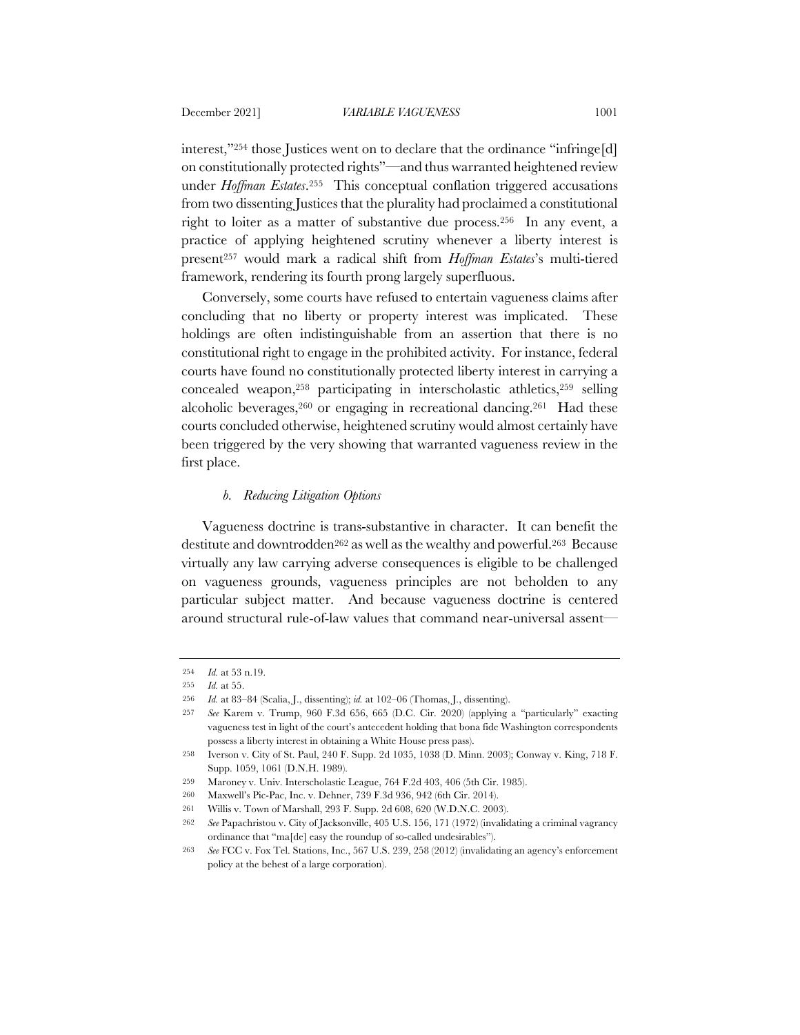interest,"254 those Justices went on to declare that the ordinance "infringe[d] on constitutionally protected rights"—and thus warranted heightened review under *Hoffman Estates*.255 This conceptual conflation triggered accusations from two dissenting Justices that the plurality had proclaimed a constitutional right to loiter as a matter of substantive due process.256 In any event, a practice of applying heightened scrutiny whenever a liberty interest is present257 would mark a radical shift from *Hoffman Estates*'s multi-tiered framework, rendering its fourth prong largely superfluous.

Conversely, some courts have refused to entertain vagueness claims after concluding that no liberty or property interest was implicated. These holdings are often indistinguishable from an assertion that there is no constitutional right to engage in the prohibited activity. For instance, federal courts have found no constitutionally protected liberty interest in carrying a concealed weapon,258 participating in interscholastic athletics,259 selling alcoholic beverages,260 or engaging in recreational dancing.261 Had these courts concluded otherwise, heightened scrutiny would almost certainly have been triggered by the very showing that warranted vagueness review in the first place.

# *b. Reducing Litigation Options*

Vagueness doctrine is trans-substantive in character. It can benefit the destitute and downtrodden<sup>262</sup> as well as the wealthy and powerful.<sup>263</sup> Because virtually any law carrying adverse consequences is eligible to be challenged on vagueness grounds, vagueness principles are not beholden to any particular subject matter. And because vagueness doctrine is centered around structural rule-of-law values that command near-universal assent—

<sup>254</sup> *Id.* at 53 n.19.

<sup>255</sup> *Id.* at 55.

<sup>256</sup> *Id.* at 83–84 (Scalia, J., dissenting); *id.* at 102–06 (Thomas, J., dissenting).

<sup>257</sup> *See* Karem v. Trump, 960 F.3d 656, 665 (D.C. Cir. 2020) (applying a "particularly" exacting vagueness test in light of the court's antecedent holding that bona fide Washington correspondents possess a liberty interest in obtaining a White House press pass).

<sup>258</sup> Iverson v. City of St. Paul, 240 F. Supp. 2d 1035, 1038 (D. Minn. 2003); Conway v. King, 718 F. Supp. 1059, 1061 (D.N.H. 1989).

<sup>259</sup> Maroney v. Univ. Interscholastic League, 764 F.2d 403, 406 (5th Cir. 1985).

<sup>260</sup> Maxwell's Pic-Pac, Inc. v. Dehner, 739 F.3d 936, 942 (6th Cir. 2014).

<sup>261</sup> Willis v. Town of Marshall, 293 F. Supp. 2d 608, 620 (W.D.N.C. 2003).

<sup>262</sup> *See* Papachristou v. City of Jacksonville, 405 U.S. 156, 171 (1972) (invalidating a criminal vagrancy ordinance that "ma[de] easy the roundup of so-called undesirables").

<sup>263</sup> *See* FCC v. Fox Tel. Stations, Inc., 567 U.S. 239, 258 (2012) (invalidating an agency's enforcement policy at the behest of a large corporation).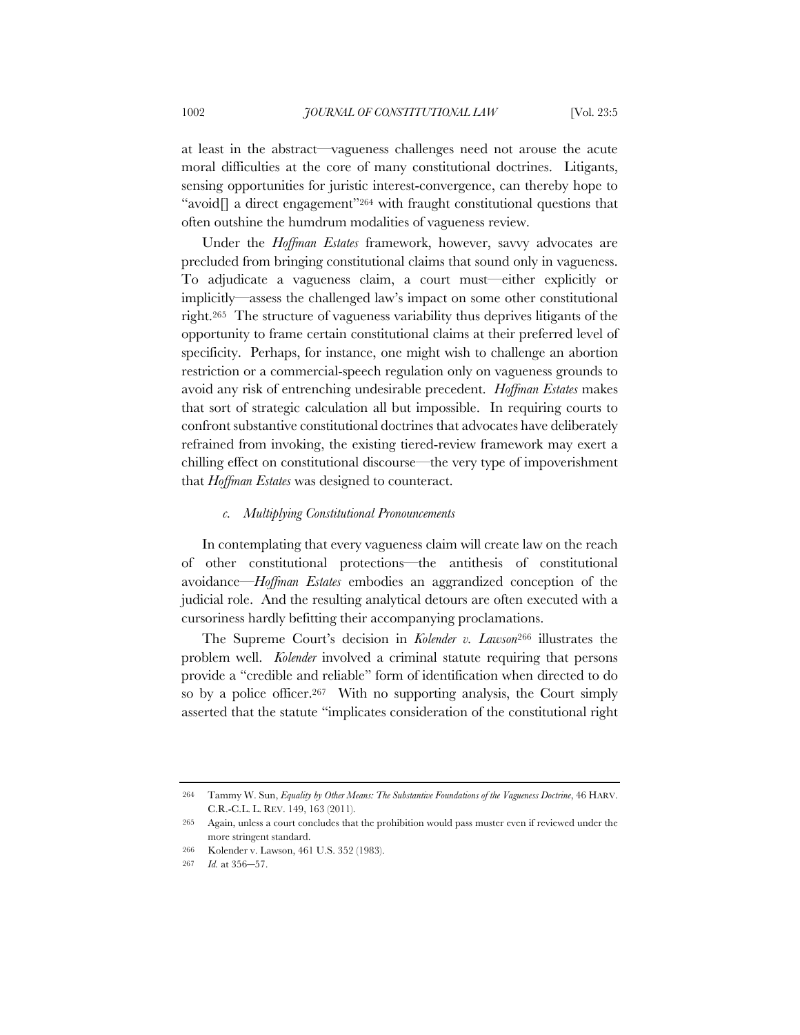at least in the abstract—vagueness challenges need not arouse the acute moral difficulties at the core of many constitutional doctrines. Litigants, sensing opportunities for juristic interest-convergence, can thereby hope to "avoid $\Box$  a direct engagement"<sup>264</sup> with fraught constitutional questions that often outshine the humdrum modalities of vagueness review.

Under the *Hoffman Estates* framework, however, savvy advocates are precluded from bringing constitutional claims that sound only in vagueness. To adjudicate a vagueness claim, a court must—either explicitly or implicitly—assess the challenged law's impact on some other constitutional right.265 The structure of vagueness variability thus deprives litigants of the opportunity to frame certain constitutional claims at their preferred level of specificity. Perhaps, for instance, one might wish to challenge an abortion restriction or a commercial-speech regulation only on vagueness grounds to avoid any risk of entrenching undesirable precedent. *Hoffman Estates* makes that sort of strategic calculation all but impossible. In requiring courts to confront substantive constitutional doctrines that advocates have deliberately refrained from invoking, the existing tiered-review framework may exert a chilling effect on constitutional discourse—the very type of impoverishment that *Hoffman Estates* was designed to counteract.

### *c. Multiplying Constitutional Pronouncements*

In contemplating that every vagueness claim will create law on the reach of other constitutional protections—the antithesis of constitutional avoidance—*Hoffman Estates* embodies an aggrandized conception of the judicial role. And the resulting analytical detours are often executed with a cursoriness hardly befitting their accompanying proclamations.

The Supreme Court's decision in *Kolender v. Lawson*<sup>266</sup> illustrates the problem well. *Kolender* involved a criminal statute requiring that persons provide a "credible and reliable" form of identification when directed to do so by a police officer.<sup>267</sup> With no supporting analysis, the Court simply asserted that the statute "implicates consideration of the constitutional right

<sup>264</sup> Tammy W. Sun, *Equality by Other Means: The Substantive Foundations of the Vagueness Doctrine*, 46 HARV. C.R.-C.L. L. REV. 149, 163 (2011).

<sup>265</sup> Again, unless a court concludes that the prohibition would pass muster even if reviewed under the more stringent standard.

<sup>266</sup> Kolender v. Lawson, 461 U.S. 352 (1983).

<sup>267</sup> *Id.* at 356–57.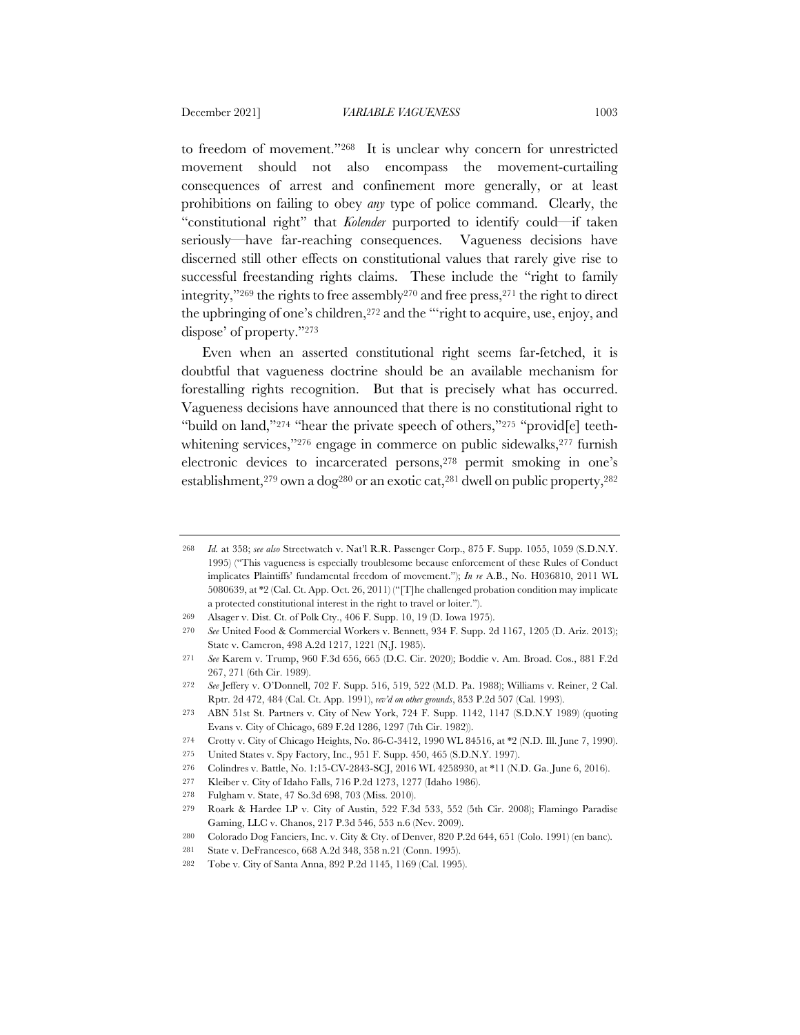to freedom of movement."268 It is unclear why concern for unrestricted movement should not also encompass the movement-curtailing consequences of arrest and confinement more generally, or at least prohibitions on failing to obey *any* type of police command. Clearly, the "constitutional right" that *Kolender* purported to identify could—if taken seriously—have far-reaching consequences. Vagueness decisions have discerned still other effects on constitutional values that rarely give rise to successful freestanding rights claims. These include the "right to family integrity,"269 the rights to free assembly270 and free press,271 the right to direct the upbringing of one's children,272 and the "'right to acquire, use, enjoy, and dispose' of property."273

Even when an asserted constitutional right seems far-fetched, it is doubtful that vagueness doctrine should be an available mechanism for forestalling rights recognition. But that is precisely what has occurred. Vagueness decisions have announced that there is no constitutional right to "build on land,"274 "hear the private speech of others,"275 "provid[e] teethwhitening services,"276 engage in commerce on public sidewalks, 277 furnish electronic devices to incarcerated persons,278 permit smoking in one's establishment,<sup>279</sup> own a dog<sup>280</sup> or an exotic cat,<sup>281</sup> dwell on public property,<sup>282</sup>

278 Fulgham v. State, 47 So.3d 698, 703 (Miss. 2010).

<sup>268</sup> *Id.* at 358; *see also* Streetwatch v. Nat'l R.R. Passenger Corp., 875 F. Supp. 1055, 1059 (S.D.N.Y. 1995) ("This vagueness is especially troublesome because enforcement of these Rules of Conduct implicates Plaintiffs' fundamental freedom of movement."); *In re* A.B., No. H036810, 2011 WL 5080639, at \*2 (Cal. Ct. App. Oct. 26, 2011) ("[T]he challenged probation condition may implicate a protected constitutional interest in the right to travel or loiter.").

<sup>269</sup> Alsager v. Dist. Ct. of Polk Cty., 406 F. Supp. 10, 19 (D. Iowa 1975).

<sup>270</sup> *See* United Food & Commercial Workers v. Bennett, 934 F. Supp. 2d 1167, 1205 (D. Ariz. 2013); State v. Cameron, 498 A.2d 1217, 1221 (N.J. 1985).

<sup>271</sup> *See* Karem v. Trump, 960 F.3d 656, 665 (D.C. Cir. 2020); Boddie v. Am. Broad. Cos., 881 F.2d 267, 271 (6th Cir. 1989).

<sup>272</sup> *See* Jeffery v. O'Donnell, 702 F. Supp. 516, 519, 522 (M.D. Pa. 1988); Williams v. Reiner, 2 Cal. Rptr. 2d 472, 484 (Cal. Ct. App. 1991), *rev'd on other grounds*, 853 P.2d 507 (Cal. 1993).

<sup>273</sup> ABN 51st St. Partners v. City of New York, 724 F. Supp. 1142, 1147 (S.D.N.Y 1989) (quoting Evans v. City of Chicago, 689 F.2d 1286, 1297 (7th Cir. 1982)).

<sup>274</sup> Crotty v. City of Chicago Heights, No. 86-C-3412, 1990 WL 84516, at \*2 (N.D. Ill. June 7, 1990).

<sup>275</sup> United States v. Spy Factory, Inc., 951 F. Supp. 450, 465 (S.D.N.Y. 1997).

<sup>276</sup> Colindres v. Battle, No. 1:15-CV-2843-SCJ, 2016 WL 4258930, at \*11 (N.D. Ga. June 6, 2016).

<sup>277</sup> Kleiber v. City of Idaho Falls, 716 P.2d 1273, 1277 (Idaho 1986).

<sup>279</sup> Roark & Hardee LP v. City of Austin, 522 F.3d 533, 552 (5th Cir. 2008); Flamingo Paradise Gaming, LLC v. Chanos, 217 P.3d 546, 553 n.6 (Nev. 2009).

<sup>280</sup> Colorado Dog Fanciers, Inc. v. City & Cty. of Denver, 820 P.2d 644, 651 (Colo. 1991) (en banc).

<sup>281</sup> State v. DeFrancesco, 668 A.2d 348, 358 n.21 (Conn. 1995).

<sup>282</sup> Tobe v. City of Santa Anna, 892 P.2d 1145, 1169 (Cal. 1995).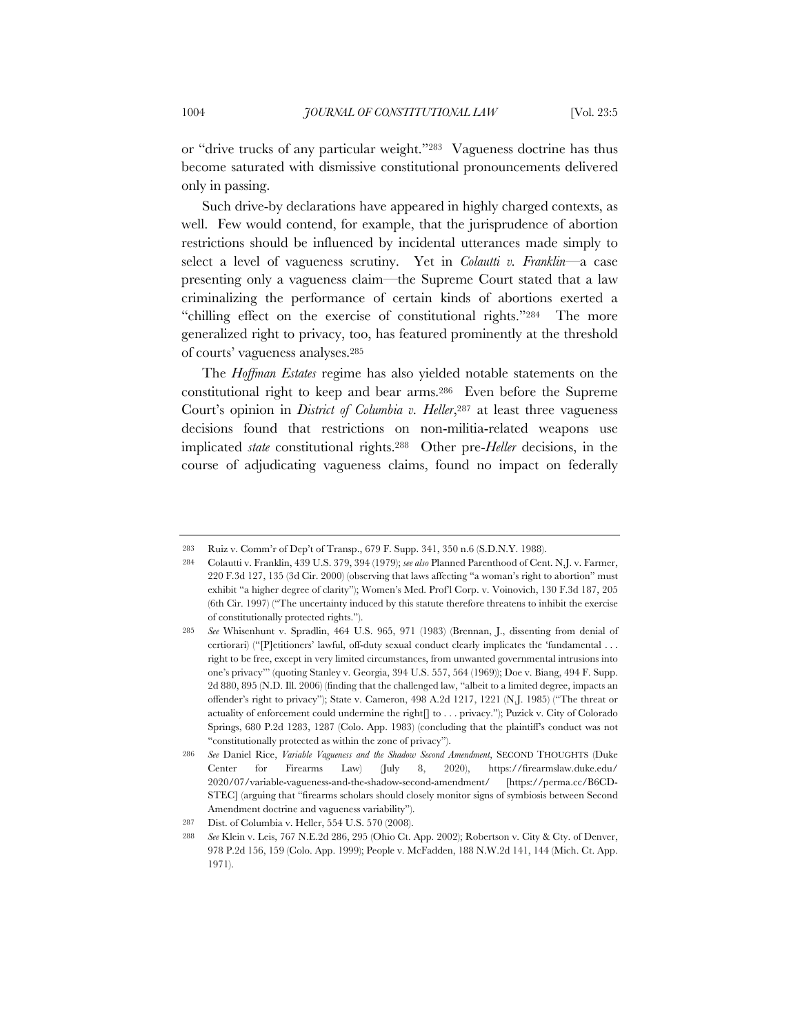or "drive trucks of any particular weight."283 Vagueness doctrine has thus become saturated with dismissive constitutional pronouncements delivered only in passing.

Such drive-by declarations have appeared in highly charged contexts, as well. Few would contend, for example, that the jurisprudence of abortion restrictions should be influenced by incidental utterances made simply to select a level of vagueness scrutiny. Yet in *Colautti v. Franklin*—a case presenting only a vagueness claim—the Supreme Court stated that a law criminalizing the performance of certain kinds of abortions exerted a "chilling effect on the exercise of constitutional rights."284 The more generalized right to privacy, too, has featured prominently at the threshold of courts' vagueness analyses.285

The *Hoffman Estates* regime has also yielded notable statements on the constitutional right to keep and bear arms.286 Even before the Supreme Court's opinion in *District of Columbia v. Heller*,<sup>287</sup> at least three vagueness decisions found that restrictions on non-militia-related weapons use implicated *state* constitutional rights.288 Other pre-*Heller* decisions, in the course of adjudicating vagueness claims, found no impact on federally

<sup>283</sup> Ruiz v. Comm'r of Dep't of Transp., 679 F. Supp. 341, 350 n.6 (S.D.N.Y. 1988).

<sup>284</sup> Colautti v. Franklin, 439 U.S. 379, 394 (1979); *see also* Planned Parenthood of Cent. N.J. v. Farmer, 220 F.3d 127, 135 (3d Cir. 2000) (observing that laws affecting "a woman's right to abortion" must exhibit "a higher degree of clarity"); Women's Med. Prof'l Corp. v. Voinovich, 130 F.3d 187, 205 (6th Cir. 1997) ("The uncertainty induced by this statute therefore threatens to inhibit the exercise of constitutionally protected rights.").

<sup>285</sup> *See* Whisenhunt v. Spradlin, 464 U.S. 965, 971 (1983) (Brennan, J., dissenting from denial of certiorari) ("[P]etitioners' lawful, off-duty sexual conduct clearly implicates the 'fundamental . . . right to be free, except in very limited circumstances, from unwanted governmental intrusions into one's privacy'" (quoting Stanley v. Georgia, 394 U.S. 557, 564 (1969)); Doe v. Biang, 494 F. Supp. 2d 880, 895 (N.D. Ill. 2006) (finding that the challenged law, "albeit to a limited degree, impacts an offender's right to privacy"); State v. Cameron, 498 A.2d 1217, 1221 (N.J. 1985) ("The threat or actuality of enforcement could undermine the right[] to . . . privacy."); Puzick v. City of Colorado Springs, 680 P.2d 1283, 1287 (Colo. App. 1983) (concluding that the plaintiff's conduct was not "constitutionally protected as within the zone of privacy").

<sup>286</sup> *See* Daniel Rice, *Variable Vagueness and the Shadow Second Amendment*, SECOND THOUGHTS (Duke Center for Firearms Law) (July 8, 2020), https://firearmslaw.duke.edu/ 2020/07/variable-vagueness-and-the-shadow-second-amendment/ [https://perma.cc/B6CD-STEC] (arguing that "firearms scholars should closely monitor signs of symbiosis between Second Amendment doctrine and vagueness variability").

<sup>287</sup> Dist. of Columbia v. Heller, 554 U.S. 570 (2008).

<sup>288</sup> *See* Klein v. Leis, 767 N.E.2d 286, 295 (Ohio Ct. App. 2002); Robertson v. City & Cty. of Denver, 978 P.2d 156, 159 (Colo. App. 1999); People v. McFadden, 188 N.W.2d 141, 144 (Mich. Ct. App. 1971).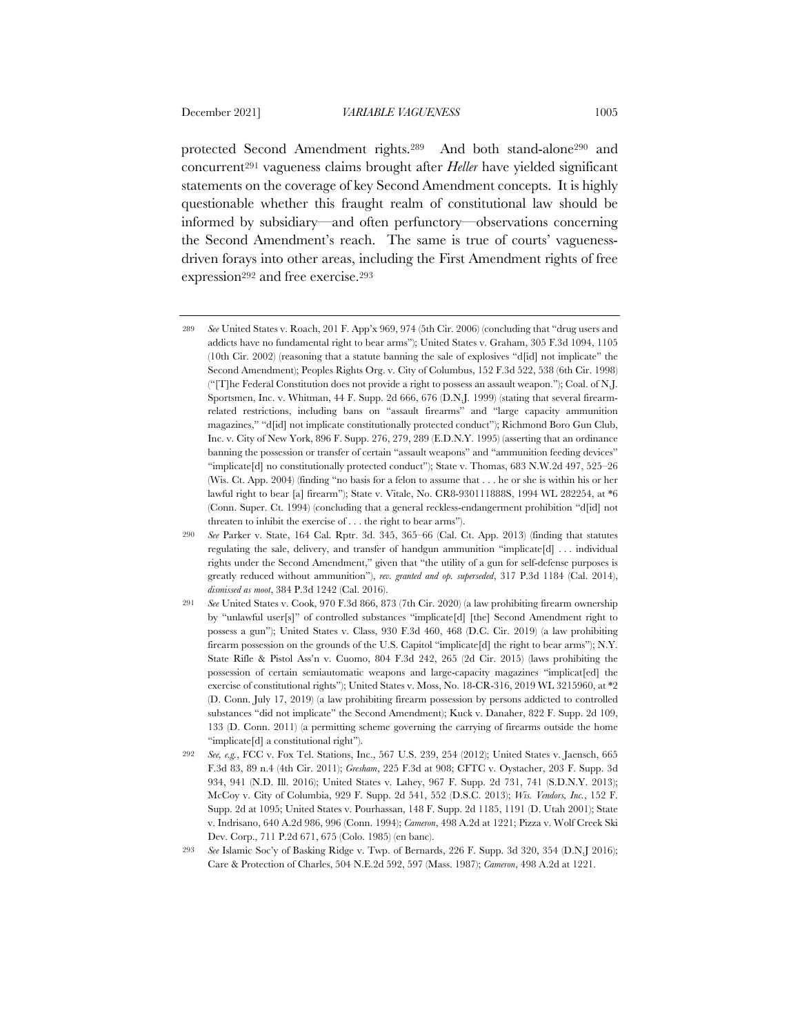protected Second Amendment rights.289 And both stand-alone290 and concurrent291 vagueness claims brought after *Heller* have yielded significant statements on the coverage of key Second Amendment concepts. It is highly questionable whether this fraught realm of constitutional law should be informed by subsidiary—and often perfunctory—observations concerning the Second Amendment's reach. The same is true of courts' vaguenessdriven forays into other areas, including the First Amendment rights of free expression<sup>292</sup> and free exercise.<sup>293</sup>

<sup>289</sup> *See* United States v. Roach, 201 F. App'x 969, 974 (5th Cir. 2006) (concluding that "drug users and addicts have no fundamental right to bear arms"); United States v. Graham, 305 F.3d 1094, 1105 (10th Cir. 2002) (reasoning that a statute banning the sale of explosives "d[id] not implicate" the Second Amendment); Peoples Rights Org. v. City of Columbus, 152 F.3d 522, 538 (6th Cir. 1998) ("[T]he Federal Constitution does not provide a right to possess an assault weapon."); Coal. of N.J. Sportsmen, Inc. v. Whitman, 44 F. Supp. 2d 666, 676 (D.N.J. 1999) (stating that several firearmrelated restrictions, including bans on "assault firearms" and "large capacity ammunition magazines," "d[id] not implicate constitutionally protected conduct"); Richmond Boro Gun Club, Inc. v. City of New York, 896 F. Supp. 276, 279, 289 (E.D.N.Y. 1995) (asserting that an ordinance banning the possession or transfer of certain "assault weapons" and "ammunition feeding devices" "implicate[d] no constitutionally protected conduct"); State v. Thomas, 683 N.W.2d 497, 525–26 (Wis. Ct. App. 2004) (finding "no basis for a felon to assume that . . . he or she is within his or her lawful right to bear [a] firearm"); State v. Vitale, No. CR8-930111888S, 1994 WL 282254, at \*6 (Conn. Super. Ct. 1994) (concluding that a general reckless-endangerment prohibition "d[id] not threaten to inhibit the exercise of . . . the right to bear arms").

<sup>290</sup> *See* Parker v. State, 164 Cal. Rptr. 3d. 345, 365–66 (Cal. Ct. App. 2013) (finding that statutes regulating the sale, delivery, and transfer of handgun ammunition "implicate[d] . . . individual rights under the Second Amendment," given that "the utility of a gun for self-defense purposes is greatly reduced without ammunition"), *rev. granted and op. superseded*, 317 P.3d 1184 (Cal. 2014), *dismissed as moot*, 384 P.3d 1242 (Cal. 2016).

<sup>291</sup> *See* United States v. Cook, 970 F.3d 866, 873 (7th Cir. 2020) (a law prohibiting firearm ownership by "unlawful user[s]" of controlled substances "implicate[d] [the] Second Amendment right to possess a gun"); United States v. Class, 930 F.3d 460, 468 (D.C. Cir. 2019) (a law prohibiting firearm possession on the grounds of the U.S. Capitol "implicate[d] the right to bear arms"); N.Y. State Rifle & Pistol Ass'n v. Cuomo, 804 F.3d 242, 265 (2d Cir. 2015) (laws prohibiting the possession of certain semiautomatic weapons and large-capacity magazines "implicat[ed] the exercise of constitutional rights"); United States v. Moss, No. 18-CR-316, 2019 WL 3215960, at \*2 (D. Conn. July 17, 2019) (a law prohibiting firearm possession by persons addicted to controlled substances "did not implicate" the Second Amendment); Kuck v. Danaher, 822 F. Supp. 2d 109, 133 (D. Conn. 2011) (a permitting scheme governing the carrying of firearms outside the home "implicate[d] a constitutional right").

<sup>292</sup> *See, e.g.*, FCC v. Fox Tel. Stations, Inc., 567 U.S. 239, 254 (2012); United States v. Jaensch, 665 F.3d 83, 89 n.4 (4th Cir. 2011); *Gresham*, 225 F.3d at 908; CFTC v. Oystacher, 203 F. Supp. 3d 934, 941 (N.D. Ill. 2016); United States v. Lahey, 967 F. Supp. 2d 731, 741 (S.D.N.Y. 2013); McCoy v. City of Columbia, 929 F. Supp. 2d 541, 552 (D.S.C. 2013); *Wis. Vendors, Inc.*, 152 F. Supp. 2d at 1095; United States v. Pourhassan, 148 F. Supp. 2d 1185, 1191 (D. Utah 2001); State v. Indrisano, 640 A.2d 986, 996 (Conn. 1994); *Cameron*, 498 A.2d at 1221; Pizza v. Wolf Creek Ski Dev. Corp., 711 P.2d 671, 675 (Colo. 1985) (en banc).

<sup>293</sup> *See* Islamic Soc'y of Basking Ridge v. Twp. of Bernards, 226 F. Supp. 3d 320, 354 (D.N.J 2016); Care & Protection of Charles, 504 N.E.2d 592, 597 (Mass. 1987); *Cameron*, 498 A.2d at 1221.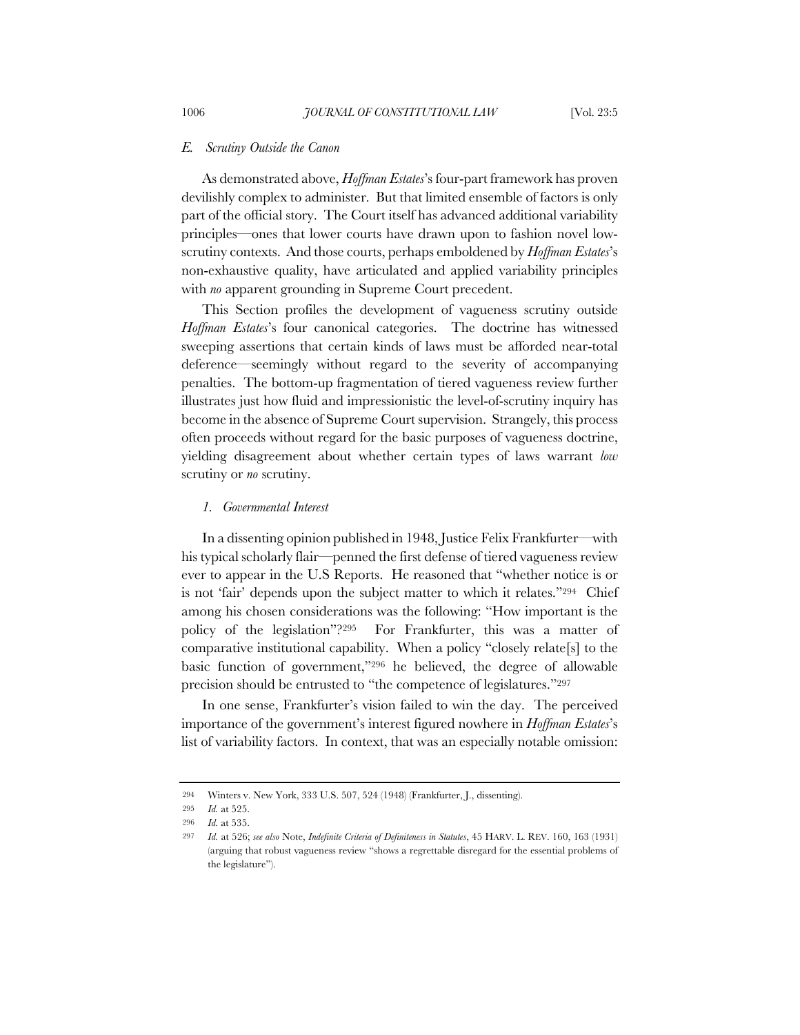#### *E. Scrutiny Outside the Canon*

As demonstrated above, *Hoffman Estates*'s four-part framework has proven devilishly complex to administer. But that limited ensemble of factors is only part of the official story. The Court itself has advanced additional variability principles—ones that lower courts have drawn upon to fashion novel lowscrutiny contexts. And those courts, perhaps emboldened by *Hoffman Estates*'s non-exhaustive quality, have articulated and applied variability principles with *no* apparent grounding in Supreme Court precedent.

This Section profiles the development of vagueness scrutiny outside *Hoffman Estates*'s four canonical categories. The doctrine has witnessed sweeping assertions that certain kinds of laws must be afforded near-total deference—seemingly without regard to the severity of accompanying penalties. The bottom-up fragmentation of tiered vagueness review further illustrates just how fluid and impressionistic the level-of-scrutiny inquiry has become in the absence of Supreme Court supervision. Strangely, this process often proceeds without regard for the basic purposes of vagueness doctrine, yielding disagreement about whether certain types of laws warrant *low* scrutiny or *no* scrutiny.

## *1. Governmental Interest*

In a dissenting opinion published in 1948, Justice Felix Frankfurter—with his typical scholarly flair—penned the first defense of tiered vagueness review ever to appear in the U.S Reports. He reasoned that "whether notice is or is not 'fair' depends upon the subject matter to which it relates."294 Chief among his chosen considerations was the following: "How important is the policy of the legislation"?295 For Frankfurter, this was a matter of comparative institutional capability. When a policy "closely relate[s] to the basic function of government,"296 he believed, the degree of allowable precision should be entrusted to "the competence of legislatures."297

In one sense, Frankfurter's vision failed to win the day. The perceived importance of the government's interest figured nowhere in *Hoffman Estates*'s list of variability factors. In context, that was an especially notable omission:

<sup>294</sup> Winters v. New York, 333 U.S. 507, 524 (1948) (Frankfurter, J., dissenting).

<sup>295</sup> *Id.* at 525.

<sup>296</sup> *Id.* at 535.

<sup>297</sup> *Id.* at 526; *see also* Note, *Indefinite Criteria of Definiteness in Statutes*, 45 HARV. L. REV. 160, 163 (1931) (arguing that robust vagueness review "shows a regrettable disregard for the essential problems of the legislature").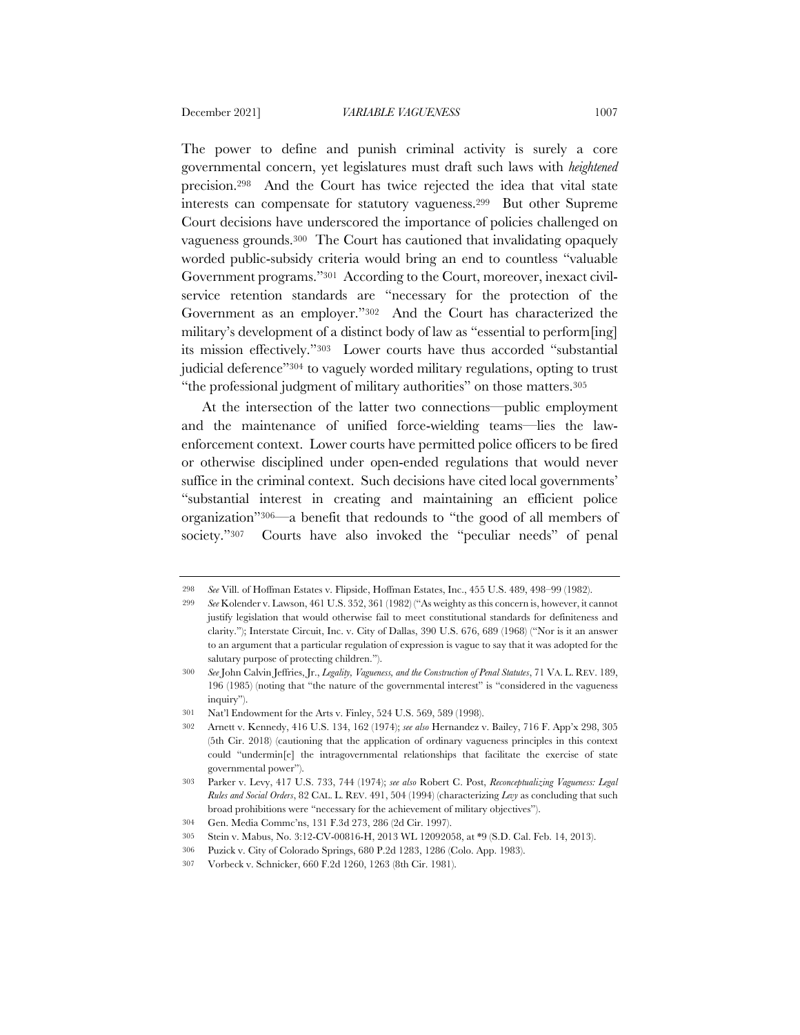The power to define and punish criminal activity is surely a core governmental concern, yet legislatures must draft such laws with *heightened* precision.298 And the Court has twice rejected the idea that vital state interests can compensate for statutory vagueness.299 But other Supreme Court decisions have underscored the importance of policies challenged on vagueness grounds.300 The Court has cautioned that invalidating opaquely worded public-subsidy criteria would bring an end to countless "valuable Government programs."301 According to the Court, moreover, inexact civilservice retention standards are "necessary for the protection of the Government as an employer."302 And the Court has characterized the military's development of a distinct body of law as "essential to perform[ing] its mission effectively."303 Lower courts have thus accorded "substantial judicial deference"304 to vaguely worded military regulations, opting to trust "the professional judgment of military authorities" on those matters.305

At the intersection of the latter two connections—public employment and the maintenance of unified force-wielding teams—lies the lawenforcement context. Lower courts have permitted police officers to be fired or otherwise disciplined under open-ended regulations that would never suffice in the criminal context. Such decisions have cited local governments' "substantial interest in creating and maintaining an efficient police organization"306—a benefit that redounds to "the good of all members of society."<sup>307</sup> Courts have also invoked the "peculiar needs" of penal

<sup>298</sup> *See* Vill. of Hoffman Estates v. Flipside, Hoffman Estates, Inc., 455 U.S. 489, 498–99 (1982).

<sup>299</sup> *See* Kolender v. Lawson, 461 U.S. 352, 361 (1982) ("As weighty as this concern is, however, it cannot justify legislation that would otherwise fail to meet constitutional standards for definiteness and clarity."); Interstate Circuit, Inc. v. City of Dallas, 390 U.S. 676, 689 (1968) ("Nor is it an answer to an argument that a particular regulation of expression is vague to say that it was adopted for the salutary purpose of protecting children.").

<sup>300</sup> *See* John Calvin Jeffries, Jr., *Legality, Vagueness, and the Construction of Penal Statutes*, 71 VA. L. REV. 189, 196 (1985) (noting that "the nature of the governmental interest" is "considered in the vagueness inquiry").

<sup>301</sup> Nat'l Endowment for the Arts v. Finley, 524 U.S. 569, 589 (1998).

<sup>302</sup> Arnett v. Kennedy, 416 U.S. 134, 162 (1974); *see also* Hernandez v. Bailey, 716 F. App'x 298, 305 (5th Cir. 2018) (cautioning that the application of ordinary vagueness principles in this context could "undermin[e] the intragovernmental relationships that facilitate the exercise of state governmental power").

<sup>303</sup> Parker v. Levy, 417 U.S. 733, 744 (1974); *see also* Robert C. Post, *Reconceptualizing Vagueness: Legal Rules and Social Orders*, 82 CAL. L. REV. 491, 504 (1994) (characterizing *Levy* as concluding that such broad prohibitions were "necessary for the achievement of military objectives").

<sup>304</sup> Gen. Media Commc'ns, 131 F.3d 273, 286 (2d Cir. 1997).

<sup>305</sup> Stein v. Mabus, No. 3:12-CV-00816-H, 2013 WL 12092058, at \*9 (S.D. Cal. Feb. 14, 2013).

<sup>306</sup> Puzick v. City of Colorado Springs, 680 P.2d 1283, 1286 (Colo. App. 1983).

<sup>307</sup> Vorbeck v. Schnicker, 660 F.2d 1260, 1263 (8th Cir. 1981).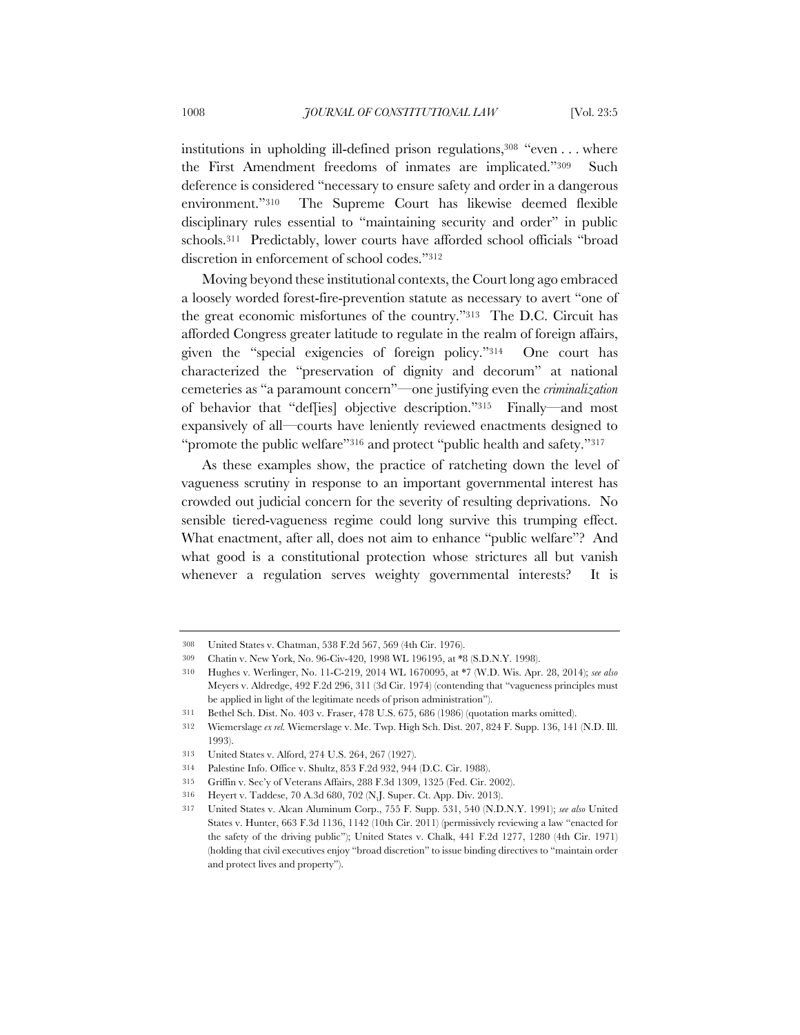institutions in upholding ill-defined prison regulations,308 "even . . . where the First Amendment freedoms of inmates are implicated."309 Such deference is considered "necessary to ensure safety and order in a dangerous environment."310 The Supreme Court has likewise deemed flexible disciplinary rules essential to "maintaining security and order" in public schools.311 Predictably, lower courts have afforded school officials "broad discretion in enforcement of school codes."312

Moving beyond these institutional contexts, the Court long ago embraced a loosely worded forest-fire-prevention statute as necessary to avert "one of the great economic misfortunes of the country."313 The D.C. Circuit has afforded Congress greater latitude to regulate in the realm of foreign affairs, given the "special exigencies of foreign policy."314 One court has characterized the "preservation of dignity and decorum" at national cemeteries as "a paramount concern"—one justifying even the *criminalization* of behavior that "def[ies] objective description."315 Finally—and most expansively of all—courts have leniently reviewed enactments designed to "promote the public welfare"316 and protect "public health and safety."317

As these examples show, the practice of ratcheting down the level of vagueness scrutiny in response to an important governmental interest has crowded out judicial concern for the severity of resulting deprivations. No sensible tiered-vagueness regime could long survive this trumping effect. What enactment, after all, does not aim to enhance "public welfare"? And what good is a constitutional protection whose strictures all but vanish whenever a regulation serves weighty governmental interests? It is

<sup>308</sup> United States v. Chatman, 538 F.2d 567, 569 (4th Cir. 1976).

<sup>309</sup> Chatin v. New York, No. 96-Civ-420, 1998 WL 196195, at \*8 (S.D.N.Y. 1998).

<sup>310</sup> Hughes v. Werlinger, No. 11-C-219, 2014 WL 1670095, at \*7 (W.D. Wis. Apr. 28, 2014); *see also*  Meyers v. Aldredge, 492 F.2d 296, 311 (3d Cir. 1974) (contending that "vagueness principles must be applied in light of the legitimate needs of prison administration").

<sup>311</sup> Bethel Sch. Dist. No. 403 v. Fraser, 478 U.S. 675, 686 (1986) (quotation marks omitted).

<sup>312</sup> Wiemerslage *ex rel.* Wiemerslage v. Me. Twp. High Sch. Dist. 207, 824 F. Supp. 136, 141 (N.D. Ill. 1993).

<sup>313</sup> United States v. Alford, 274 U.S. 264, 267 (1927).

<sup>314</sup> Palestine Info. Office v. Shultz, 853 F.2d 932, 944 (D.C. Cir. 1988).

<sup>315</sup> Griffin v. Sec'y of Veterans Affairs, 288 F.3d 1309, 1325 (Fed. Cir. 2002).

<sup>316</sup> Heyert v. Taddese, 70 A.3d 680, 702 (N.J. Super. Ct. App. Div. 2013).

<sup>317</sup> United States v. Alcan Aluminum Corp., 755 F. Supp. 531, 540 (N.D.N.Y. 1991); *see also* United States v. Hunter, 663 F.3d 1136, 1142 (10th Cir. 2011) (permissively reviewing a law "enacted for the safety of the driving public"); United States v. Chalk, 441 F.2d 1277, 1280 (4th Cir. 1971) (holding that civil executives enjoy "broad discretion" to issue binding directives to "maintain order and protect lives and property").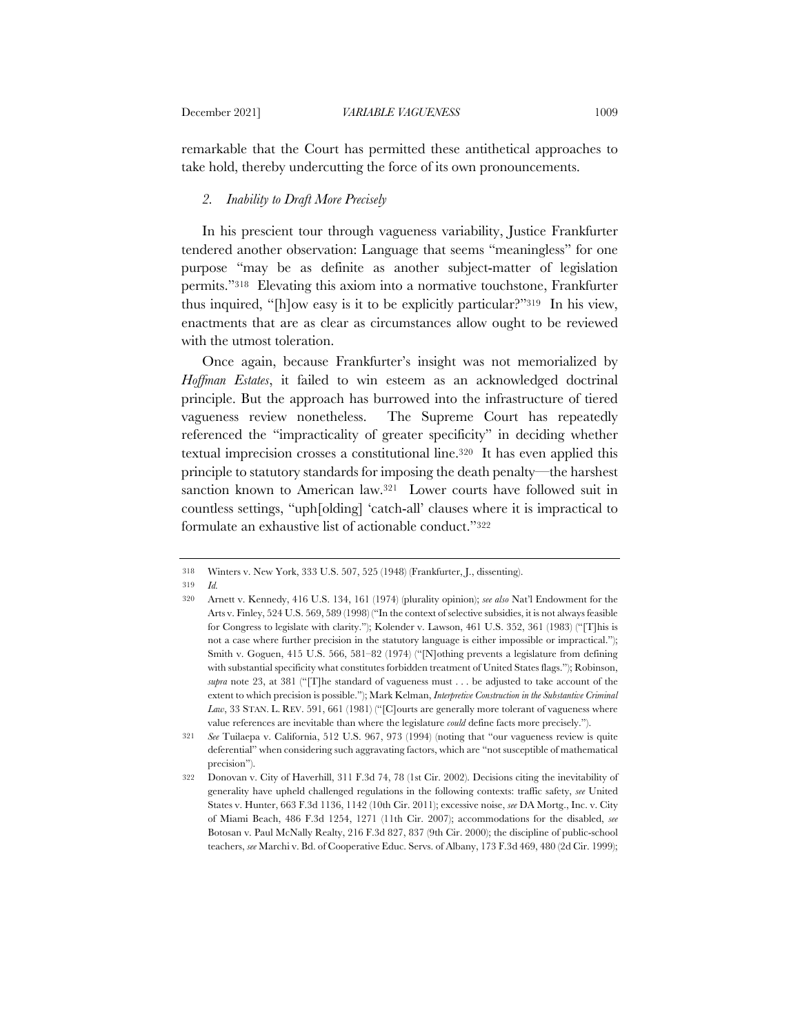remarkable that the Court has permitted these antithetical approaches to take hold, thereby undercutting the force of its own pronouncements.

## *2. Inability to Draft More Precisely*

In his prescient tour through vagueness variability, Justice Frankfurter tendered another observation: Language that seems "meaningless" for one purpose "may be as definite as another subject-matter of legislation permits."318 Elevating this axiom into a normative touchstone, Frankfurter thus inquired, "[h]ow easy is it to be explicitly particular?"319 In his view, enactments that are as clear as circumstances allow ought to be reviewed with the utmost toleration.

Once again, because Frankfurter's insight was not memorialized by *Hoffman Estates*, it failed to win esteem as an acknowledged doctrinal principle. But the approach has burrowed into the infrastructure of tiered vagueness review nonetheless. The Supreme Court has repeatedly referenced the "impracticality of greater specificity" in deciding whether textual imprecision crosses a constitutional line.320 It has even applied this principle to statutory standards for imposing the death penalty—the harshest sanction known to American law.<sup>321</sup> Lower courts have followed suit in countless settings, "uph[olding] 'catch-all' clauses where it is impractical to formulate an exhaustive list of actionable conduct."322

319 *Id.*

<sup>318</sup> Winters v. New York, 333 U.S. 507, 525 (1948) (Frankfurter, J., dissenting).

<sup>320</sup> Arnett v. Kennedy, 416 U.S. 134, 161 (1974) (plurality opinion); *see also* Nat'l Endowment for the Arts v. Finley, 524 U.S. 569, 589 (1998) ("In the context of selective subsidies, it is not always feasible for Congress to legislate with clarity."); Kolender v. Lawson, 461 U.S. 352, 361 (1983) ("[T]his is not a case where further precision in the statutory language is either impossible or impractical."); Smith v. Goguen, 415 U.S. 566, 581–82 (1974) ("[N]othing prevents a legislature from defining with substantial specificity what constitutes forbidden treatment of United States flags."); Robinson, *supra* note 23, at 381 ("[T]he standard of vagueness must . . . be adjusted to take account of the extent to which precision is possible."); Mark Kelman, *Interpretive Construction in the Substantive Criminal Law*, 33 STAN. L. REV. 591, 661 (1981) ("[C]ourts are generally more tolerant of vagueness where value references are inevitable than where the legislature *could* define facts more precisely.").

<sup>321</sup> *See* Tuilaepa v. California, 512 U.S. 967, 973 (1994) (noting that "our vagueness review is quite deferential" when considering such aggravating factors, which are "not susceptible of mathematical precision").

<sup>322</sup> Donovan v. City of Haverhill, 311 F.3d 74, 78 (1st Cir. 2002). Decisions citing the inevitability of generality have upheld challenged regulations in the following contexts: traffic safety, *see* United States v. Hunter, 663 F.3d 1136, 1142 (10th Cir. 2011); excessive noise, *see* DA Mortg., Inc. v. City of Miami Beach, 486 F.3d 1254, 1271 (11th Cir. 2007); accommodations for the disabled, *see* Botosan v. Paul McNally Realty, 216 F.3d 827, 837 (9th Cir. 2000); the discipline of public-school teachers, *see* Marchi v. Bd. of Cooperative Educ. Servs. of Albany, 173 F.3d 469, 480 (2d Cir. 1999);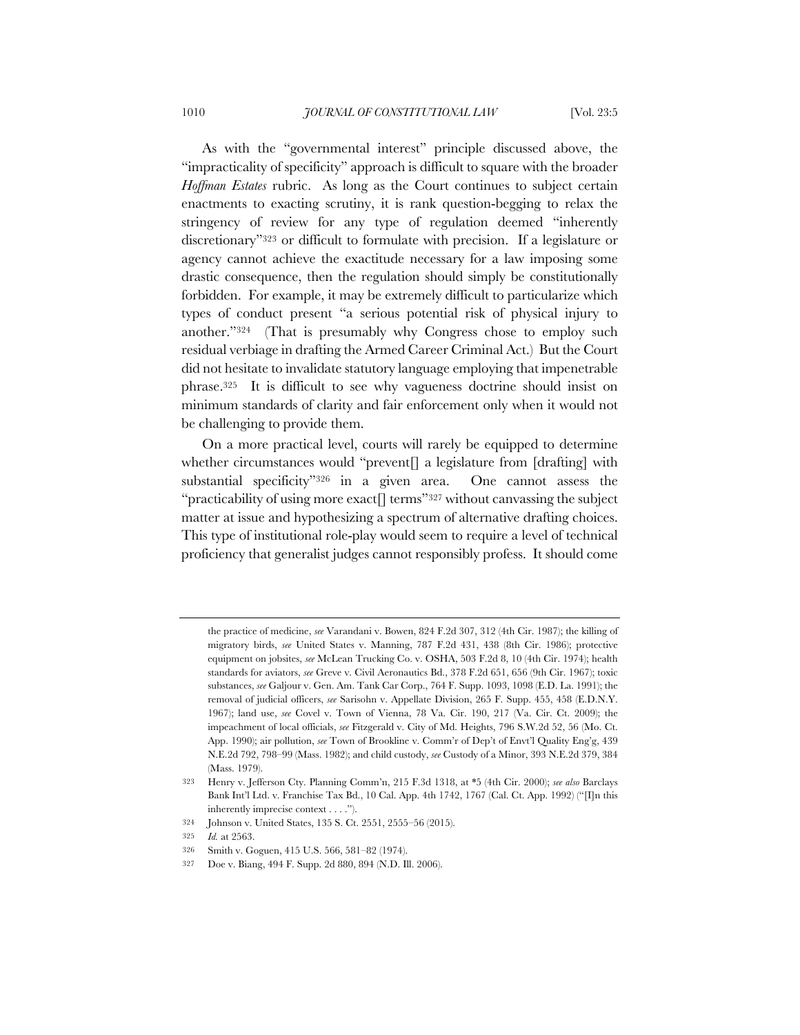As with the "governmental interest" principle discussed above, the "impracticality of specificity" approach is difficult to square with the broader *Hoffman Estates* rubric. As long as the Court continues to subject certain enactments to exacting scrutiny, it is rank question-begging to relax the stringency of review for any type of regulation deemed "inherently discretionary"323 or difficult to formulate with precision. If a legislature or agency cannot achieve the exactitude necessary for a law imposing some drastic consequence, then the regulation should simply be constitutionally forbidden. For example, it may be extremely difficult to particularize which types of conduct present "a serious potential risk of physical injury to another."324 (That is presumably why Congress chose to employ such residual verbiage in drafting the Armed Career Criminal Act.) But the Court did not hesitate to invalidate statutory language employing that impenetrable phrase.325 It is difficult to see why vagueness doctrine should insist on minimum standards of clarity and fair enforcement only when it would not be challenging to provide them.

On a more practical level, courts will rarely be equipped to determine whether circumstances would "prevent<sup>[]</sup> a legislature from [drafting] with substantial specificity"326 in a given area. One cannot assess the "practicability of using more exact  $\lceil \text{terms} \rceil$ " without canvassing the subject matter at issue and hypothesizing a spectrum of alternative drafting choices. This type of institutional role-play would seem to require a level of technical proficiency that generalist judges cannot responsibly profess. It should come

the practice of medicine, *see* Varandani v. Bowen, 824 F.2d 307, 312 (4th Cir. 1987); the killing of migratory birds, *see* United States v. Manning, 787 F.2d 431, 438 (8th Cir. 1986); protective equipment on jobsites, *see* McLean Trucking Co. v. OSHA, 503 F.2d 8, 10 (4th Cir. 1974); health standards for aviators, *see* Greve v. Civil Aeronautics Bd., 378 F.2d 651, 656 (9th Cir. 1967); toxic substances, *see* Galjour v. Gen. Am. Tank Car Corp., 764 F. Supp. 1093, 1098 (E.D. La. 1991); the removal of judicial officers, *see* Sarisohn v. Appellate Division, 265 F. Supp. 455, 458 (E.D.N.Y. 1967); land use, *see* Covel v. Town of Vienna, 78 Va. Cir. 190, 217 (Va. Cir. Ct. 2009); the impeachment of local officials, *see* Fitzgerald v. City of Md. Heights, 796 S.W.2d 52, 56 (Mo. Ct. App. 1990); air pollution, *see* Town of Brookline v. Comm'r of Dep't of Envt'l Quality Eng'g, 439 N.E.2d 792, 798–99 (Mass. 1982); and child custody, *see* Custody of a Minor, 393 N.E.2d 379, 384 (Mass. 1979).

<sup>323</sup> Henry v. Jefferson Cty. Planning Comm'n, 215 F.3d 1318, at \*5 (4th Cir. 2000); *see also* Barclays Bank Int'l Ltd. v. Franchise Tax Bd., 10 Cal. App. 4th 1742, 1767 (Cal. Ct. App. 1992) ("[I]n this inherently imprecise context . . . .").

<sup>324</sup> Johnson v. United States, 135 S. Ct. 2551, 2555–56 (2015).

<sup>325</sup> *Id.* at 2563.

<sup>326</sup> Smith v. Goguen, 415 U.S. 566, 581–82 (1974).

<sup>327</sup> Doe v. Biang, 494 F. Supp. 2d 880, 894 (N.D. Ill. 2006).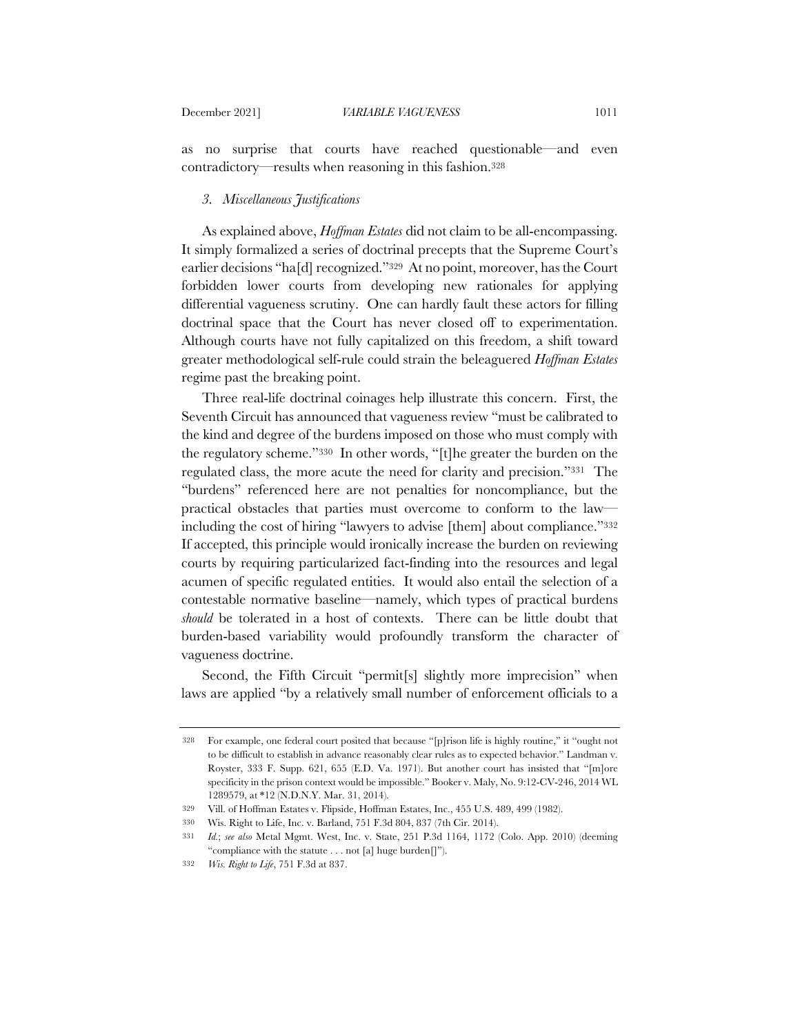as no surprise that courts have reached questionable—and even contradictory—results when reasoning in this fashion.328

## *3. Miscellaneous Justifications*

As explained above, *Hoffman Estates* did not claim to be all-encompassing. It simply formalized a series of doctrinal precepts that the Supreme Court's earlier decisions "ha[d] recognized."329 At no point, moreover, has the Court forbidden lower courts from developing new rationales for applying differential vagueness scrutiny. One can hardly fault these actors for filling doctrinal space that the Court has never closed off to experimentation. Although courts have not fully capitalized on this freedom, a shift toward greater methodological self-rule could strain the beleaguered *Hoffman Estates* regime past the breaking point.

Three real-life doctrinal coinages help illustrate this concern. First, the Seventh Circuit has announced that vagueness review "must be calibrated to the kind and degree of the burdens imposed on those who must comply with the regulatory scheme."330 In other words, "[t]he greater the burden on the regulated class, the more acute the need for clarity and precision."331 The "burdens" referenced here are not penalties for noncompliance, but the practical obstacles that parties must overcome to conform to the law including the cost of hiring "lawyers to advise [them] about compliance."332 If accepted, this principle would ironically increase the burden on reviewing courts by requiring particularized fact-finding into the resources and legal acumen of specific regulated entities. It would also entail the selection of a contestable normative baseline—namely, which types of practical burdens *should* be tolerated in a host of contexts. There can be little doubt that burden-based variability would profoundly transform the character of vagueness doctrine.

Second, the Fifth Circuit "permit<sup>[s]</sup> slightly more imprecision" when laws are applied "by a relatively small number of enforcement officials to a

<sup>328</sup> For example, one federal court posited that because "[p]rison life is highly routine," it "ought not to be difficult to establish in advance reasonably clear rules as to expected behavior." Landman v. Royster, 333 F. Supp. 621, 655 (E.D. Va. 1971). But another court has insisted that "[m]ore specificity in the prison context would be impossible." Booker v. Maly, No. 9:12-CV-246, 2014 WL 1289579, at \*12 (N.D.N.Y. Mar. 31, 2014).

<sup>329</sup> Vill. of Hoffman Estates v. Flipside, Hoffman Estates, Inc., 455 U.S. 489, 499 (1982).

<sup>330</sup> Wis. Right to Life, Inc. v. Barland, 751 F.3d 804, 837 (7th Cir. 2014).

<sup>331</sup> *Id.*; *see also* Metal Mgmt. West, Inc. v. State, 251 P.3d 1164, 1172 (Colo. App. 2010) (deeming "compliance with the statute . . . not [a] huge burden[]").

<sup>332</sup> *Wis. Right to Life*, 751 F.3d at 837.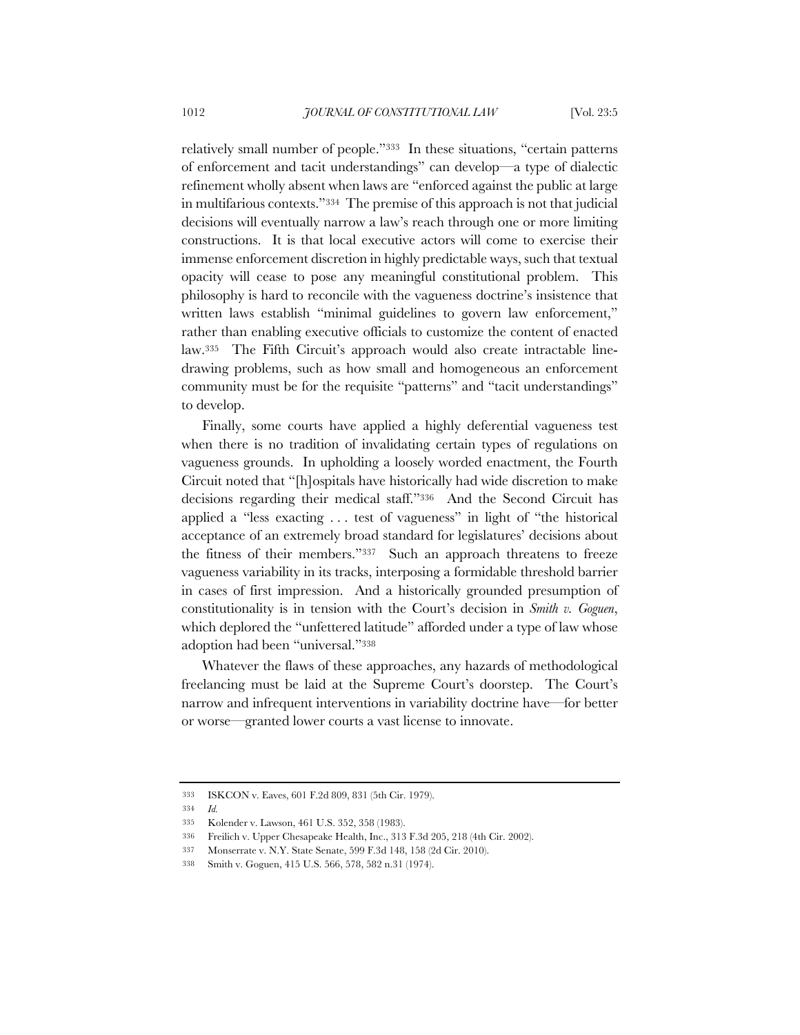relatively small number of people."333 In these situations, "certain patterns of enforcement and tacit understandings" can develop—a type of dialectic refinement wholly absent when laws are "enforced against the public at large in multifarious contexts."334 The premise of this approach is not that judicial decisions will eventually narrow a law's reach through one or more limiting constructions. It is that local executive actors will come to exercise their immense enforcement discretion in highly predictable ways, such that textual opacity will cease to pose any meaningful constitutional problem. This philosophy is hard to reconcile with the vagueness doctrine's insistence that written laws establish "minimal guidelines to govern law enforcement," rather than enabling executive officials to customize the content of enacted law.335 The Fifth Circuit's approach would also create intractable linedrawing problems, such as how small and homogeneous an enforcement community must be for the requisite "patterns" and "tacit understandings" to develop.

Finally, some courts have applied a highly deferential vagueness test when there is no tradition of invalidating certain types of regulations on vagueness grounds. In upholding a loosely worded enactment, the Fourth Circuit noted that "[h]ospitals have historically had wide discretion to make decisions regarding their medical staff."336 And the Second Circuit has applied a "less exacting . . . test of vagueness" in light of "the historical acceptance of an extremely broad standard for legislatures' decisions about the fitness of their members."337 Such an approach threatens to freeze vagueness variability in its tracks, interposing a formidable threshold barrier in cases of first impression. And a historically grounded presumption of constitutionality is in tension with the Court's decision in *Smith v. Goguen*, which deplored the "unfettered latitude" afforded under a type of law whose adoption had been "universal."338

Whatever the flaws of these approaches, any hazards of methodological freelancing must be laid at the Supreme Court's doorstep. The Court's narrow and infrequent interventions in variability doctrine have—for better or worse—granted lower courts a vast license to innovate.

<sup>333</sup> ISKCON v. Eaves, 601 F.2d 809, 831 (5th Cir. 1979).

<sup>334</sup> *Id.*

<sup>335</sup> Kolender v. Lawson, 461 U.S. 352, 358 (1983).

<sup>336</sup> Freilich v. Upper Chesapeake Health, Inc., 313 F.3d 205, 218 (4th Cir. 2002).

<sup>337</sup> Monserrate v. N.Y. State Senate, 599 F.3d 148, 158 (2d Cir. 2010).

<sup>338</sup> Smith v. Goguen, 415 U.S. 566, 578, 582 n.31 (1974).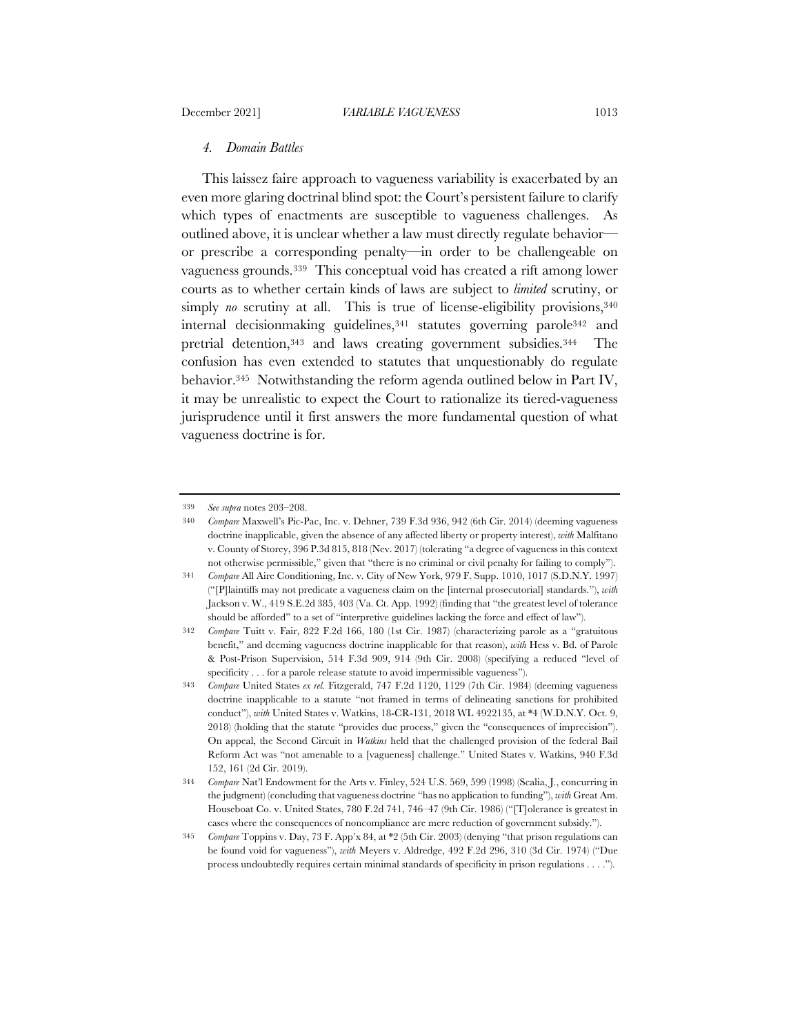## *4. Domain Battles*

This laissez faire approach to vagueness variability is exacerbated by an even more glaring doctrinal blind spot: the Court's persistent failure to clarify which types of enactments are susceptible to vagueness challenges. As outlined above, it is unclear whether a law must directly regulate behavior or prescribe a corresponding penalty—in order to be challengeable on vagueness grounds.339 This conceptual void has created a rift among lower courts as to whether certain kinds of laws are subject to *limited* scrutiny, or simply *no* scrutiny at all. This is true of license-eligibility provisions,  $340$ internal decisionmaking guidelines,<sup>341</sup> statutes governing parole<sup>342</sup> and pretrial detention,343 and laws creating government subsidies.344 The confusion has even extended to statutes that unquestionably do regulate behavior.345 Notwithstanding the reform agenda outlined below in Part IV, it may be unrealistic to expect the Court to rationalize its tiered-vagueness jurisprudence until it first answers the more fundamental question of what vagueness doctrine is for.

<sup>339</sup> *See supra* notes 203–208.

<sup>340</sup> *Compare* Maxwell's Pic-Pac, Inc. v. Dehner, 739 F.3d 936, 942 (6th Cir. 2014) (deeming vagueness doctrine inapplicable, given the absence of any affected liberty or property interest), *with* Malfitano v. County of Storey, 396 P.3d 815, 818 (Nev. 2017) (tolerating "a degree of vagueness in this context not otherwise permissible," given that "there is no criminal or civil penalty for failing to comply").

<sup>341</sup> *Compare* All Aire Conditioning, Inc. v. City of New York, 979 F. Supp. 1010, 1017 (S.D.N.Y. 1997) ("[P]laintiffs may not predicate a vagueness claim on the [internal prosecutorial] standards."), *with* Jackson v. W., 419 S.E.2d 385, 403 (Va. Ct. App. 1992) (finding that "the greatest level of tolerance should be afforded" to a set of "interpretive guidelines lacking the force and effect of law").

<sup>342</sup> *Compare* Tuitt v. Fair, 822 F.2d 166, 180 (1st Cir. 1987) (characterizing parole as a "gratuitous benefit," and deeming vagueness doctrine inapplicable for that reason), *with* Hess v. Bd. of Parole & Post-Prison Supervision, 514 F.3d 909, 914 (9th Cir. 2008) (specifying a reduced "level of specificity . . . for a parole release statute to avoid impermissible vagueness").

<sup>343</sup> *Compare* United States *ex rel.* Fitzgerald, 747 F.2d 1120, 1129 (7th Cir. 1984) (deeming vagueness doctrine inapplicable to a statute "not framed in terms of delineating sanctions for prohibited conduct"), *with* United States v. Watkins, 18-CR-131, 2018 WL 4922135, at \*4 (W.D.N.Y. Oct. 9, 2018) (holding that the statute "provides due process," given the "consequences of imprecision"). On appeal, the Second Circuit in *Watkins* held that the challenged provision of the federal Bail Reform Act was "not amenable to a [vagueness] challenge." United States v. Watkins, 940 F.3d 152, 161 (2d Cir. 2019).

<sup>344</sup> *Compare* Nat'l Endowment for the Arts v. Finley, 524 U.S. 569, 599 (1998) (Scalia, J., concurring in the judgment) (concluding that vagueness doctrine "has no application to funding"), *with* Great Am. Houseboat Co. v. United States, 780 F.2d 741, 746–47 (9th Cir. 1986) ("[T]olerance is greatest in cases where the consequences of noncompliance are mere reduction of government subsidy.").

<sup>345</sup> *Compare* Toppins v. Day, 73 F. App'x 84, at \*2 (5th Cir. 2003) (denying "that prison regulations can be found void for vagueness"), *with* Meyers v. Aldredge, 492 F.2d 296, 310 (3d Cir. 1974) ("Due process undoubtedly requires certain minimal standards of specificity in prison regulations . . . .").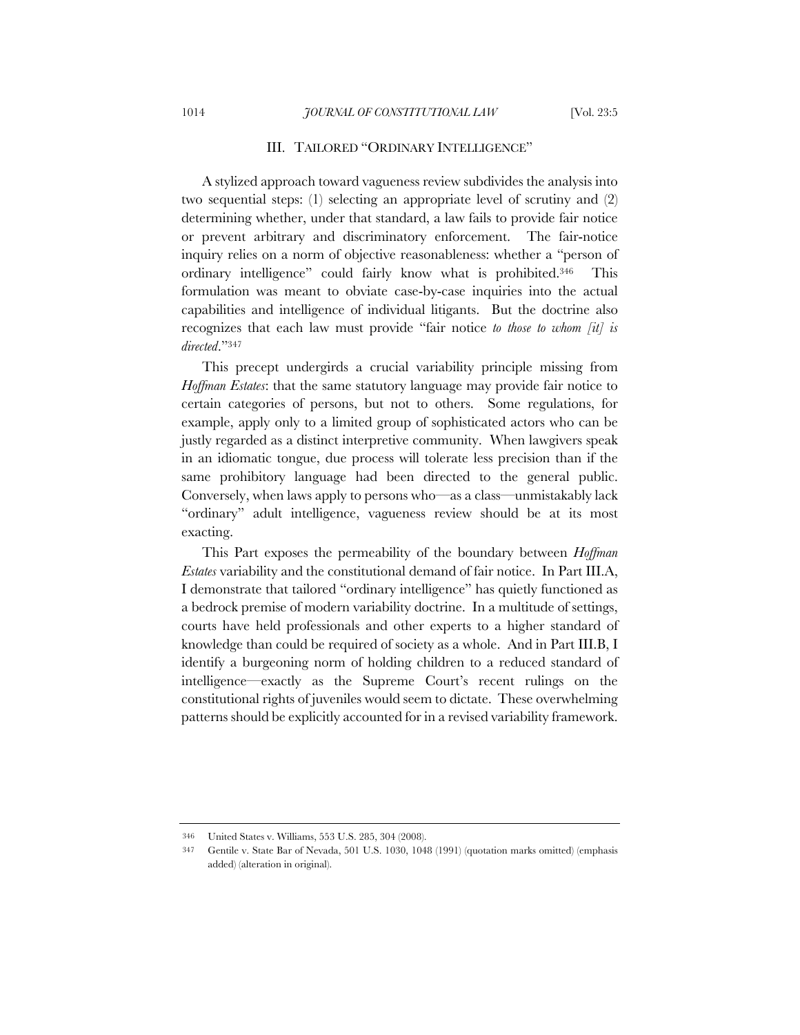#### III. TAILORED "ORDINARY INTELLIGENCE"

A stylized approach toward vagueness review subdivides the analysis into two sequential steps: (1) selecting an appropriate level of scrutiny and (2) determining whether, under that standard, a law fails to provide fair notice or prevent arbitrary and discriminatory enforcement. The fair-notice inquiry relies on a norm of objective reasonableness: whether a "person of ordinary intelligence" could fairly know what is prohibited.346 This formulation was meant to obviate case-by-case inquiries into the actual capabilities and intelligence of individual litigants. But the doctrine also recognizes that each law must provide "fair notice *to those to whom [it] is directed*."347

This precept undergirds a crucial variability principle missing from *Hoffman Estates*: that the same statutory language may provide fair notice to certain categories of persons, but not to others. Some regulations, for example, apply only to a limited group of sophisticated actors who can be justly regarded as a distinct interpretive community. When lawgivers speak in an idiomatic tongue, due process will tolerate less precision than if the same prohibitory language had been directed to the general public. Conversely, when laws apply to persons who—as a class—unmistakably lack "ordinary" adult intelligence, vagueness review should be at its most exacting.

This Part exposes the permeability of the boundary between *Hoffman Estates* variability and the constitutional demand of fair notice. In Part III.A, I demonstrate that tailored "ordinary intelligence" has quietly functioned as a bedrock premise of modern variability doctrine. In a multitude of settings, courts have held professionals and other experts to a higher standard of knowledge than could be required of society as a whole. And in Part III.B, I identify a burgeoning norm of holding children to a reduced standard of intelligence—exactly as the Supreme Court's recent rulings on the constitutional rights of juveniles would seem to dictate. These overwhelming patterns should be explicitly accounted for in a revised variability framework.

<sup>346</sup> United States v. Williams, 553 U.S. 285, 304 (2008).

<sup>347</sup> Gentile v. State Bar of Nevada, 501 U.S. 1030, 1048 (1991) (quotation marks omitted) (emphasis added) (alteration in original).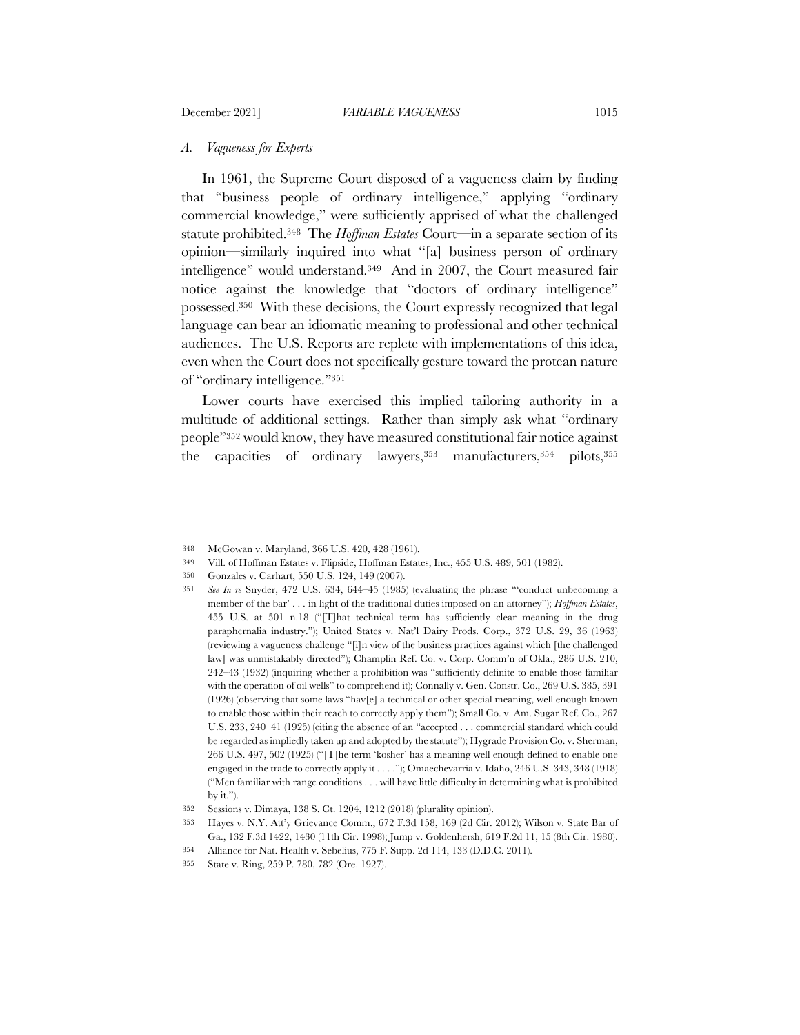## *A. Vagueness for Experts*

In 1961, the Supreme Court disposed of a vagueness claim by finding that "business people of ordinary intelligence," applying "ordinary commercial knowledge," were sufficiently apprised of what the challenged statute prohibited.348 The *Hoffman Estates* Court—in a separate section of its opinion—similarly inquired into what "[a] business person of ordinary intelligence" would understand.349 And in 2007, the Court measured fair notice against the knowledge that "doctors of ordinary intelligence" possessed.350 With these decisions, the Court expressly recognized that legal language can bear an idiomatic meaning to professional and other technical audiences. The U.S. Reports are replete with implementations of this idea, even when the Court does not specifically gesture toward the protean nature of "ordinary intelligence."351

Lower courts have exercised this implied tailoring authority in a multitude of additional settings. Rather than simply ask what "ordinary people"352 would know, they have measured constitutional fair notice against the capacities of ordinary lawyers, 353 manufacturers, 354 pilots, 355

<sup>348</sup> McGowan v. Maryland, 366 U.S. 420, 428 (1961).

<sup>349</sup> Vill. of Hoffman Estates v. Flipside, Hoffman Estates, Inc., 455 U.S. 489, 501 (1982).

<sup>350</sup> Gonzales v. Carhart, 550 U.S. 124, 149 (2007).

<sup>351</sup> *See In re* Snyder, 472 U.S. 634, 644–45 (1985) (evaluating the phrase "'conduct unbecoming a member of the bar' . . . in light of the traditional duties imposed on an attorney"); *Hoffman Estates*, 455 U.S. at 501 n.18 ("[T]hat technical term has sufficiently clear meaning in the drug paraphernalia industry."); United States v. Nat'l Dairy Prods. Corp., 372 U.S. 29, 36 (1963) (reviewing a vagueness challenge "[i]n view of the business practices against which [the challenged law] was unmistakably directed"); Champlin Ref. Co. v. Corp. Comm'n of Okla., 286 U.S. 210, 242–43 (1932) (inquiring whether a prohibition was "sufficiently definite to enable those familiar with the operation of oil wells" to comprehend it); Connally v. Gen. Constr. Co., 269 U.S. 385, 391 (1926) (observing that some laws "hav[e] a technical or other special meaning, well enough known to enable those within their reach to correctly apply them"); Small Co. v. Am. Sugar Ref. Co., 267 U.S. 233, 240–41 (1925) (citing the absence of an "accepted . . . commercial standard which could be regarded as impliedly taken up and adopted by the statute"); Hygrade Provision Co. v. Sherman, 266 U.S. 497, 502 (1925) ("[T]he term 'kosher' has a meaning well enough defined to enable one engaged in the trade to correctly apply it . . . ."); Omaechevarria v. Idaho, 246 U.S. 343, 348 (1918) ("Men familiar with range conditions . . . will have little difficulty in determining what is prohibited by it.").

<sup>352</sup> Sessions v. Dimaya, 138 S. Ct. 1204, 1212 (2018) (plurality opinion).

<sup>353</sup> Hayes v. N.Y. Att'y Grievance Comm., 672 F.3d 158, 169 (2d Cir. 2012); Wilson v. State Bar of Ga., 132 F.3d 1422, 1430 (11th Cir. 1998); Jump v. Goldenhersh, 619 F.2d 11, 15 (8th Cir. 1980).

<sup>354</sup> Alliance for Nat. Health v. Sebelius, 775 F. Supp. 2d 114, 133 (D.D.C. 2011).

<sup>355</sup> State v. Ring, 259 P. 780, 782 (Ore. 1927).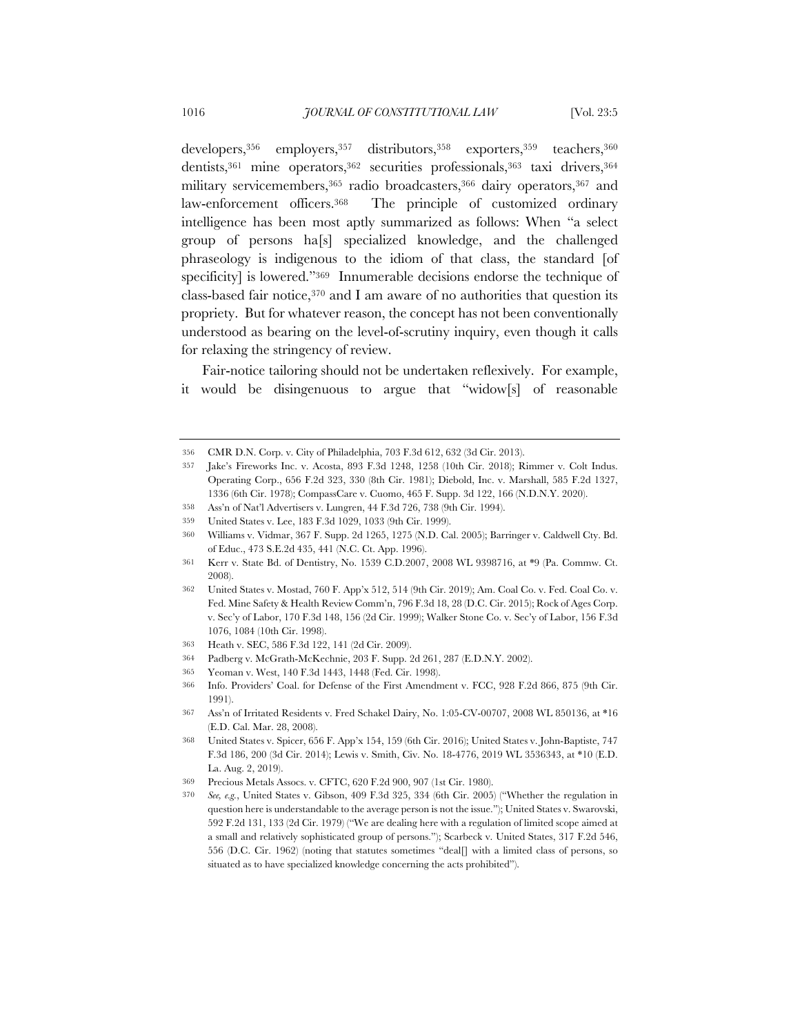developers,356 employers,357 distributors,358 exporters,359 teachers,360 dentists,361 mine operators,362 securities professionals,363 taxi drivers,364 military servicemembers, 365 radio broadcasters, 366 dairy operators, 367 and law-enforcement officers.368 The principle of customized ordinary intelligence has been most aptly summarized as follows: When "a select group of persons ha[s] specialized knowledge, and the challenged phraseology is indigenous to the idiom of that class, the standard [of specificity] is lowered."<sup>369</sup> Innumerable decisions endorse the technique of class-based fair notice, $370$  and I am aware of no authorities that question its propriety. But for whatever reason, the concept has not been conventionally understood as bearing on the level-of-scrutiny inquiry, even though it calls for relaxing the stringency of review.

Fair-notice tailoring should not be undertaken reflexively. For example, it would be disingenuous to argue that "widow[s] of reasonable

- 364 Padberg v. McGrath-McKechnie, 203 F. Supp. 2d 261, 287 (E.D.N.Y. 2002).
- 365 Yeoman v. West, 140 F.3d 1443, 1448 (Fed. Cir. 1998).

<sup>356</sup> CMR D.N. Corp. v. City of Philadelphia, 703 F.3d 612, 632 (3d Cir. 2013).

<sup>357</sup> Jake's Fireworks Inc. v. Acosta, 893 F.3d 1248, 1258 (10th Cir. 2018); Rimmer v. Colt Indus. Operating Corp., 656 F.2d 323, 330 (8th Cir. 1981); Diebold, Inc. v. Marshall, 585 F.2d 1327, 1336 (6th Cir. 1978); CompassCare v. Cuomo, 465 F. Supp. 3d 122, 166 (N.D.N.Y. 2020).

<sup>358</sup> Ass'n of Nat'l Advertisers v. Lungren, 44 F.3d 726, 738 (9th Cir. 1994).

<sup>359</sup> United States v. Lee, 183 F.3d 1029, 1033 (9th Cir. 1999).

<sup>360</sup> Williams v. Vidmar, 367 F. Supp. 2d 1265, 1275 (N.D. Cal. 2005); Barringer v. Caldwell Cty. Bd. of Educ., 473 S.E.2d 435, 441 (N.C. Ct. App. 1996).

<sup>361</sup> Kerr v. State Bd. of Dentistry, No. 1539 C.D.2007, 2008 WL 9398716, at \*9 (Pa. Commw. Ct. 2008).

<sup>362</sup> United States v. Mostad, 760 F. App'x 512, 514 (9th Cir. 2019); Am. Coal Co. v. Fed. Coal Co. v. Fed. Mine Safety & Health Review Comm'n, 796 F.3d 18, 28 (D.C. Cir. 2015); Rock of Ages Corp. v. Sec'y of Labor, 170 F.3d 148, 156 (2d Cir. 1999); Walker Stone Co. v. Sec'y of Labor, 156 F.3d 1076, 1084 (10th Cir. 1998).

<sup>363</sup> Heath v. SEC, 586 F.3d 122, 141 (2d Cir. 2009).

<sup>366</sup> Info. Providers' Coal. for Defense of the First Amendment v. FCC, 928 F.2d 866, 875 (9th Cir. 1991).

<sup>367</sup> Ass'n of Irritated Residents v. Fred Schakel Dairy, No. 1:05-CV-00707, 2008 WL 850136, at \*16 (E.D. Cal. Mar. 28, 2008).

<sup>368</sup> United States v. Spicer, 656 F. App'x 154, 159 (6th Cir. 2016); United States v. John-Baptiste, 747 F.3d 186, 200 (3d Cir. 2014); Lewis v. Smith, Civ. No. 18-4776, 2019 WL 3536343, at \*10 (E.D. La. Aug. 2, 2019).

<sup>369</sup> Precious Metals Assocs. v. CFTC, 620 F.2d 900, 907 (1st Cir. 1980).

<sup>370</sup> *See, e.g.*, United States v. Gibson, 409 F.3d 325, 334 (6th Cir. 2005) ("Whether the regulation in question here is understandable to the average person is not the issue."); United States v. Swarovski, 592 F.2d 131, 133 (2d Cir. 1979) ("We are dealing here with a regulation of limited scope aimed at a small and relatively sophisticated group of persons."); Scarbeck v. United States, 317 F.2d 546, 556 (D.C. Cir. 1962) (noting that statutes sometimes "deal[] with a limited class of persons, so situated as to have specialized knowledge concerning the acts prohibited").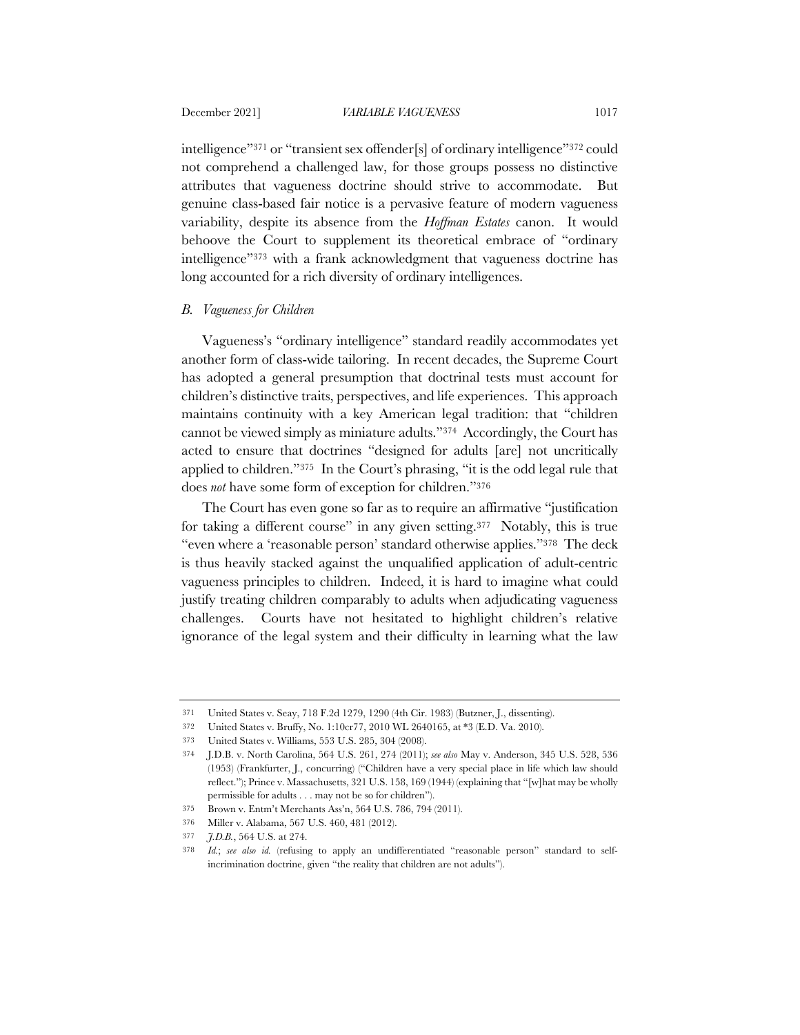intelligence"371 or "transient sex offender[s] of ordinary intelligence"372 could not comprehend a challenged law, for those groups possess no distinctive attributes that vagueness doctrine should strive to accommodate. But genuine class-based fair notice is a pervasive feature of modern vagueness variability, despite its absence from the *Hoffman Estates* canon. It would behoove the Court to supplement its theoretical embrace of "ordinary intelligence"373 with a frank acknowledgment that vagueness doctrine has long accounted for a rich diversity of ordinary intelligences.

## *B. Vagueness for Children*

Vagueness's "ordinary intelligence" standard readily accommodates yet another form of class-wide tailoring. In recent decades, the Supreme Court has adopted a general presumption that doctrinal tests must account for children's distinctive traits, perspectives, and life experiences. This approach maintains continuity with a key American legal tradition: that "children cannot be viewed simply as miniature adults."374 Accordingly, the Court has acted to ensure that doctrines "designed for adults [are] not uncritically applied to children."375 In the Court's phrasing, "it is the odd legal rule that does *not* have some form of exception for children."376

The Court has even gone so far as to require an affirmative "justification for taking a different course" in any given setting.<sup>377</sup> Notably, this is true "even where a 'reasonable person' standard otherwise applies."378 The deck is thus heavily stacked against the unqualified application of adult-centric vagueness principles to children. Indeed, it is hard to imagine what could justify treating children comparably to adults when adjudicating vagueness challenges. Courts have not hesitated to highlight children's relative ignorance of the legal system and their difficulty in learning what the law

<sup>371</sup> United States v. Seay, 718 F.2d 1279, 1290 (4th Cir. 1983) (Butzner, J., dissenting).

<sup>372</sup> United States v. Bruffy, No. 1:10cr77, 2010 WL 2640165, at \*3 (E.D. Va. 2010).

<sup>373</sup> United States v. Williams, 553 U.S. 285, 304 (2008).

<sup>374</sup> J.D.B. v. North Carolina, 564 U.S. 261, 274 (2011); *see also* May v. Anderson, 345 U.S. 528, 536 (1953) (Frankfurter, J., concurring) ("Children have a very special place in life which law should reflect."); Prince v. Massachusetts, 321 U.S. 158, 169 (1944) (explaining that "[w]hat may be wholly permissible for adults . . . may not be so for children").

<sup>375</sup> Brown v. Entm't Merchants Ass'n, 564 U.S. 786, 794 (2011).

<sup>376</sup> Miller v. Alabama, 567 U.S. 460, 481 (2012).

<sup>377</sup> *J.D.B.*, 564 U.S. at 274.

<sup>378</sup> *Id.*; *see also id.* (refusing to apply an undifferentiated "reasonable person" standard to selfincrimination doctrine, given "the reality that children are not adults").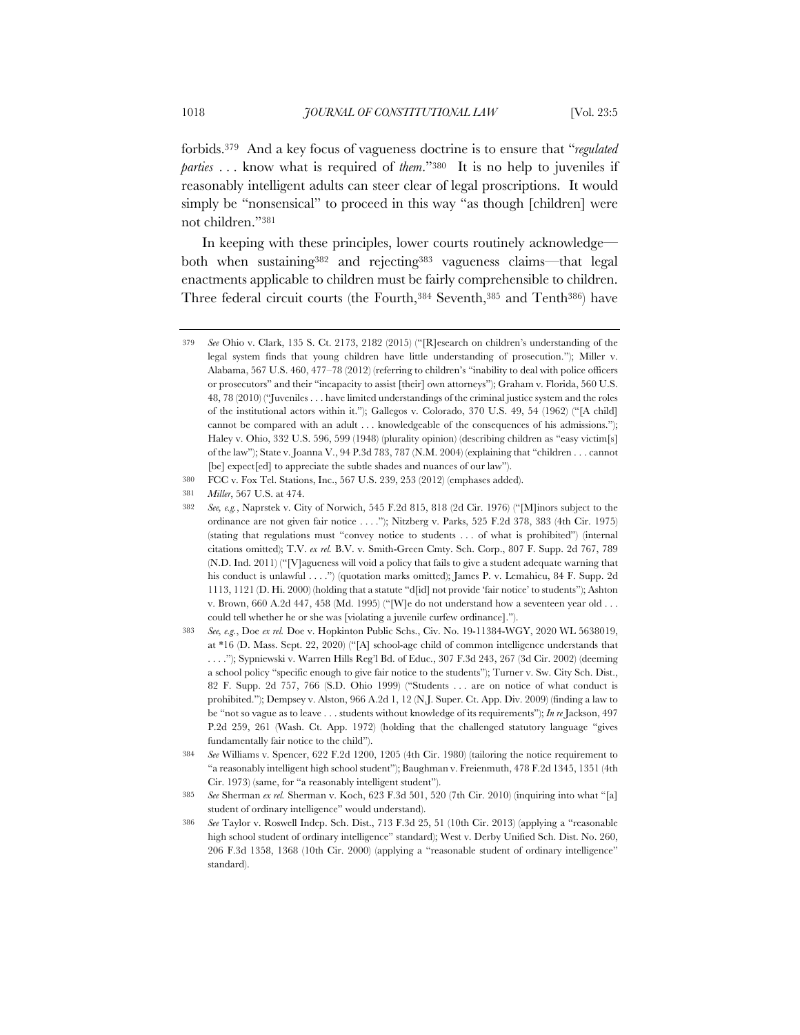forbids.379 And a key focus of vagueness doctrine is to ensure that "*regulated parties* . . . know what is required of *them*."380 It is no help to juveniles if reasonably intelligent adults can steer clear of legal proscriptions. It would simply be "nonsensical" to proceed in this way "as though [children] were not children."381

In keeping with these principles, lower courts routinely acknowledge both when sustaining382 and rejecting383 vagueness claims—that legal enactments applicable to children must be fairly comprehensible to children. Three federal circuit courts (the Fourth,384 Seventh,385 and Tenth386) have

<sup>379</sup> *See* Ohio v. Clark, 135 S. Ct. 2173, 2182 (2015) ("[R]esearch on children's understanding of the legal system finds that young children have little understanding of prosecution."); Miller v. Alabama, 567 U.S. 460, 477–78 (2012) (referring to children's "inability to deal with police officers or prosecutors" and their "incapacity to assist [their] own attorneys"); Graham v. Florida, 560 U.S. 48, 78 (2010) ("Juveniles . . . have limited understandings of the criminal justice system and the roles of the institutional actors within it."); Gallegos v. Colorado, 370 U.S. 49, 54 (1962) ("[A child] cannot be compared with an adult . . . knowledgeable of the consequences of his admissions."); Haley v. Ohio, 332 U.S. 596, 599 (1948) (plurality opinion) (describing children as "easy victim[s] of the law"); State v. Joanna V., 94 P.3d 783, 787 (N.M. 2004) (explaining that "children . . . cannot [be] expect[ed] to appreciate the subtle shades and nuances of our law").

<sup>380</sup> FCC v. Fox Tel. Stations, Inc., 567 U.S. 239, 253 (2012) (emphases added).

<sup>381</sup> *Miller*, 567 U.S. at 474.

<sup>382</sup> *See, e.g.*, Naprstek v. City of Norwich, 545 F.2d 815, 818 (2d Cir. 1976) ("[M]inors subject to the ordinance are not given fair notice . . . ."); Nitzberg v. Parks, 525 F.2d 378, 383 (4th Cir. 1975) (stating that regulations must "convey notice to students . . . of what is prohibited") (internal citations omitted); T.V. *ex rel.* B.V. v. Smith-Green Cmty. Sch. Corp., 807 F. Supp. 2d 767, 789 (N.D. Ind. 2011) ("[V]agueness will void a policy that fails to give a student adequate warning that his conduct is unlawful . . . .") (quotation marks omitted); James P. v. Lemahieu, 84 F. Supp. 2d 1113, 1121 (D. Hi. 2000) (holding that a statute "d[id] not provide 'fair notice' to students"); Ashton v. Brown, 660 A.2d 447, 458 (Md. 1995) ("[W]e do not understand how a seventeen year old . . . could tell whether he or she was [violating a juvenile curfew ordinance].").

<sup>383</sup> *See, e.g.*, Doe *ex rel.* Doe v. Hopkinton Public Schs., Civ. No. 19-11384-WGY, 2020 WL 5638019, at \*16 (D. Mass. Sept. 22, 2020) ("[A] school-age child of common intelligence understands that . . . ."); Sypniewski v. Warren Hills Reg'l Bd. of Educ., 307 F.3d 243, 267 (3d Cir. 2002) (deeming a school policy "specific enough to give fair notice to the students"); Turner v. Sw. City Sch. Dist., 82 F. Supp. 2d 757, 766 (S.D. Ohio 1999) ("Students . . . are on notice of what conduct is prohibited."); Dempsey v. Alston, 966 A.2d 1, 12 (N.J. Super. Ct. App. Div. 2009) (finding a law to be "not so vague as to leave . . . students without knowledge of its requirements"); *In re* Jackson, 497 P.2d 259, 261 (Wash. Ct. App. 1972) (holding that the challenged statutory language "gives fundamentally fair notice to the child").

<sup>384</sup> *See* Williams v. Spencer, 622 F.2d 1200, 1205 (4th Cir. 1980) (tailoring the notice requirement to "a reasonably intelligent high school student"); Baughman v. Freienmuth, 478 F.2d 1345, 1351 (4th Cir. 1973) (same, for "a reasonably intelligent student").

<sup>385</sup> *See* Sherman *ex rel.* Sherman v. Koch, 623 F.3d 501, 520 (7th Cir. 2010) (inquiring into what "[a] student of ordinary intelligence" would understand).

<sup>386</sup> *See* Taylor v. Roswell Indep. Sch. Dist., 713 F.3d 25, 51 (10th Cir. 2013) (applying a "reasonable high school student of ordinary intelligence" standard); West v. Derby Unified Sch. Dist. No. 260, 206 F.3d 1358, 1368 (10th Cir. 2000) (applying a "reasonable student of ordinary intelligence" standard).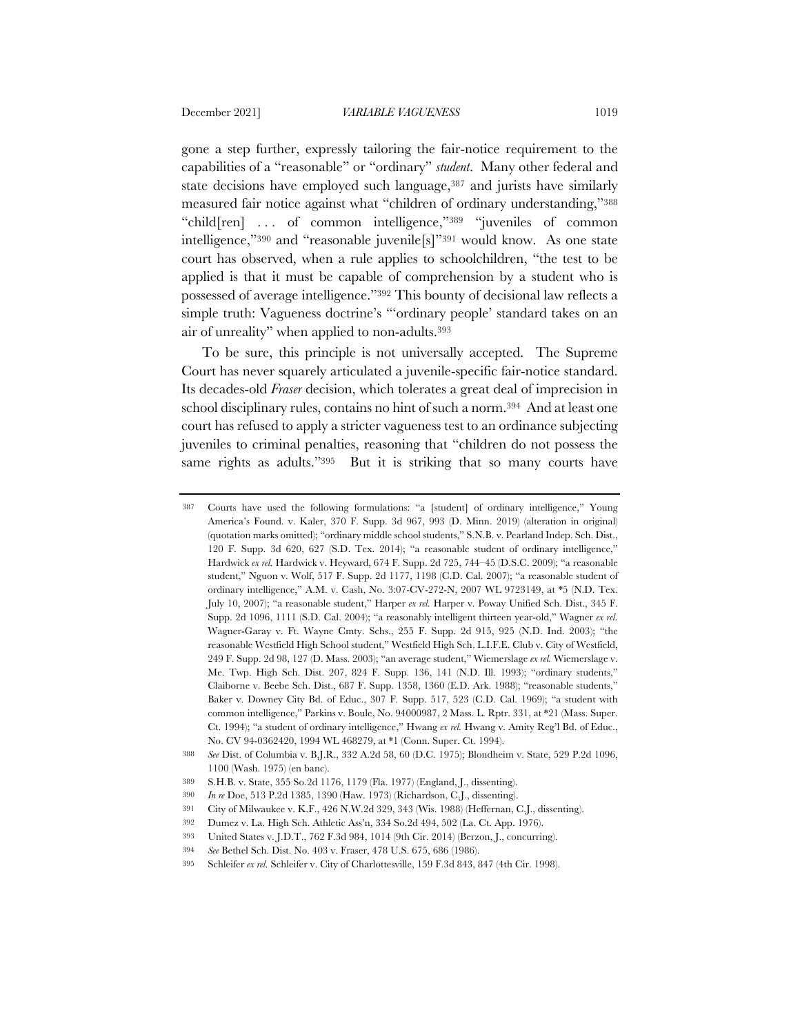gone a step further, expressly tailoring the fair-notice requirement to the capabilities of a "reasonable" or "ordinary" *student*. Many other federal and state decisions have employed such language,<sup>387</sup> and jurists have similarly measured fair notice against what "children of ordinary understanding,"388 "child[ren] . . . of common intelligence,"389 "juveniles of common intelligence,"390 and "reasonable juvenile[s]"391 would know. As one state court has observed, when a rule applies to schoolchildren, "the test to be applied is that it must be capable of comprehension by a student who is possessed of average intelligence."392 This bounty of decisional law reflects a simple truth: Vagueness doctrine's "'ordinary people' standard takes on an air of unreality" when applied to non-adults.393

To be sure, this principle is not universally accepted. The Supreme Court has never squarely articulated a juvenile-specific fair-notice standard. Its decades-old *Fraser* decision, which tolerates a great deal of imprecision in school disciplinary rules, contains no hint of such a norm.394 And at least one court has refused to apply a stricter vagueness test to an ordinance subjecting juveniles to criminal penalties, reasoning that "children do not possess the same rights as adults."395 But it is striking that so many courts have

<sup>387</sup> Courts have used the following formulations: "a [student] of ordinary intelligence," Young America's Found. v. Kaler, 370 F. Supp. 3d 967, 993 (D. Minn. 2019) (alteration in original) (quotation marks omitted); "ordinary middle school students," S.N.B. v. Pearland Indep. Sch. Dist., 120 F. Supp. 3d 620, 627 (S.D. Tex. 2014); "a reasonable student of ordinary intelligence," Hardwick *ex rel.* Hardwick v. Heyward, 674 F. Supp. 2d 725, 744–45 (D.S.C. 2009); "a reasonable student," Nguon v. Wolf, 517 F. Supp. 2d 1177, 1198 (C.D. Cal. 2007); "a reasonable student of ordinary intelligence," A.M. v. Cash, No. 3:07-CV-272-N, 2007 WL 9723149, at \*5 (N.D. Tex. July 10, 2007); "a reasonable student," Harper *ex rel.* Harper v. Poway Unified Sch. Dist., 345 F. Supp. 2d 1096, 1111 (S.D. Cal. 2004); "a reasonably intelligent thirteen year-old," Wagner *ex rel.* Wagner-Garay v. Ft. Wayne Cmty. Schs., 255 F. Supp. 2d 915, 925 (N.D. Ind. 2003); "the reasonable Westfield High School student," Westfield High Sch. L.I.F.E. Club v. City of Westfield, 249 F. Supp. 2d 98, 127 (D. Mass. 2003); "an average student," Wiemerslage *ex rel.* Wiemerslage v. Me. Twp. High Sch. Dist. 207, 824 F. Supp. 136, 141 (N.D. Ill. 1993); "ordinary students," Claiborne v. Beebe Sch. Dist., 687 F. Supp. 1358, 1360 (E.D. Ark. 1988); "reasonable students," Baker v. Downey City Bd. of Educ., 307 F. Supp. 517, 523 (C.D. Cal. 1969); "a student with common intelligence," Parkins v. Boule, No. 94000987, 2 Mass. L. Rptr. 331, at \*21 (Mass. Super. Ct. 1994); "a student of ordinary intelligence," Hwang *ex rel.* Hwang v. Amity Reg'l Bd. of Educ., No. CV 94-0362420, 1994 WL 468279, at \*1 (Conn. Super. Ct. 1994).

<sup>388</sup> *See* Dist. of Columbia v. B.J.R., 332 A.2d 58, 60 (D.C. 1975); Blondheim v. State, 529 P.2d 1096, 1100 (Wash. 1975) (en banc).

<sup>389</sup> S.H.B. v. State, 355 So.2d 1176, 1179 (Fla. 1977) (England, J., dissenting).

<sup>390</sup> *In re* Doe, 513 P.2d 1385, 1390 (Haw. 1973) (Richardson, C.J., dissenting).

<sup>391</sup> City of Milwaukee v. K.F., 426 N.W.2d 329, 343 (Wis. 1988) (Heffernan, C.J., dissenting).

<sup>392</sup> Dumez v. La. High Sch. Athletic Ass'n, 334 So.2d 494, 502 (La. Ct. App. 1976).

<sup>393</sup> United States v. J.D.T., 762 F.3d 984, 1014 (9th Cir. 2014) (Berzon, J., concurring).

<sup>394</sup> *See* Bethel Sch. Dist. No. 403 v. Fraser, 478 U.S. 675, 686 (1986).

<sup>395</sup> Schleifer *ex rel.* Schleifer v. City of Charlottesville, 159 F.3d 843, 847 (4th Cir. 1998).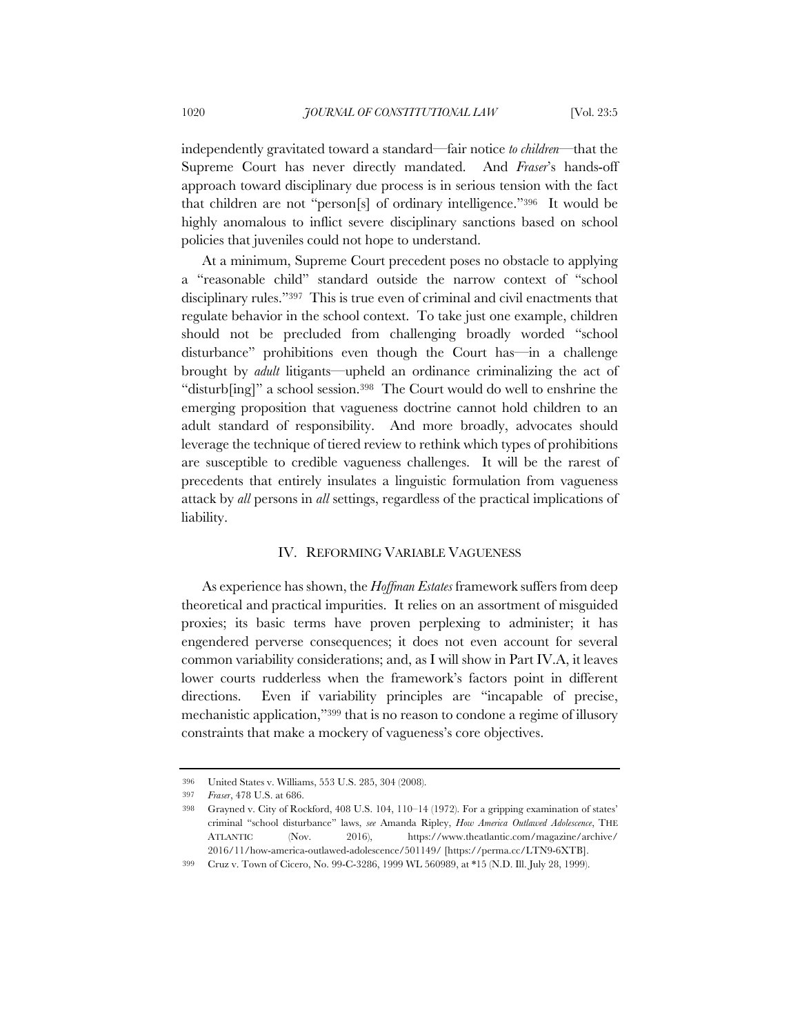independently gravitated toward a standard—fair notice *to children*—that the Supreme Court has never directly mandated. And *Fraser*'s hands-off approach toward disciplinary due process is in serious tension with the fact that children are not "person[s] of ordinary intelligence."396 It would be highly anomalous to inflict severe disciplinary sanctions based on school policies that juveniles could not hope to understand.

At a minimum, Supreme Court precedent poses no obstacle to applying a "reasonable child" standard outside the narrow context of "school disciplinary rules."397 This is true even of criminal and civil enactments that regulate behavior in the school context. To take just one example, children should not be precluded from challenging broadly worded "school disturbance" prohibitions even though the Court has—in a challenge brought by *adult* litigants—upheld an ordinance criminalizing the act of "disturb[ing]" a school session.398 The Court would do well to enshrine the emerging proposition that vagueness doctrine cannot hold children to an adult standard of responsibility. And more broadly, advocates should leverage the technique of tiered review to rethink which types of prohibitions are susceptible to credible vagueness challenges. It will be the rarest of precedents that entirely insulates a linguistic formulation from vagueness attack by *all* persons in *all* settings, regardless of the practical implications of liability.

# IV. REFORMING VARIABLE VAGUENESS

As experience has shown, the *Hoffman Estates* framework suffers from deep theoretical and practical impurities. It relies on an assortment of misguided proxies; its basic terms have proven perplexing to administer; it has engendered perverse consequences; it does not even account for several common variability considerations; and, as I will show in Part IV.A, it leaves lower courts rudderless when the framework's factors point in different directions. Even if variability principles are "incapable of precise, mechanistic application,"399 that is no reason to condone a regime of illusory constraints that make a mockery of vagueness's core objectives.

<sup>396</sup> United States v. Williams, 553 U.S. 285, 304 (2008).

<sup>397</sup> *Fraser*, 478 U.S. at 686.

<sup>398</sup> Grayned v. City of Rockford, 408 U.S. 104, 110–14 (1972). For a gripping examination of states' criminal "school disturbance" laws, *see* Amanda Ripley, *How America Outlawed Adolescence*, THE ATLANTIC (Nov. 2016), https://www.theatlantic.com/magazine/archive/ 2016/11/how-america-outlawed-adolescence/501149/ [https://perma.cc/LTN9-6XTB].

<sup>399</sup> Cruz v. Town of Cicero, No. 99-C-3286, 1999 WL 560989, at \*15 (N.D. Ill. July 28, 1999).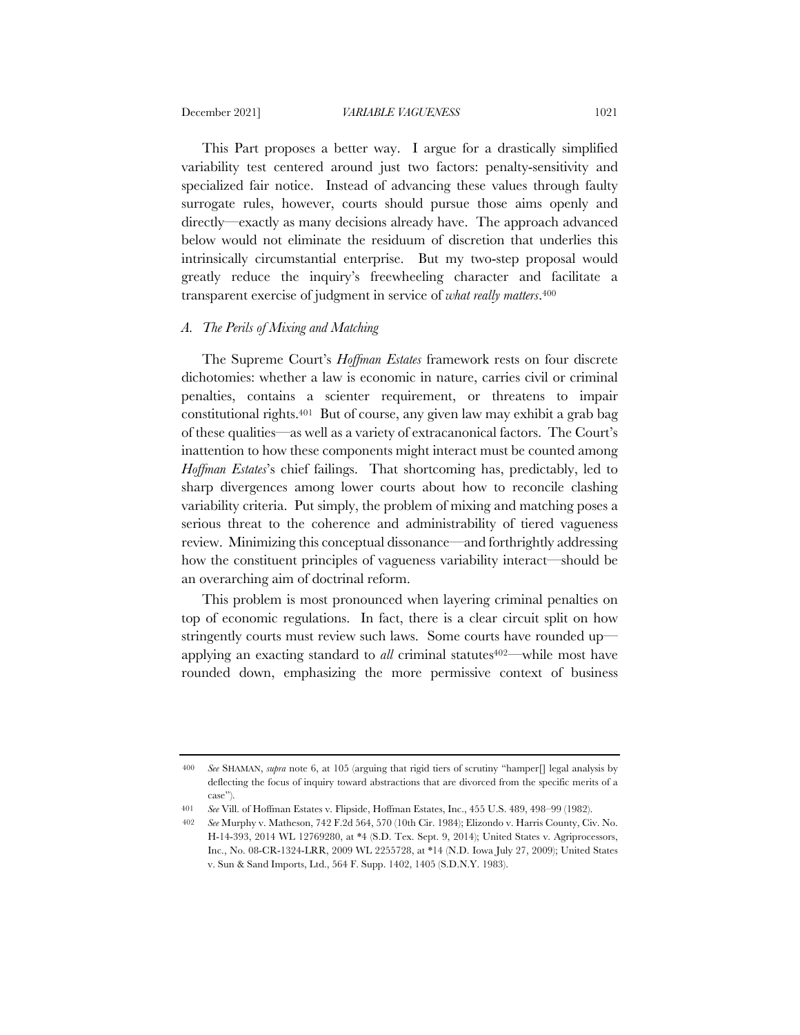This Part proposes a better way. I argue for a drastically simplified variability test centered around just two factors: penalty-sensitivity and specialized fair notice. Instead of advancing these values through faulty surrogate rules, however, courts should pursue those aims openly and directly—exactly as many decisions already have. The approach advanced below would not eliminate the residuum of discretion that underlies this intrinsically circumstantial enterprise. But my two-step proposal would greatly reduce the inquiry's freewheeling character and facilitate a transparent exercise of judgment in service of *what really matters*.400

## *A. The Perils of Mixing and Matching*

The Supreme Court's *Hoffman Estates* framework rests on four discrete dichotomies: whether a law is economic in nature, carries civil or criminal penalties, contains a scienter requirement, or threatens to impair constitutional rights.401 But of course, any given law may exhibit a grab bag of these qualities—as well as a variety of extracanonical factors. The Court's inattention to how these components might interact must be counted among *Hoffman Estates*'s chief failings. That shortcoming has, predictably, led to sharp divergences among lower courts about how to reconcile clashing variability criteria. Put simply, the problem of mixing and matching poses a serious threat to the coherence and administrability of tiered vagueness review. Minimizing this conceptual dissonance—and forthrightly addressing how the constituent principles of vagueness variability interact—should be an overarching aim of doctrinal reform.

This problem is most pronounced when layering criminal penalties on top of economic regulations. In fact, there is a clear circuit split on how stringently courts must review such laws. Some courts have rounded up applying an exacting standard to *all* criminal statutes<sup>402—</sup>while most have rounded down, emphasizing the more permissive context of business

<sup>400</sup> *See* SHAMAN, *supra* note 6, at 105 (arguing that rigid tiers of scrutiny "hamper[] legal analysis by deflecting the focus of inquiry toward abstractions that are divorced from the specific merits of a case").

<sup>401</sup> *See* Vill. of Hoffman Estates v. Flipside, Hoffman Estates, Inc., 455 U.S. 489, 498–99 (1982).

<sup>402</sup> *See* Murphy v. Matheson, 742 F.2d 564, 570 (10th Cir. 1984); Elizondo v. Harris County, Civ. No. H-14-393, 2014 WL 12769280, at \*4 (S.D. Tex. Sept. 9, 2014); United States v. Agriprocessors, Inc., No. 08-CR-1324-LRR, 2009 WL 2255728, at \*14 (N.D. Iowa July 27, 2009); United States v. Sun & Sand Imports, Ltd., 564 F. Supp. 1402, 1405 (S.D.N.Y. 1983).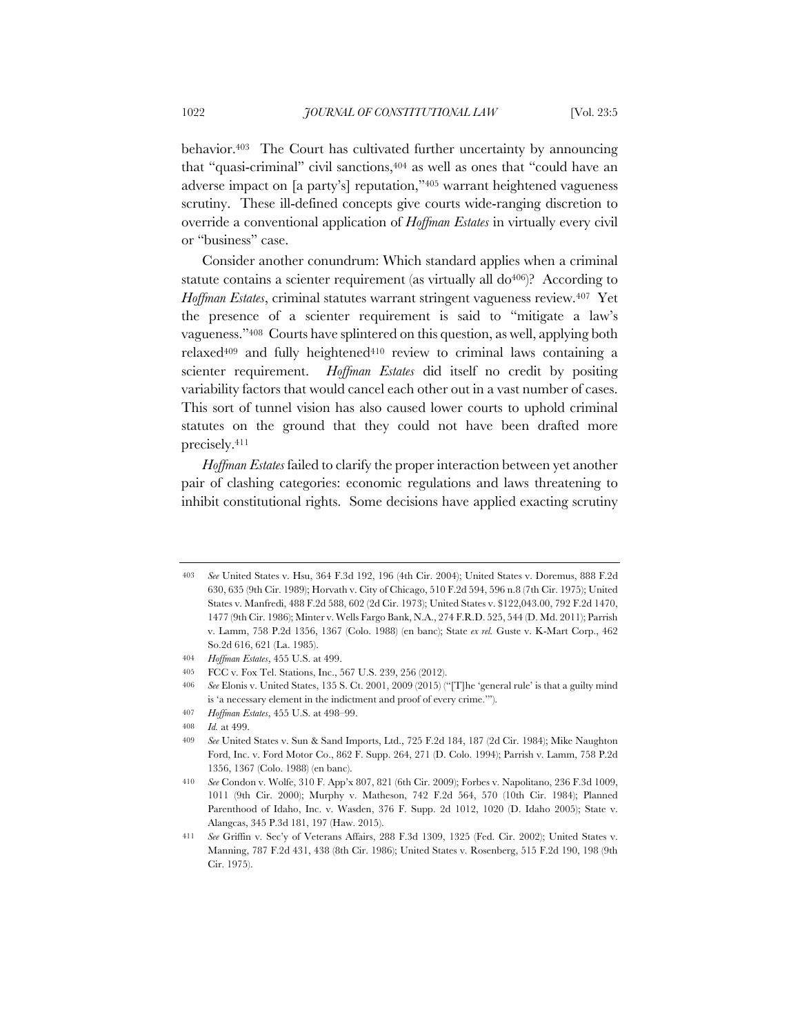behavior.403 The Court has cultivated further uncertainty by announcing that "quasi-criminal" civil sanctions,404 as well as ones that "could have an adverse impact on [a party's] reputation,"405 warrant heightened vagueness scrutiny. These ill-defined concepts give courts wide-ranging discretion to override a conventional application of *Hoffman Estates* in virtually every civil or "business" case.

Consider another conundrum: Which standard applies when a criminal statute contains a scienter requirement (as virtually all  $do<sup>406</sup>)$ ? According to *Hoffman Estates*, criminal statutes warrant stringent vagueness review.407 Yet the presence of a scienter requirement is said to "mitigate a law's vagueness."408 Courts have splintered on this question, as well, applying both relaxed409 and fully heightened410 review to criminal laws containing a scienter requirement. *Hoffman Estates* did itself no credit by positing variability factors that would cancel each other out in a vast number of cases. This sort of tunnel vision has also caused lower courts to uphold criminal statutes on the ground that they could not have been drafted more precisely.411

*Hoffman Estates* failed to clarify the proper interaction between yet another pair of clashing categories: economic regulations and laws threatening to inhibit constitutional rights. Some decisions have applied exacting scrutiny

407 *Hoffman Estates*, 455 U.S. at 498–99.

<sup>403</sup> *See* United States v. Hsu, 364 F.3d 192, 196 (4th Cir. 2004); United States v. Doremus, 888 F.2d 630, 635 (9th Cir. 1989); Horvath v. City of Chicago, 510 F.2d 594, 596 n.8 (7th Cir. 1975); United States v. Manfredi, 488 F.2d 588, 602 (2d Cir. 1973); United States v. \$122,043.00, 792 F.2d 1470, 1477 (9th Cir. 1986); Minter v. Wells Fargo Bank, N.A., 274 F.R.D. 525, 544 (D. Md. 2011); Parrish v. Lamm, 758 P.2d 1356, 1367 (Colo. 1988) (en banc); State *ex rel.* Guste v. K-Mart Corp., 462 So.2d 616, 621 (La. 1985).

<sup>404</sup> *Hoffman Estates*, 455 U.S. at 499.

<sup>405</sup> FCC v. Fox Tel. Stations, Inc., 567 U.S. 239, 256 (2012).

<sup>406</sup> *See* Elonis v. United States, 135 S. Ct. 2001, 2009 (2015) ("[T]he 'general rule' is that a guilty mind is 'a necessary element in the indictment and proof of every crime.'").

<sup>408</sup> *Id.* at 499.

<sup>409</sup> *See* United States v. Sun & Sand Imports, Ltd., 725 F.2d 184, 187 (2d Cir. 1984); Mike Naughton Ford, Inc. v. Ford Motor Co., 862 F. Supp. 264, 271 (D. Colo. 1994); Parrish v. Lamm, 758 P.2d 1356, 1367 (Colo. 1988) (en banc).

<sup>410</sup> *See* Condon v. Wolfe, 310 F. App'x 807, 821 (6th Cir. 2009); Forbes v. Napolitano, 236 F.3d 1009, 1011 (9th Cir. 2000); Murphy v. Matheson, 742 F.2d 564, 570 (10th Cir. 1984); Planned Parenthood of Idaho, Inc. v. Wasden, 376 F. Supp. 2d 1012, 1020 (D. Idaho 2005); State v. Alangcas, 345 P.3d 181, 197 (Haw. 2015).

<sup>411</sup> *See* Griffin v. Sec'y of Veterans Affairs, 288 F.3d 1309, 1325 (Fed. Cir. 2002); United States v. Manning, 787 F.2d 431, 438 (8th Cir. 1986); United States v. Rosenberg, 515 F.2d 190, 198 (9th Cir. 1975).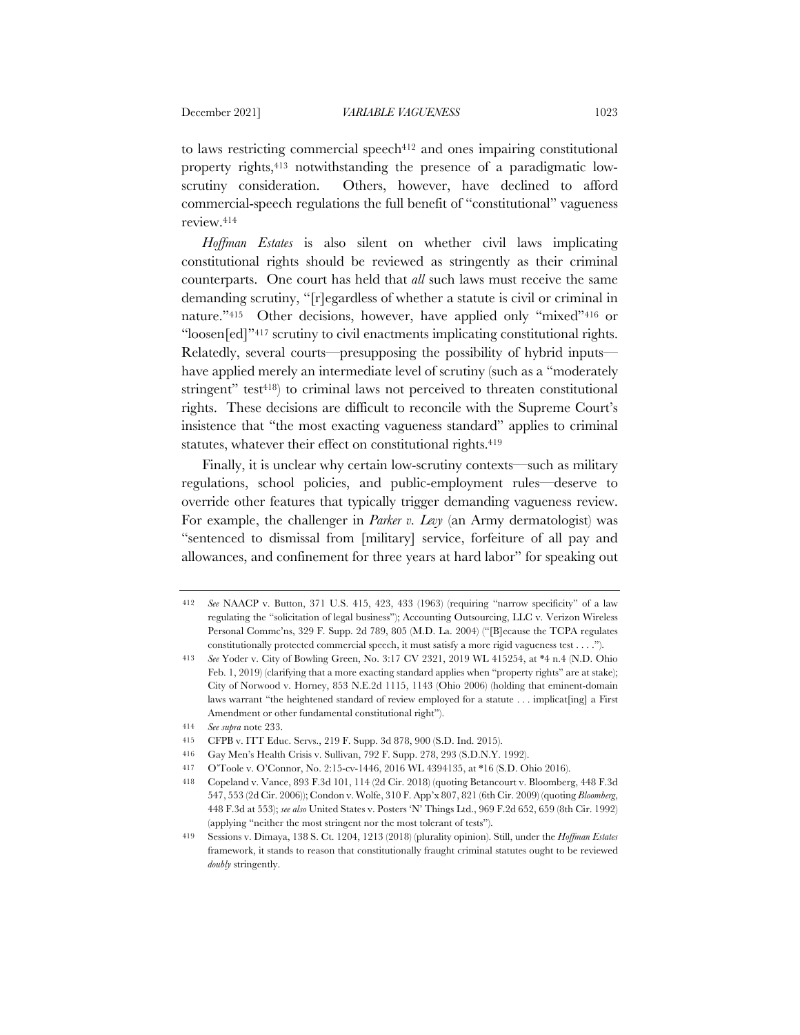to laws restricting commercial speech $412$  and ones impairing constitutional property rights,413 notwithstanding the presence of a paradigmatic lowscrutiny consideration. Others, however, have declined to afford commercial-speech regulations the full benefit of "constitutional" vagueness review.414

*Hoffman Estates* is also silent on whether civil laws implicating constitutional rights should be reviewed as stringently as their criminal counterparts. One court has held that *all* such laws must receive the same demanding scrutiny, "[r]egardless of whether a statute is civil or criminal in nature."<sup>415</sup> Other decisions, however, have applied only "mixed"<sup>416</sup> or "loosen[ed]"417 scrutiny to civil enactments implicating constitutional rights. Relatedly, several courts—presupposing the possibility of hybrid inputs have applied merely an intermediate level of scrutiny (such as a "moderately stringent" test<sup>418</sup>) to criminal laws not perceived to threaten constitutional rights. These decisions are difficult to reconcile with the Supreme Court's insistence that "the most exacting vagueness standard" applies to criminal statutes, whatever their effect on constitutional rights.<sup>419</sup>

Finally, it is unclear why certain low-scrutiny contexts—such as military regulations, school policies, and public-employment rules—deserve to override other features that typically trigger demanding vagueness review. For example, the challenger in *Parker v. Levy* (an Army dermatologist) was "sentenced to dismissal from [military] service, forfeiture of all pay and allowances, and confinement for three years at hard labor" for speaking out

<sup>412</sup> *See* NAACP v. Button, 371 U.S. 415, 423, 433 (1963) (requiring "narrow specificity" of a law regulating the "solicitation of legal business"); Accounting Outsourcing, LLC v. Verizon Wireless Personal Commc'ns, 329 F. Supp. 2d 789, 805 (M.D. La. 2004) ("[B]ecause the TCPA regulates constitutionally protected commercial speech, it must satisfy a more rigid vagueness test . . . .").

<sup>413</sup> *See* Yoder v. City of Bowling Green, No. 3:17 CV 2321, 2019 WL 415254, at \*4 n.4 (N.D. Ohio Feb. 1, 2019) (clarifying that a more exacting standard applies when "property rights" are at stake); City of Norwood v. Horney, 853 N.E.2d 1115, 1143 (Ohio 2006) (holding that eminent-domain laws warrant "the heightened standard of review employed for a statute . . . implicat[ing] a First Amendment or other fundamental constitutional right").

<sup>414</sup> *See supra* note 233.

<sup>415</sup> CFPB v. ITT Educ. Servs., 219 F. Supp. 3d 878, 900 (S.D. Ind. 2015).

<sup>416</sup> Gay Men's Health Crisis v. Sullivan, 792 F. Supp. 278, 293 (S.D.N.Y. 1992).

<sup>417</sup> O'Toole v. O'Connor, No. 2:15-cv-1446, 2016 WL 4394135, at \*16 (S.D. Ohio 2016).

<sup>418</sup> Copeland v. Vance, 893 F.3d 101, 114 (2d Cir. 2018) (quoting Betancourt v. Bloomberg, 448 F.3d 547, 553 (2d Cir. 2006)); Condon v. Wolfe, 310 F. App'x 807, 821 (6th Cir. 2009) (quoting *Bloomberg*, 448 F.3d at 553); *see also* United States v. Posters 'N' Things Ltd., 969 F.2d 652, 659 (8th Cir. 1992) (applying "neither the most stringent nor the most tolerant of tests").

<sup>419</sup> Sessions v. Dimaya, 138 S. Ct. 1204, 1213 (2018) (plurality opinion). Still, under the *Hoffman Estates* framework, it stands to reason that constitutionally fraught criminal statutes ought to be reviewed *doubly* stringently.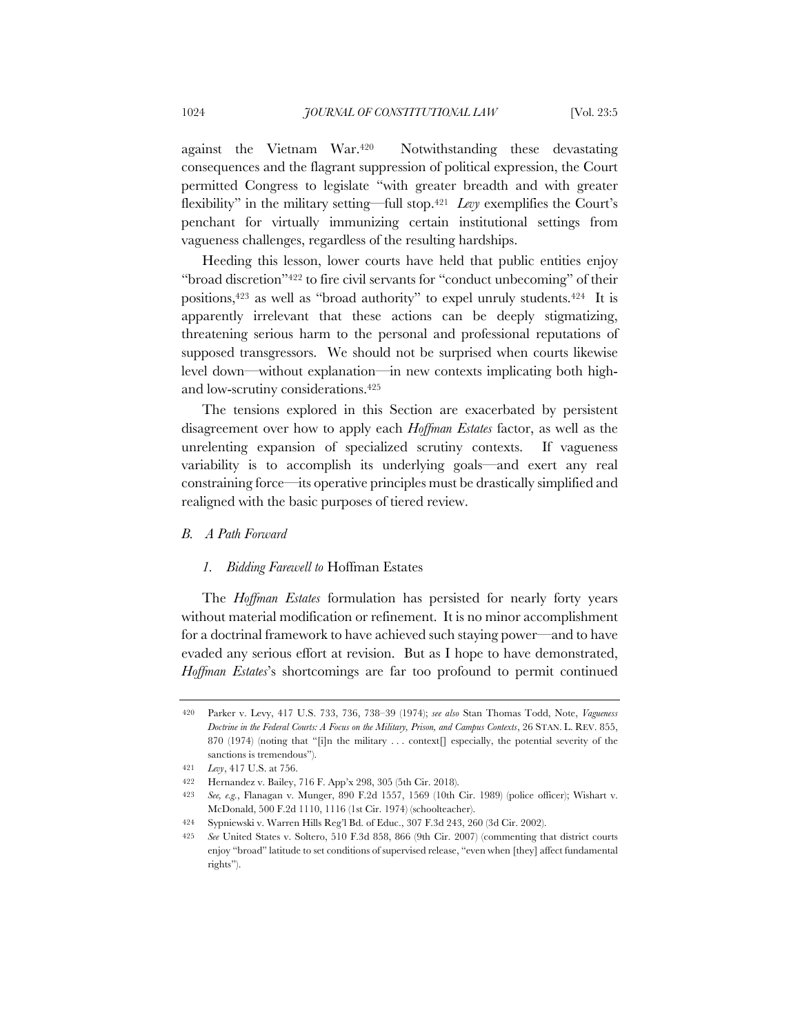against the Vietnam War.420 Notwithstanding these devastating consequences and the flagrant suppression of political expression, the Court permitted Congress to legislate "with greater breadth and with greater flexibility" in the military setting—full stop.421 *Levy* exemplifies the Court's penchant for virtually immunizing certain institutional settings from vagueness challenges, regardless of the resulting hardships.

Heeding this lesson, lower courts have held that public entities enjoy "broad discretion"422 to fire civil servants for "conduct unbecoming" of their positions,423 as well as "broad authority" to expel unruly students.424 It is apparently irrelevant that these actions can be deeply stigmatizing, threatening serious harm to the personal and professional reputations of supposed transgressors. We should not be surprised when courts likewise level down—without explanation—in new contexts implicating both highand low-scrutiny considerations.425

The tensions explored in this Section are exacerbated by persistent disagreement over how to apply each *Hoffman Estates* factor, as well as the unrelenting expansion of specialized scrutiny contexts. If vagueness variability is to accomplish its underlying goals—and exert any real constraining force—its operative principles must be drastically simplified and realigned with the basic purposes of tiered review.

## *B. A Path Forward*

# *1. Bidding Farewell to* Hoffman Estates

The *Hoffman Estates* formulation has persisted for nearly forty years without material modification or refinement. It is no minor accomplishment for a doctrinal framework to have achieved such staying power—and to have evaded any serious effort at revision. But as I hope to have demonstrated, *Hoffman Estates*'s shortcomings are far too profound to permit continued

<sup>420</sup> Parker v. Levy, 417 U.S. 733, 736, 738–39 (1974); *see also* Stan Thomas Todd, Note, *Vagueness Doctrine in the Federal Courts: A Focus on the Military, Prison, and Campus Contexts*, 26 STAN. L. REV. 855, 870 (1974) (noting that "[i]n the military ... context[] especially, the potential severity of the sanctions is tremendous").

<sup>421</sup> *Levy*, 417 U.S. at 756.

<sup>422</sup> Hernandez v. Bailey, 716 F. App'x 298, 305 (5th Cir. 2018).

<sup>423</sup> *See, e.g.*, Flanagan v. Munger, 890 F.2d 1557, 1569 (10th Cir. 1989) (police officer); Wishart v. McDonald, 500 F.2d 1110, 1116 (1st Cir. 1974) (schoolteacher).

<sup>424</sup> Sypniewski v. Warren Hills Reg'l Bd. of Educ., 307 F.3d 243, 260 (3d Cir. 2002).

<sup>425</sup> *See* United States v. Soltero, 510 F.3d 858, 866 (9th Cir. 2007) (commenting that district courts enjoy "broad" latitude to set conditions of supervised release, "even when [they] affect fundamental rights").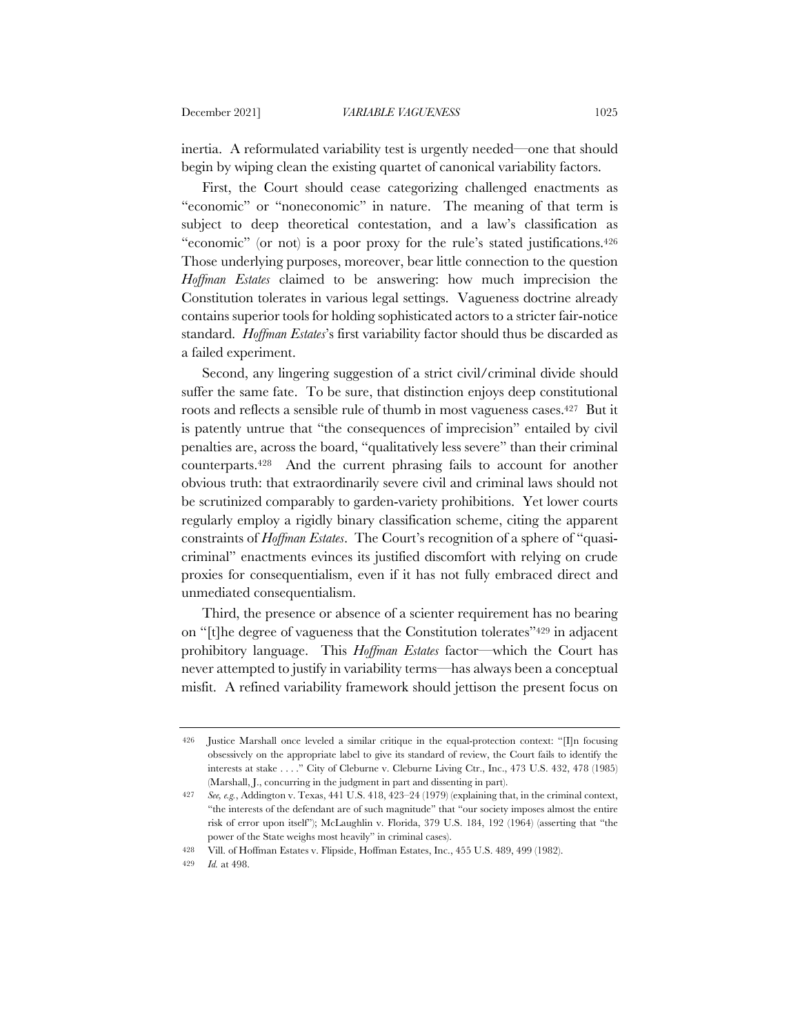inertia. A reformulated variability test is urgently needed—one that should begin by wiping clean the existing quartet of canonical variability factors.

First, the Court should cease categorizing challenged enactments as "economic" or "noneconomic" in nature. The meaning of that term is subject to deep theoretical contestation, and a law's classification as "economic" (or not) is a poor proxy for the rule's stated justifications.<sup>426</sup> Those underlying purposes, moreover, bear little connection to the question *Hoffman Estates* claimed to be answering: how much imprecision the Constitution tolerates in various legal settings. Vagueness doctrine already contains superior tools for holding sophisticated actors to a stricter fair-notice standard. *Hoffman Estates*'s first variability factor should thus be discarded as a failed experiment.

Second, any lingering suggestion of a strict civil/criminal divide should suffer the same fate. To be sure, that distinction enjoys deep constitutional roots and reflects a sensible rule of thumb in most vagueness cases.427 But it is patently untrue that "the consequences of imprecision" entailed by civil penalties are, across the board, "qualitatively less severe" than their criminal counterparts.428 And the current phrasing fails to account for another obvious truth: that extraordinarily severe civil and criminal laws should not be scrutinized comparably to garden-variety prohibitions. Yet lower courts regularly employ a rigidly binary classification scheme, citing the apparent constraints of *Hoffman Estates*. The Court's recognition of a sphere of "quasicriminal" enactments evinces its justified discomfort with relying on crude proxies for consequentialism, even if it has not fully embraced direct and unmediated consequentialism.

Third, the presence or absence of a scienter requirement has no bearing on "[t]he degree of vagueness that the Constitution tolerates"429 in adjacent prohibitory language. This *Hoffman Estates* factor—which the Court has never attempted to justify in variability terms—has always been a conceptual misfit. A refined variability framework should jettison the present focus on

<sup>426</sup> Justice Marshall once leveled a similar critique in the equal-protection context: "[I]n focusing obsessively on the appropriate label to give its standard of review, the Court fails to identify the interests at stake . . . ." City of Cleburne v. Cleburne Living Ctr., Inc., 473 U.S. 432, 478 (1985) (Marshall, J., concurring in the judgment in part and dissenting in part).

<sup>427</sup> *See, e.g.*, Addington v. Texas, 441 U.S. 418, 423–24 (1979) (explaining that, in the criminal context, "the interests of the defendant are of such magnitude" that "our society imposes almost the entire risk of error upon itself"); McLaughlin v. Florida, 379 U.S. 184, 192 (1964) (asserting that "the power of the State weighs most heavily" in criminal cases).

<sup>428</sup> Vill. of Hoffman Estates v. Flipside, Hoffman Estates, Inc., 455 U.S. 489, 499 (1982).

<sup>429</sup> *Id.* at 498.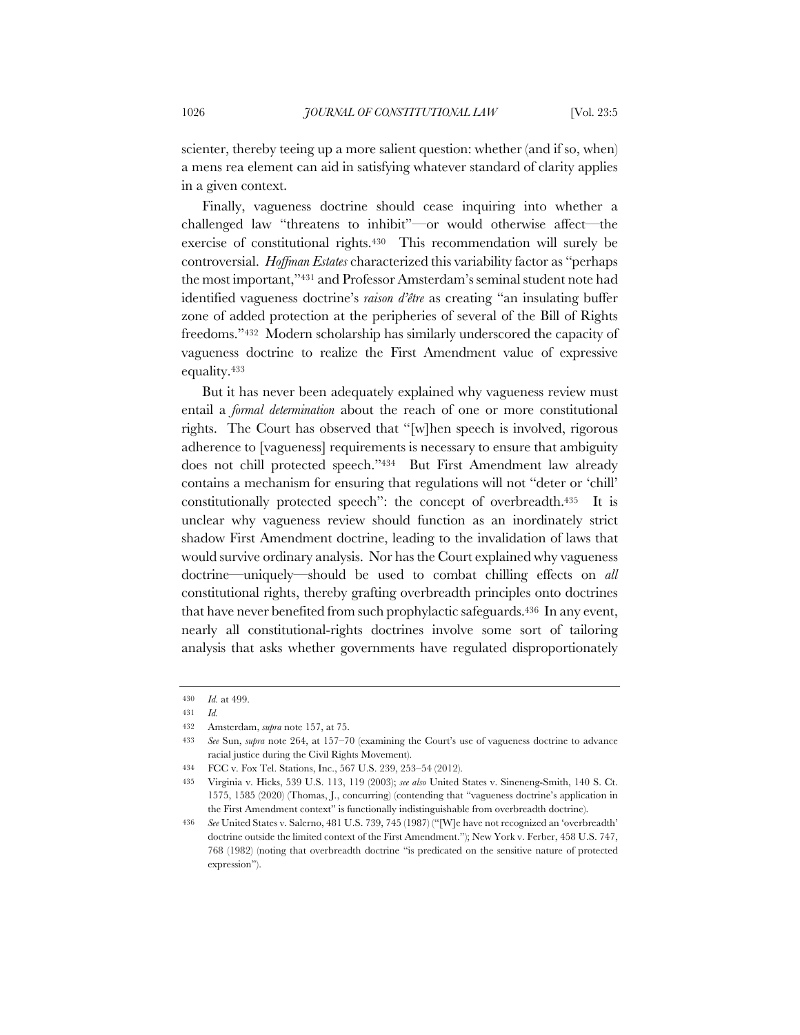scienter, thereby teeing up a more salient question: whether (and if so, when) a mens rea element can aid in satisfying whatever standard of clarity applies in a given context.

Finally, vagueness doctrine should cease inquiring into whether a challenged law "threatens to inhibit"—or would otherwise affect—the exercise of constitutional rights.430 This recommendation will surely be controversial. *Hoffman Estates* characterized this variability factor as "perhaps the most important,"431 and Professor Amsterdam's seminal student note had identified vagueness doctrine's *raison d'être* as creating "an insulating buffer zone of added protection at the peripheries of several of the Bill of Rights freedoms."432 Modern scholarship has similarly underscored the capacity of vagueness doctrine to realize the First Amendment value of expressive equality.433

But it has never been adequately explained why vagueness review must entail a *formal determination* about the reach of one or more constitutional rights. The Court has observed that "[w]hen speech is involved, rigorous adherence to [vagueness] requirements is necessary to ensure that ambiguity does not chill protected speech."434 But First Amendment law already contains a mechanism for ensuring that regulations will not "deter or 'chill' constitutionally protected speech": the concept of overbreadth.435 It is unclear why vagueness review should function as an inordinately strict shadow First Amendment doctrine, leading to the invalidation of laws that would survive ordinary analysis. Nor has the Court explained why vagueness doctrine—uniquely—should be used to combat chilling effects on *all* constitutional rights, thereby grafting overbreadth principles onto doctrines that have never benefited from such prophylactic safeguards.436 In any event, nearly all constitutional-rights doctrines involve some sort of tailoring analysis that asks whether governments have regulated disproportionately

<sup>430</sup> *Id.* at 499.

<sup>431</sup> *Id.*

<sup>432</sup> Amsterdam, *supra* note 157, at 75.

<sup>433</sup> *See* Sun, *supra* note 264, at 157–70 (examining the Court's use of vagueness doctrine to advance racial justice during the Civil Rights Movement).

<sup>434</sup> FCC v. Fox Tel. Stations, Inc., 567 U.S. 239, 253–54 (2012).

<sup>435</sup> Virginia v. Hicks, 539 U.S. 113, 119 (2003); *see also* United States v. Sineneng-Smith, 140 S. Ct. 1575, 1585 (2020) (Thomas, J., concurring) (contending that "vagueness doctrine's application in the First Amendment context" is functionally indistinguishable from overbreadth doctrine).

<sup>436</sup> *See* United States v. Salerno, 481 U.S. 739, 745 (1987) ("[W]e have not recognized an 'overbreadth' doctrine outside the limited context of the First Amendment."); New York v. Ferber, 458 U.S. 747, 768 (1982) (noting that overbreadth doctrine "is predicated on the sensitive nature of protected expression").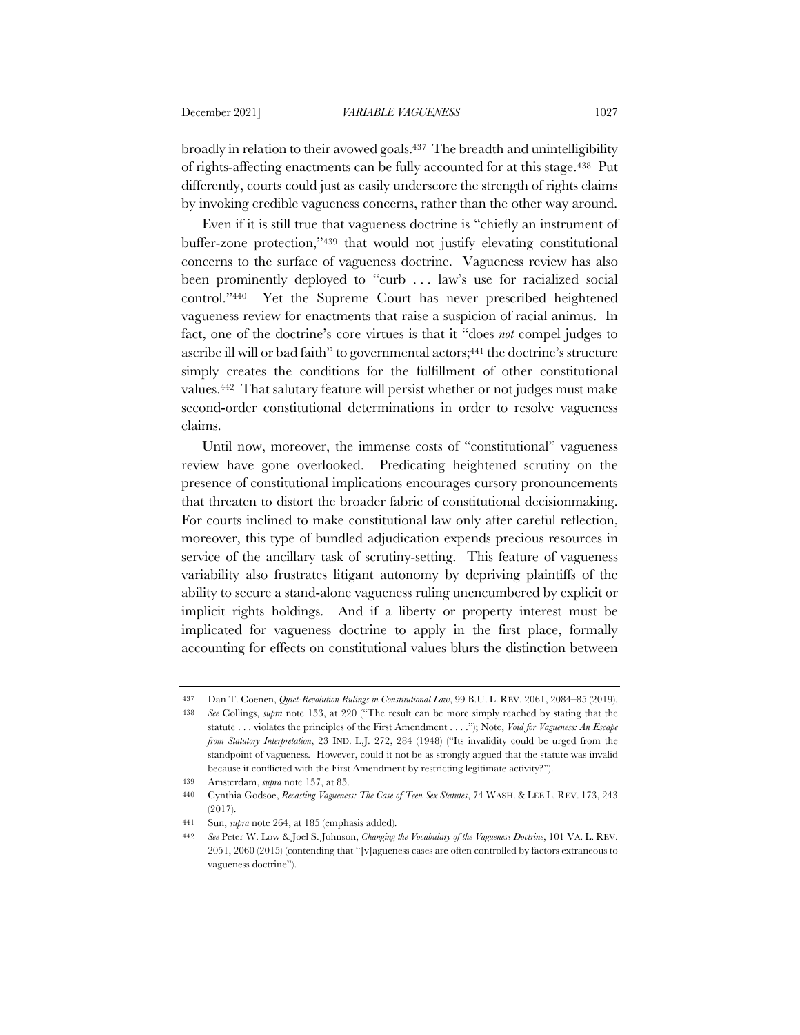broadly in relation to their avowed goals.437 The breadth and unintelligibility of rights-affecting enactments can be fully accounted for at this stage.438 Put differently, courts could just as easily underscore the strength of rights claims by invoking credible vagueness concerns, rather than the other way around.

Even if it is still true that vagueness doctrine is "chiefly an instrument of buffer-zone protection,"439 that would not justify elevating constitutional concerns to the surface of vagueness doctrine. Vagueness review has also been prominently deployed to "curb ... law's use for racialized social control."440 Yet the Supreme Court has never prescribed heightened vagueness review for enactments that raise a suspicion of racial animus. In fact, one of the doctrine's core virtues is that it "does *not* compel judges to ascribe ill will or bad faith" to governmental actors;<sup>441</sup> the doctrine's structure simply creates the conditions for the fulfillment of other constitutional values.442 That salutary feature will persist whether or not judges must make second-order constitutional determinations in order to resolve vagueness claims.

Until now, moreover, the immense costs of "constitutional" vagueness review have gone overlooked. Predicating heightened scrutiny on the presence of constitutional implications encourages cursory pronouncements that threaten to distort the broader fabric of constitutional decisionmaking. For courts inclined to make constitutional law only after careful reflection, moreover, this type of bundled adjudication expends precious resources in service of the ancillary task of scrutiny-setting. This feature of vagueness variability also frustrates litigant autonomy by depriving plaintiffs of the ability to secure a stand-alone vagueness ruling unencumbered by explicit or implicit rights holdings. And if a liberty or property interest must be implicated for vagueness doctrine to apply in the first place, formally accounting for effects on constitutional values blurs the distinction between

<sup>437</sup> Dan T. Coenen, *Quiet-Revolution Rulings in Constitutional Law*, 99 B.U. L. REV. 2061, 2084–85 (2019).

<sup>438</sup> *See* Collings, *supra* note 153, at 220 ("The result can be more simply reached by stating that the statute . . . violates the principles of the First Amendment . . . ."); Note, *Void for Vagueness: An Escape from Statutory Interpretation*, 23 IND. L.J. 272, 284 (1948) ("Its invalidity could be urged from the standpoint of vagueness. However, could it not be as strongly argued that the statute was invalid because it conflicted with the First Amendment by restricting legitimate activity?").

<sup>439</sup> Amsterdam, *supra* note 157, at 85.

<sup>440</sup> Cynthia Godsoe, *Recasting Vagueness: The Case of Teen Sex Statutes*, 74 WASH. & LEE L. REV. 173, 243 (2017).

<sup>441</sup> Sun, *supra* note 264, at 185 (emphasis added).

<sup>442</sup> *See* Peter W. Low & Joel S. Johnson, *Changing the Vocabulary of the Vagueness Doctrine*, 101 VA. L. REV. 2051, 2060 (2015) (contending that "[v]agueness cases are often controlled by factors extraneous to vagueness doctrine").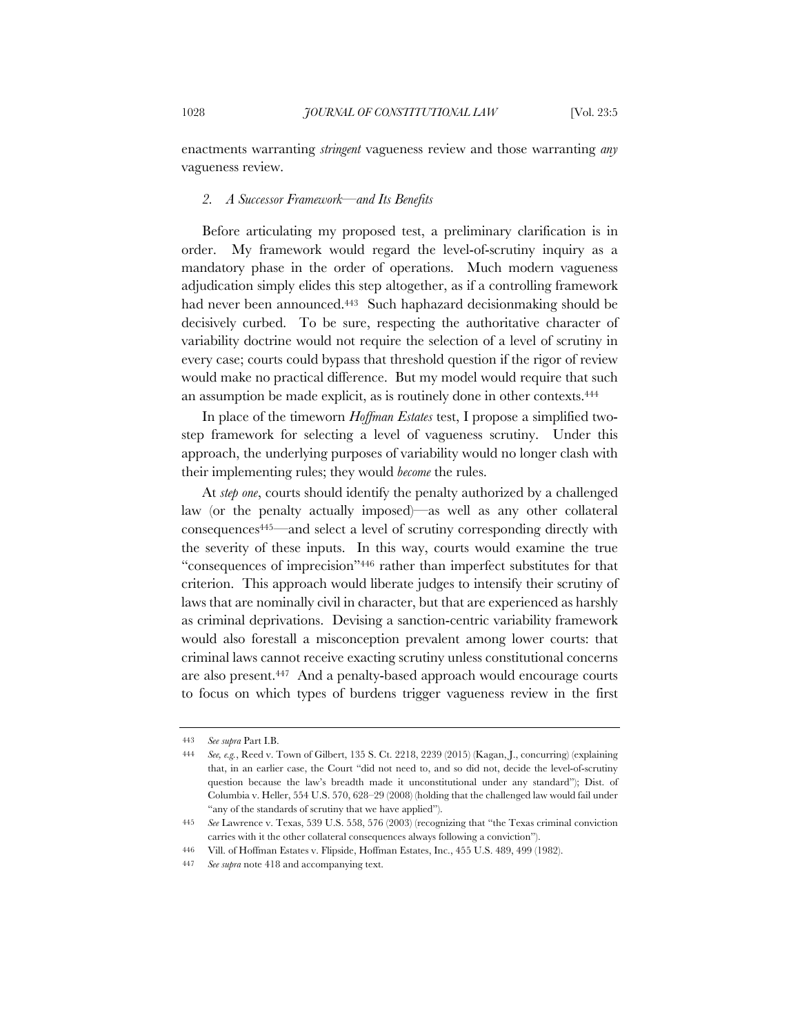enactments warranting *stringent* vagueness review and those warranting *any* vagueness review.

## *2. A Successor Framework—and Its Benefits*

Before articulating my proposed test, a preliminary clarification is in order. My framework would regard the level-of-scrutiny inquiry as a mandatory phase in the order of operations. Much modern vagueness adjudication simply elides this step altogether, as if a controlling framework had never been announced.<sup>443</sup> Such haphazard decisionmaking should be decisively curbed. To be sure, respecting the authoritative character of variability doctrine would not require the selection of a level of scrutiny in every case; courts could bypass that threshold question if the rigor of review would make no practical difference. But my model would require that such an assumption be made explicit, as is routinely done in other contexts.444

In place of the timeworn *Hoffman Estates* test, I propose a simplified twostep framework for selecting a level of vagueness scrutiny. Under this approach, the underlying purposes of variability would no longer clash with their implementing rules; they would *become* the rules.

At *step one*, courts should identify the penalty authorized by a challenged law (or the penalty actually imposed)—as well as any other collateral consequences445—and select a level of scrutiny corresponding directly with the severity of these inputs. In this way, courts would examine the true "consequences of imprecision"446 rather than imperfect substitutes for that criterion. This approach would liberate judges to intensify their scrutiny of laws that are nominally civil in character, but that are experienced as harshly as criminal deprivations. Devising a sanction-centric variability framework would also forestall a misconception prevalent among lower courts: that criminal laws cannot receive exacting scrutiny unless constitutional concerns are also present.447 And a penalty-based approach would encourage courts to focus on which types of burdens trigger vagueness review in the first

<sup>443</sup> *See supra* Part I.B.

<sup>444</sup> *See, e.g.*, Reed v. Town of Gilbert, 135 S. Ct. 2218, 2239 (2015) (Kagan, J., concurring) (explaining that, in an earlier case, the Court "did not need to, and so did not, decide the level-of-scrutiny question because the law's breadth made it unconstitutional under any standard"); Dist. of Columbia v. Heller, 554 U.S. 570, 628–29 (2008) (holding that the challenged law would fail under "any of the standards of scrutiny that we have applied").

<sup>445</sup> *See* Lawrence v. Texas, 539 U.S. 558, 576 (2003) (recognizing that "the Texas criminal conviction carries with it the other collateral consequences always following a conviction").

<sup>446</sup> Vill. of Hoffman Estates v. Flipside, Hoffman Estates, Inc., 455 U.S. 489, 499 (1982).

<sup>447</sup> *See supra* note 418 and accompanying text.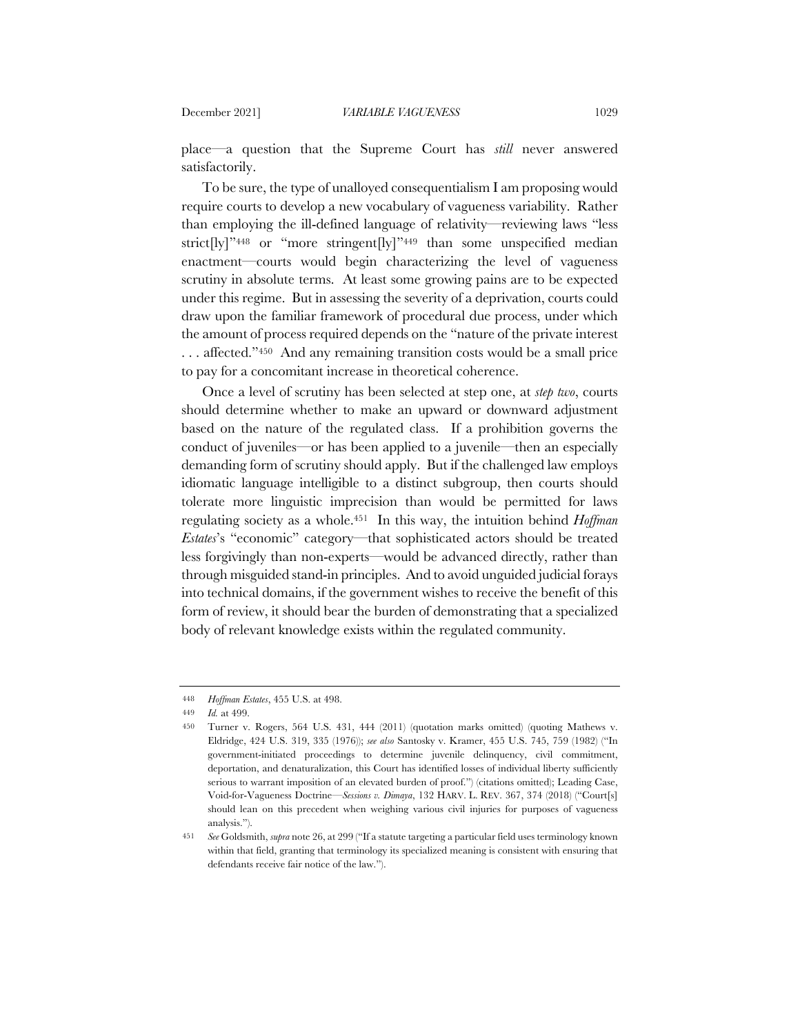place—a question that the Supreme Court has *still* never answered satisfactorily.

To be sure, the type of unalloyed consequentialism I am proposing would require courts to develop a new vocabulary of vagueness variability. Rather than employing the ill-defined language of relativity—reviewing laws "less strict[ly]"<sup>448</sup> or "more stringent[ly]"<sup>449</sup> than some unspecified median enactment—courts would begin characterizing the level of vagueness scrutiny in absolute terms. At least some growing pains are to be expected under this regime. But in assessing the severity of a deprivation, courts could draw upon the familiar framework of procedural due process, under which the amount of process required depends on the "nature of the private interest . . . affected."450 And any remaining transition costs would be a small price to pay for a concomitant increase in theoretical coherence.

Once a level of scrutiny has been selected at step one, at *step two*, courts should determine whether to make an upward or downward adjustment based on the nature of the regulated class. If a prohibition governs the conduct of juveniles—or has been applied to a juvenile—then an especially demanding form of scrutiny should apply. But if the challenged law employs idiomatic language intelligible to a distinct subgroup, then courts should tolerate more linguistic imprecision than would be permitted for laws regulating society as a whole.451 In this way, the intuition behind *Hoffman Estates*'s "economic" category—that sophisticated actors should be treated less forgivingly than non-experts—would be advanced directly, rather than through misguided stand-in principles. And to avoid unguided judicial forays into technical domains, if the government wishes to receive the benefit of this form of review, it should bear the burden of demonstrating that a specialized body of relevant knowledge exists within the regulated community.

<sup>448</sup> *Hoffman Estates*, 455 U.S. at 498.

<sup>449</sup> *Id.* at 499.

<sup>450</sup> Turner v. Rogers, 564 U.S. 431, 444 (2011) (quotation marks omitted) (quoting Mathews v. Eldridge, 424 U.S. 319, 335 (1976)); *see also* Santosky v. Kramer, 455 U.S. 745, 759 (1982) ("In government-initiated proceedings to determine juvenile delinquency, civil commitment, deportation, and denaturalization, this Court has identified losses of individual liberty sufficiently serious to warrant imposition of an elevated burden of proof.") (citations omitted); Leading Case, Void-for-Vagueness Doctrine—*Sessions v. Dimaya*, 132 HARV. L. REV. 367, 374 (2018) ("Court[s] should lean on this precedent when weighing various civil injuries for purposes of vagueness analysis.").

<sup>451</sup> *See* Goldsmith, *supra* note 26, at 299 ("If a statute targeting a particular field uses terminology known within that field, granting that terminology its specialized meaning is consistent with ensuring that defendants receive fair notice of the law.").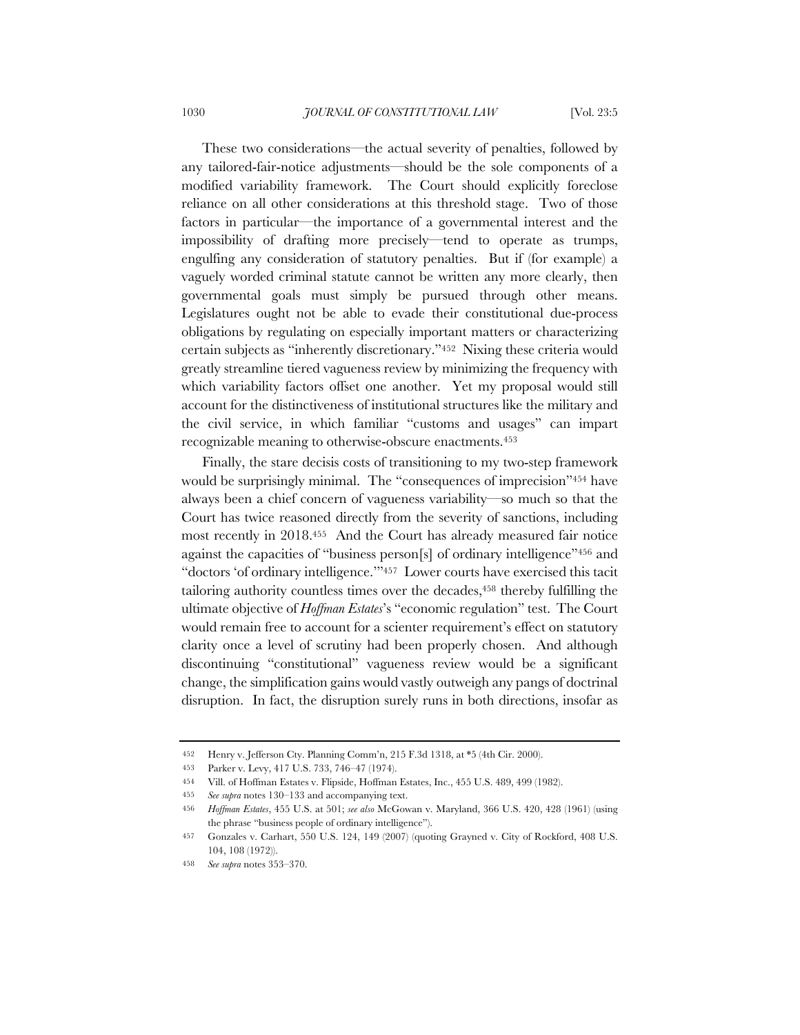These two considerations—the actual severity of penalties, followed by any tailored-fair-notice adjustments—should be the sole components of a modified variability framework. The Court should explicitly foreclose reliance on all other considerations at this threshold stage. Two of those factors in particular—the importance of a governmental interest and the impossibility of drafting more precisely—tend to operate as trumps, engulfing any consideration of statutory penalties. But if (for example) a vaguely worded criminal statute cannot be written any more clearly, then governmental goals must simply be pursued through other means. Legislatures ought not be able to evade their constitutional due-process obligations by regulating on especially important matters or characterizing certain subjects as "inherently discretionary."452 Nixing these criteria would greatly streamline tiered vagueness review by minimizing the frequency with which variability factors offset one another. Yet my proposal would still account for the distinctiveness of institutional structures like the military and the civil service, in which familiar "customs and usages" can impart recognizable meaning to otherwise-obscure enactments.453

Finally, the stare decisis costs of transitioning to my two-step framework would be surprisingly minimal. The "consequences of imprecision"454 have always been a chief concern of vagueness variability—so much so that the Court has twice reasoned directly from the severity of sanctions, including most recently in 2018.455 And the Court has already measured fair notice against the capacities of "business person[s] of ordinary intelligence"456 and "doctors 'of ordinary intelligence.'"457 Lower courts have exercised this tacit tailoring authority countless times over the decades,458 thereby fulfilling the ultimate objective of *Hoffman Estates*'s "economic regulation" test. The Court would remain free to account for a scienter requirement's effect on statutory clarity once a level of scrutiny had been properly chosen. And although discontinuing "constitutional" vagueness review would be a significant change, the simplification gains would vastly outweigh any pangs of doctrinal disruption. In fact, the disruption surely runs in both directions, insofar as

<sup>452</sup> Henry v. Jefferson Cty. Planning Comm'n, 215 F.3d 1318, at \*5 (4th Cir. 2000).

<sup>453</sup> Parker v. Levy, 417 U.S. 733, 746–47 (1974).

<sup>454</sup> Vill. of Hoffman Estates v. Flipside, Hoffman Estates, Inc., 455 U.S. 489, 499 (1982).

<sup>455</sup> *See supra* notes 130–133 and accompanying text.

<sup>456</sup> *Hoffman Estates*, 455 U.S. at 501; *see also* McGowan v. Maryland, 366 U.S. 420, 428 (1961) (using the phrase "business people of ordinary intelligence").

<sup>457</sup> Gonzales v. Carhart, 550 U.S. 124, 149 (2007) (quoting Grayned v. City of Rockford, 408 U.S. 104, 108 (1972)).

<sup>458</sup> *See supra* notes 353–370.